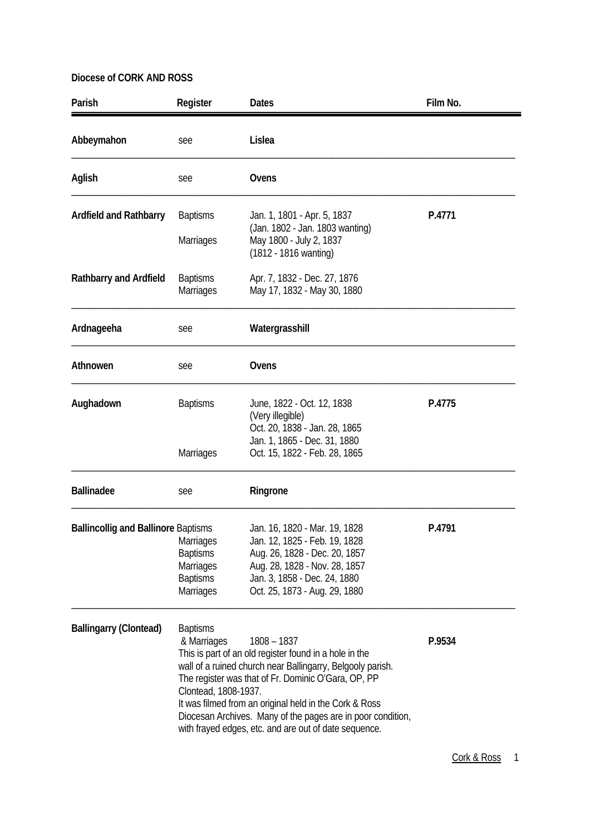| Parish                                     | Register                                                                  | <b>Dates</b>                                                                                                                                                                                                                                                                                                                                                                   | Film No. |
|--------------------------------------------|---------------------------------------------------------------------------|--------------------------------------------------------------------------------------------------------------------------------------------------------------------------------------------------------------------------------------------------------------------------------------------------------------------------------------------------------------------------------|----------|
| Abbeymahon                                 | see                                                                       | Lislea                                                                                                                                                                                                                                                                                                                                                                         |          |
| Aglish                                     | see                                                                       | Ovens                                                                                                                                                                                                                                                                                                                                                                          |          |
| <b>Ardfield and Rathbarry</b>              | <b>Baptisms</b><br><b>Marriages</b>                                       | Jan. 1, 1801 - Apr. 5, 1837<br>(Jan. 1802 - Jan. 1803 wanting)<br>May 1800 - July 2, 1837<br>(1812 - 1816 wanting)                                                                                                                                                                                                                                                             | P.4771   |
| <b>Rathbarry and Ardfield</b>              | <b>Baptisms</b><br><b>Marriages</b>                                       | Apr. 7, 1832 - Dec. 27, 1876<br>May 17, 1832 - May 30, 1880                                                                                                                                                                                                                                                                                                                    |          |
| Ardnageeha                                 | see                                                                       | Watergrasshill                                                                                                                                                                                                                                                                                                                                                                 |          |
| Athnowen                                   | see                                                                       | Ovens                                                                                                                                                                                                                                                                                                                                                                          |          |
| Aughadown                                  | <b>Baptisms</b>                                                           | June, 1822 - Oct. 12, 1838<br>(Very illegible)<br>Oct. 20, 1838 - Jan. 28, 1865<br>Jan. 1, 1865 - Dec. 31, 1880                                                                                                                                                                                                                                                                | P.4775   |
|                                            | <b>Marriages</b>                                                          | Oct. 15, 1822 - Feb. 28, 1865                                                                                                                                                                                                                                                                                                                                                  |          |
| <b>Ballinadee</b>                          | see                                                                       | Ringrone                                                                                                                                                                                                                                                                                                                                                                       |          |
| <b>Ballincollig and Ballinore Baptisms</b> | Marriages<br><b>Baptisms</b><br>Marriages<br><b>Baptisms</b><br>Marriages | Jan. 16, 1820 - Mar. 19, 1828<br>Jan. 12, 1825 - Feb. 19, 1828<br>Aug. 26, 1828 - Dec. 20, 1857<br>Aug. 28, 1828 - Nov. 28, 1857<br>Jan. 3, 1858 - Dec. 24, 1880<br>Oct. 25, 1873 - Aug. 29, 1880                                                                                                                                                                              | P.4791   |
| <b>Ballingarry (Clontead)</b>              | <b>Baptisms</b><br>& Marriages<br>Clontead, 1808-1937.                    | $1808 - 1837$<br>This is part of an old register found in a hole in the<br>wall of a ruined church near Ballingarry, Belgooly parish.<br>The register was that of Fr. Dominic O'Gara, OP, PP<br>It was filmed from an original held in the Cork & Ross<br>Diocesan Archives. Many of the pages are in poor condition,<br>with frayed edges, etc. and are out of date sequence. | P.9534   |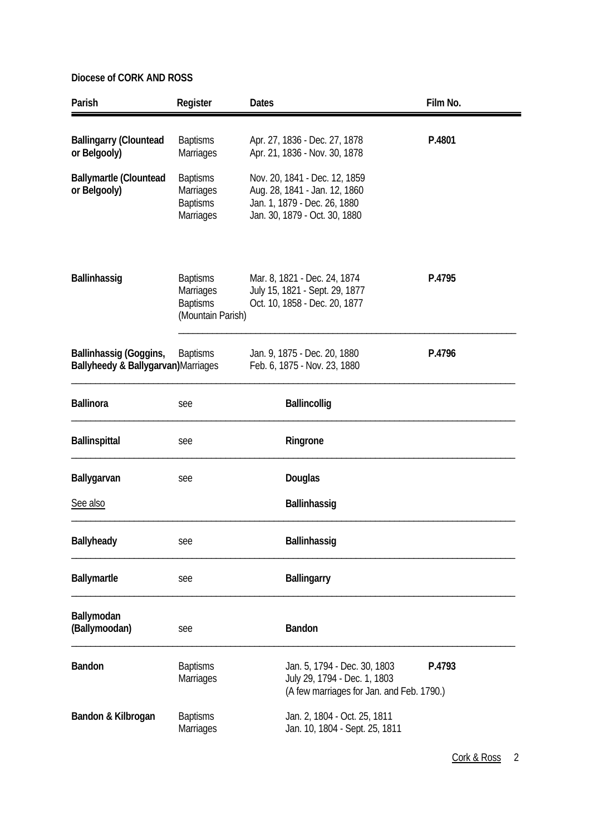| Parish                                                       | Register                                                             | <b>Dates</b>                                                                                                                    | Film No. |
|--------------------------------------------------------------|----------------------------------------------------------------------|---------------------------------------------------------------------------------------------------------------------------------|----------|
| <b>Ballingarry (Clountead</b><br>or Belgooly)                | <b>Baptisms</b><br><b>Marriages</b>                                  | Apr. 27, 1836 - Dec. 27, 1878<br>Apr. 21, 1836 - Nov. 30, 1878                                                                  | P.4801   |
| <b>Ballymartle (Clountead</b><br>or Belgooly)                | <b>Baptisms</b><br>Marriages<br><b>Baptisms</b><br><b>Marriages</b>  | Nov. 20, 1841 - Dec. 12, 1859<br>Aug. 28, 1841 - Jan. 12, 1860<br>Jan. 1, 1879 - Dec. 26, 1880<br>Jan. 30, 1879 - Oct. 30, 1880 |          |
| Ballinhassig                                                 | <b>Baptisms</b><br>Marriages<br><b>Baptisms</b><br>(Mountain Parish) | Mar. 8, 1821 - Dec. 24, 1874<br>July 15, 1821 - Sept. 29, 1877<br>Oct. 10, 1858 - Dec. 20, 1877                                 | P.4795   |
| Ballinhassig (Goggins,<br>Ballyheedy & Ballygarvan)Marriages | <b>Baptisms</b>                                                      | Jan. 9, 1875 - Dec. 20, 1880<br>Feb. 6, 1875 - Nov. 23, 1880                                                                    | P.4796   |
| <b>Ballinora</b>                                             | see                                                                  | <b>Ballincollig</b>                                                                                                             |          |
| <b>Ballinspittal</b>                                         | see                                                                  | Ringrone                                                                                                                        |          |
| Ballygarvan                                                  | see                                                                  | Douglas                                                                                                                         |          |
| See also                                                     |                                                                      | Ballinhassig                                                                                                                    |          |
| Ballyheady                                                   | see                                                                  | Ballinhassig                                                                                                                    |          |
| Ballymartle                                                  | see                                                                  | <b>Ballingarry</b>                                                                                                              |          |
| Ballymodan<br>(Ballymoodan)                                  | see                                                                  | Bandon                                                                                                                          |          |
| <b>Bandon</b>                                                | <b>Baptisms</b><br>Marriages                                         | Jan. 5, 1794 - Dec. 30, 1803<br>July 29, 1794 - Dec. 1, 1803<br>(A few marriages for Jan. and Feb. 1790.)                       | P.4793   |
| Bandon & Kilbrogan                                           | <b>Baptisms</b><br>Marriages                                         | Jan. 2, 1804 - Oct. 25, 1811<br>Jan. 10, 1804 - Sept. 25, 1811                                                                  |          |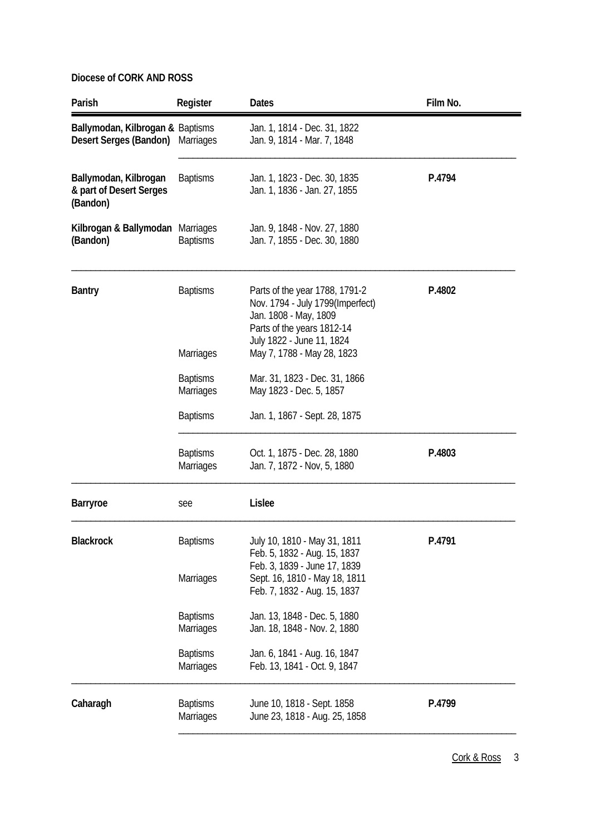| Parish                                                       | Register                                                | <b>Dates</b>                                                                                                                                                  | Film No. |
|--------------------------------------------------------------|---------------------------------------------------------|---------------------------------------------------------------------------------------------------------------------------------------------------------------|----------|
| Ballymodan, Kilbrogan & Baptisms<br>Desert Serges (Bandon)   | <b>Marriages</b>                                        | Jan. 1, 1814 - Dec. 31, 1822<br>Jan. 9, 1814 - Mar. 7, 1848                                                                                                   |          |
| Ballymodan, Kilbrogan<br>& part of Desert Serges<br>(Bandon) | <b>Baptisms</b>                                         | Jan. 1, 1823 - Dec. 30, 1835<br>Jan. 1, 1836 - Jan. 27, 1855                                                                                                  | P.4794   |
| Kilbrogan & Ballymodan Marriages<br>(Bandon)                 | <b>Baptisms</b>                                         | Jan. 9, 1848 - Nov. 27, 1880<br>Jan. 7, 1855 - Dec. 30, 1880                                                                                                  |          |
| <b>Bantry</b>                                                | <b>Baptisms</b>                                         | Parts of the year 1788, 1791-2<br>Nov. 1794 - July 1799(Imperfect)<br>Jan. 1808 - May, 1809<br>Parts of the years 1812-14<br>July 1822 - June 11, 1824        | P.4802   |
|                                                              | <b>Marriages</b><br><b>Baptisms</b><br><b>Marriages</b> | May 7, 1788 - May 28, 1823<br>Mar. 31, 1823 - Dec. 31, 1866<br>May 1823 - Dec. 5, 1857                                                                        |          |
|                                                              | <b>Baptisms</b>                                         | Jan. 1, 1867 - Sept. 28, 1875                                                                                                                                 |          |
|                                                              | <b>Baptisms</b><br><b>Marriages</b>                     | Oct. 1, 1875 - Dec. 28, 1880<br>Jan. 7, 1872 - Nov, 5, 1880                                                                                                   | P.4803   |
| <b>Barryroe</b>                                              | see                                                     | Lislee                                                                                                                                                        |          |
| <b>Blackrock</b>                                             | <b>Baptisms</b><br><b>Marriages</b>                     | July 10, 1810 - May 31, 1811<br>Feb. 5, 1832 - Aug. 15, 1837<br>Feb. 3, 1839 - June 17, 1839<br>Sept. 16, 1810 - May 18, 1811<br>Feb. 7, 1832 - Aug. 15, 1837 | P.4791   |
|                                                              | <b>Baptisms</b><br><b>Marriages</b>                     | Jan. 13, 1848 - Dec. 5, 1880<br>Jan. 18, 1848 - Nov. 2, 1880                                                                                                  |          |
|                                                              | <b>Baptisms</b><br>Marriages                            | Jan. 6, 1841 - Aug. 16, 1847<br>Feb. 13, 1841 - Oct. 9, 1847                                                                                                  |          |
| Caharagh                                                     | <b>Baptisms</b><br>Marriages                            | June 10, 1818 - Sept. 1858<br>June 23, 1818 - Aug. 25, 1858                                                                                                   | P.4799   |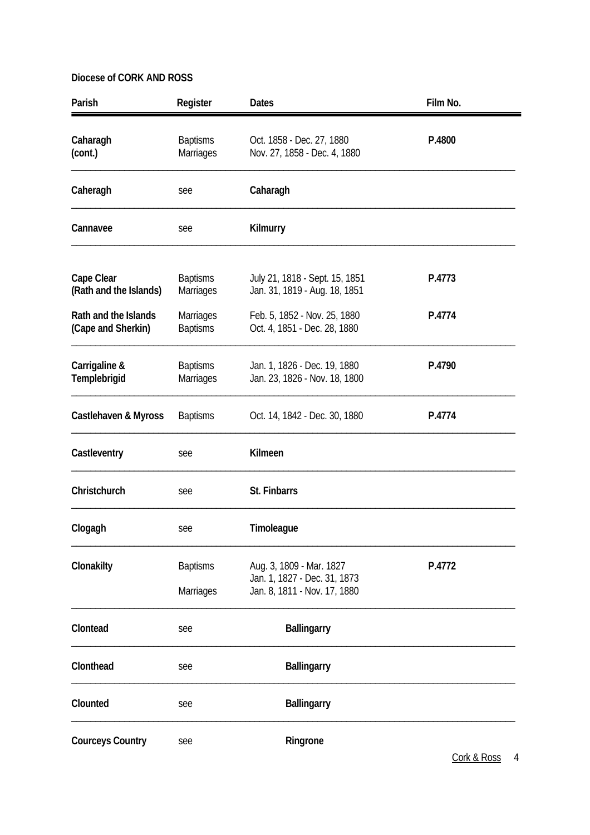| Parish                                     | Register                            | <b>Dates</b>                                                                             | Film No. |
|--------------------------------------------|-------------------------------------|------------------------------------------------------------------------------------------|----------|
| Caharagh<br>(cont.)                        | <b>Baptisms</b><br>Marriages        | Oct. 1858 - Dec. 27, 1880<br>Nov. 27, 1858 - Dec. 4, 1880                                | P.4800   |
| Caheragh                                   | see                                 | Caharagh                                                                                 |          |
| Cannavee                                   | see                                 | Kilmurry                                                                                 |          |
| Cape Clear<br>(Rath and the Islands)       | <b>Baptisms</b><br>Marriages        | July 21, 1818 - Sept. 15, 1851<br>Jan. 31, 1819 - Aug. 18, 1851                          | P.4773   |
| Rath and the Islands<br>(Cape and Sherkin) | Marriages<br><b>Baptisms</b>        | Feb. 5, 1852 - Nov. 25, 1880<br>Oct. 4, 1851 - Dec. 28, 1880                             | P.4774   |
| Carrigaline &<br>Templebrigid              | <b>Baptisms</b><br><b>Marriages</b> | Jan. 1, 1826 - Dec. 19, 1880<br>Jan. 23, 1826 - Nov. 18, 1800                            | P.4790   |
| Castlehaven & Myross                       | <b>Baptisms</b>                     | Oct. 14, 1842 - Dec. 30, 1880                                                            | P.4774   |
| Castleventry                               | see                                 | Kilmeen                                                                                  |          |
| Christchurch                               | see                                 | St. Finbarrs                                                                             |          |
| Clogagh                                    | see                                 | Timoleague                                                                               |          |
| Clonakilty                                 | <b>Baptisms</b><br><b>Marriages</b> | Aug. 3, 1809 - Mar. 1827<br>Jan. 1, 1827 - Dec. 31, 1873<br>Jan. 8, 1811 - Nov. 17, 1880 | P.4772   |
| Clontead                                   | see                                 | <b>Ballingarry</b>                                                                       |          |
| Clonthead                                  | see                                 | <b>Ballingarry</b>                                                                       |          |
| Clounted                                   | see                                 | <b>Ballingarry</b>                                                                       |          |
| <b>Courceys Country</b>                    | see                                 | Ringrone                                                                                 |          |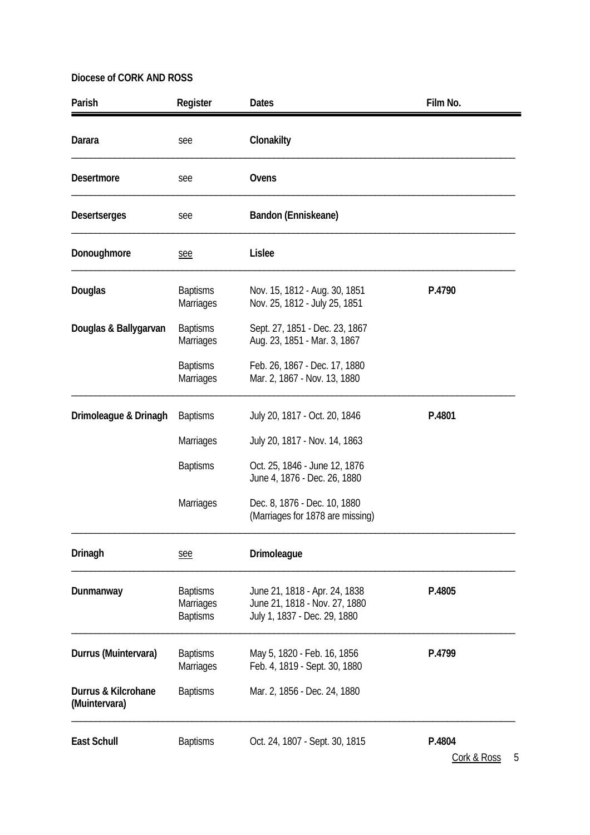| Parish                               | Register                                               | <b>Dates</b>                                                                                   | Film No. |
|--------------------------------------|--------------------------------------------------------|------------------------------------------------------------------------------------------------|----------|
| Darara                               | see                                                    | Clonakilty                                                                                     |          |
| <b>Desertmore</b>                    | see                                                    | Ovens                                                                                          |          |
| <b>Desertserges</b>                  | see                                                    | Bandon (Enniskeane)                                                                            |          |
| Donoughmore                          | see                                                    | Lislee                                                                                         |          |
| Douglas                              | <b>Baptisms</b><br><b>Marriages</b>                    | Nov. 15, 1812 - Aug. 30, 1851<br>Nov. 25, 1812 - July 25, 1851                                 | P.4790   |
| Douglas & Ballygarvan                | <b>Baptisms</b><br>Marriages                           | Sept. 27, 1851 - Dec. 23, 1867<br>Aug. 23, 1851 - Mar. 3, 1867                                 |          |
|                                      | <b>Baptisms</b><br>Marriages                           | Feb. 26, 1867 - Dec. 17, 1880<br>Mar. 2, 1867 - Nov. 13, 1880                                  |          |
| Drimoleague & Drinagh                | <b>Baptisms</b>                                        | July 20, 1817 - Oct. 20, 1846                                                                  | P.4801   |
|                                      | Marriages                                              | July 20, 1817 - Nov. 14, 1863                                                                  |          |
|                                      | <b>Baptisms</b>                                        | Oct. 25, 1846 - June 12, 1876<br>June 4, 1876 - Dec. 26, 1880                                  |          |
|                                      | Marriages                                              | Dec. 8, 1876 - Dec. 10, 1880<br>(Marriages for 1878 are missing)                               |          |
| Drinagh                              | see                                                    | Drimoleague                                                                                    |          |
| Dunmanway                            | <b>Baptisms</b><br><b>Marriages</b><br><b>Baptisms</b> | June 21, 1818 - Apr. 24, 1838<br>June 21, 1818 - Nov. 27, 1880<br>July 1, 1837 - Dec. 29, 1880 | P.4805   |
| Durrus (Muintervara)                 | <b>Baptisms</b><br><b>Marriages</b>                    | May 5, 1820 - Feb. 16, 1856<br>Feb. 4, 1819 - Sept. 30, 1880                                   | P.4799   |
| Durrus & Kilcrohane<br>(Muintervara) | <b>Baptisms</b>                                        | Mar. 2, 1856 - Dec. 24, 1880                                                                   |          |
| <b>East Schull</b>                   | <b>Baptisms</b>                                        | Oct. 24, 1807 - Sept. 30, 1815                                                                 | P.4804   |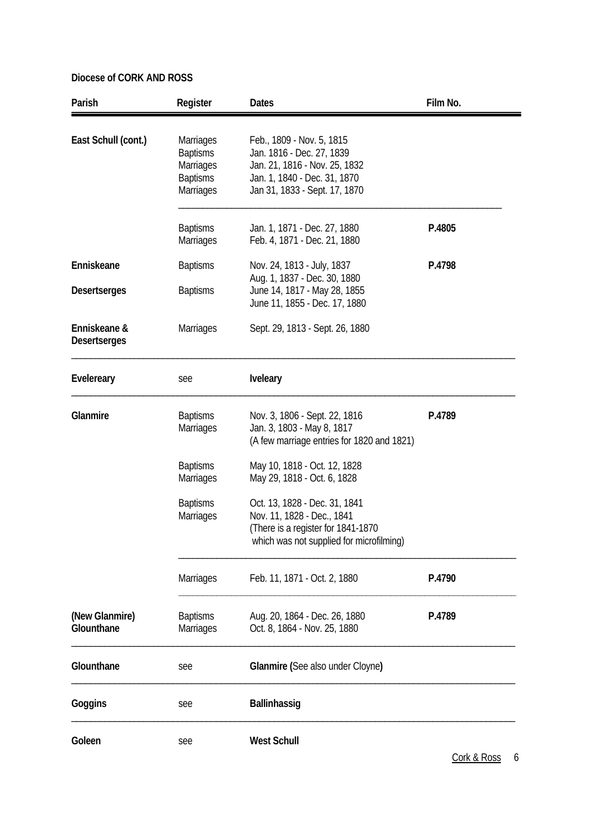| Parish                              | Register                                                                         | <b>Dates</b>                                                                                                                                             | Film No. |
|-------------------------------------|----------------------------------------------------------------------------------|----------------------------------------------------------------------------------------------------------------------------------------------------------|----------|
| East Schull (cont.)                 | <b>Marriages</b><br><b>Baptisms</b><br>Marriages<br><b>Baptisms</b><br>Marriages | Feb., 1809 - Nov. 5, 1815<br>Jan. 1816 - Dec. 27, 1839<br>Jan. 21, 1816 - Nov. 25, 1832<br>Jan. 1, 1840 - Dec. 31, 1870<br>Jan 31, 1833 - Sept. 17, 1870 |          |
|                                     | <b>Baptisms</b><br><b>Marriages</b>                                              | Jan. 1, 1871 - Dec. 27, 1880<br>Feb. 4, 1871 - Dec. 21, 1880                                                                                             | P.4805   |
| Enniskeane                          | <b>Baptisms</b>                                                                  | Nov. 24, 1813 - July, 1837                                                                                                                               | P.4798   |
| <b>Desertserges</b>                 | <b>Baptisms</b>                                                                  | Aug. 1, 1837 - Dec. 30, 1880<br>June 14, 1817 - May 28, 1855<br>June 11, 1855 - Dec. 17, 1880                                                            |          |
| Enniskeane &<br><b>Desertserges</b> | Marriages                                                                        | Sept. 29, 1813 - Sept. 26, 1880                                                                                                                          |          |
| Evelereary                          | see                                                                              | <b>Iveleary</b>                                                                                                                                          |          |
| Glanmire                            | <b>Baptisms</b><br>Marriages                                                     | Nov. 3, 1806 - Sept. 22, 1816<br>Jan. 3, 1803 - May 8, 1817<br>(A few marriage entries for 1820 and 1821)                                                | P.4789   |
|                                     | <b>Baptisms</b><br><b>Marriages</b>                                              | May 10, 1818 - Oct. 12, 1828<br>May 29, 1818 - Oct. 6, 1828                                                                                              |          |
|                                     | <b>Baptisms</b><br>Marriages                                                     | Oct. 13, 1828 - Dec. 31, 1841<br>Nov. 11, 1828 - Dec., 1841<br>(There is a register for 1841-1870)<br>which was not supplied for microfilming)           |          |
|                                     | <b>Marriages</b>                                                                 | Feb. 11, 1871 - Oct. 2, 1880                                                                                                                             | P.4790   |
| (New Glanmire)<br>Glounthane        | <b>Baptisms</b><br>Marriages                                                     | Aug. 20, 1864 - Dec. 26, 1880<br>Oct. 8, 1864 - Nov. 25, 1880                                                                                            | P.4789   |
| Glounthane                          | see                                                                              | Glanmire (See also under Cloyne)                                                                                                                         |          |
| Goggins                             | see                                                                              | <b>Ballinhassig</b>                                                                                                                                      |          |
| Goleen                              | see                                                                              | <b>West Schull</b>                                                                                                                                       |          |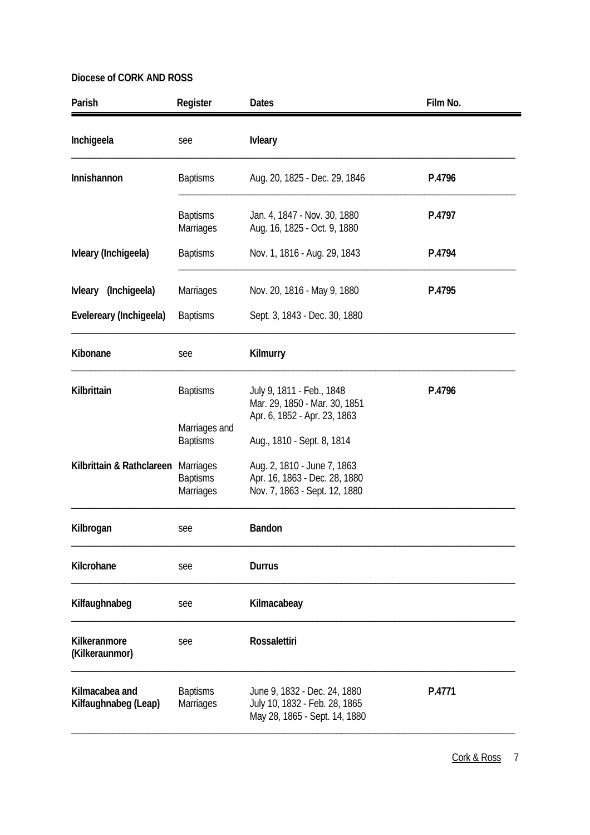| Parish                                 | Register                                                | <b>Dates</b>                                                                                   | Film No. |
|----------------------------------------|---------------------------------------------------------|------------------------------------------------------------------------------------------------|----------|
| Inchigeela                             | see                                                     | <b>Ivleary</b>                                                                                 |          |
| Innishannon                            | <b>Baptisms</b>                                         | Aug. 20, 1825 - Dec. 29, 1846                                                                  | P.4796   |
|                                        | <b>Baptisms</b><br><b>Marriages</b>                     | Jan. 4, 1847 - Nov. 30, 1880<br>Aug. 16, 1825 - Oct. 9, 1880                                   | P.4797   |
| Ivleary (Inchigeela)                   | <b>Baptisms</b>                                         | Nov. 1, 1816 - Aug. 29, 1843                                                                   | P.4794   |
| Ivleary (Inchigeela)                   | Marriages                                               | Nov. 20, 1816 - May 9, 1880                                                                    | P.4795   |
| Evelereary (Inchigeela)                | <b>Baptisms</b>                                         | Sept. 3, 1843 - Dec. 30, 1880                                                                  |          |
| Kibonane                               | see                                                     | Kilmurry                                                                                       |          |
| Kilbrittain                            | <b>Baptisms</b>                                         | July 9, 1811 - Feb., 1848<br>Mar. 29, 1850 - Mar. 30, 1851<br>Apr. 6, 1852 - Apr. 23, 1863     | P.4796   |
|                                        | Marriages and<br><b>Baptisms</b>                        | Aug., 1810 - Sept. 8, 1814                                                                     |          |
| Kilbrittain & Rathclareen              | <b>Marriages</b><br><b>Baptisms</b><br><b>Marriages</b> | Aug. 2, 1810 - June 7, 1863<br>Apr. 16, 1863 - Dec. 28, 1880<br>Nov. 7, 1863 - Sept. 12, 1880  |          |
| Kilbrogan                              | see                                                     | Bandon                                                                                         |          |
| Kilcrohane                             | see                                                     | <b>Durrus</b>                                                                                  |          |
| Kilfaughnabeg                          | see                                                     | Kilmacabeay                                                                                    |          |
| Kilkeranmore<br>(Kilkeraunmor)         | see                                                     | <b>Rossalettiri</b>                                                                            |          |
| Kilmacabea and<br>Kilfaughnabeg (Leap) | <b>Baptisms</b><br><b>Marriages</b>                     | June 9, 1832 - Dec. 24, 1880<br>July 10, 1832 - Feb. 28, 1865<br>May 28, 1865 - Sept. 14, 1880 | P.4771   |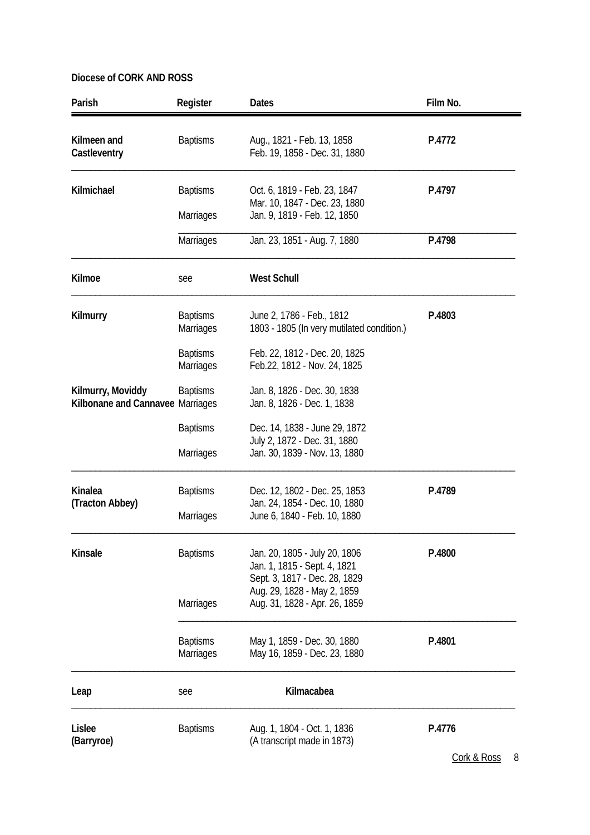| P.4772 |
|--------|
|        |
| P.4797 |
|        |
| P.4798 |
|        |
| P.4803 |
|        |
|        |
|        |
|        |
|        |
|        |
| P.4789 |
|        |
| P.4800 |
|        |
|        |
|        |
| P.4801 |
|        |
|        |
| P.4776 |
|        |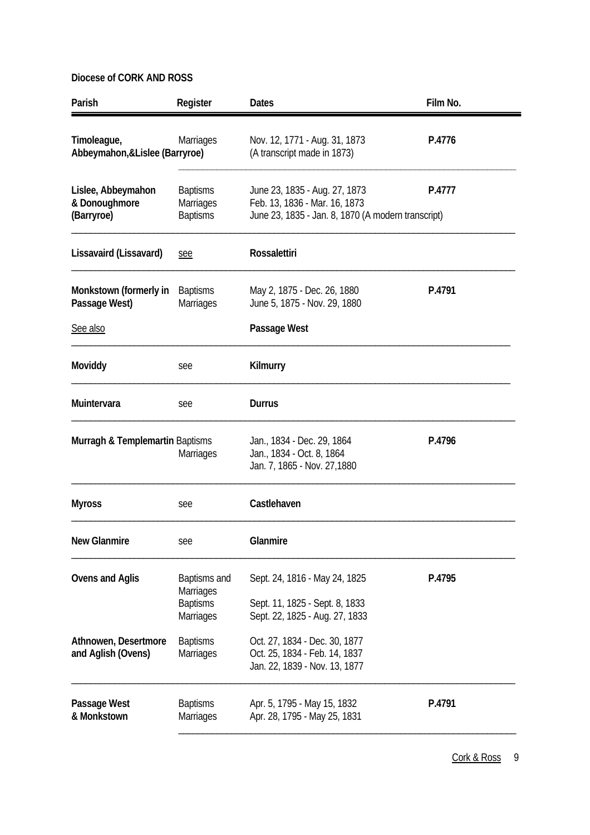| Parish                                            | Register                                                         | Dates                                                                                                                | Film No. |
|---------------------------------------------------|------------------------------------------------------------------|----------------------------------------------------------------------------------------------------------------------|----------|
| Timoleague,<br>Abbeymahon, & Lislee (Barryroe)    | <b>Marriages</b>                                                 | Nov. 12, 1771 - Aug. 31, 1873<br>(A transcript made in 1873)                                                         | P.4776   |
| Lislee, Abbeymahon<br>& Donoughmore<br>(Barryroe) | <b>Baptisms</b><br>Marriages<br><b>Baptisms</b>                  | June 23, 1835 - Aug. 27, 1873<br>Feb. 13, 1836 - Mar. 16, 1873<br>June 23, 1835 - Jan. 8, 1870 (A modern transcript) | P.4777   |
| Lissavaird (Lissavard)                            | see                                                              | <b>Rossalettiri</b>                                                                                                  |          |
| Monkstown (formerly in<br>Passage West)           | <b>Baptisms</b><br><b>Marriages</b>                              | May 2, 1875 - Dec. 26, 1880<br>June 5, 1875 - Nov. 29, 1880                                                          | P.4791   |
| See also                                          |                                                                  | Passage West                                                                                                         |          |
| Moviddy                                           | see                                                              | Kilmurry                                                                                                             |          |
| Muintervara                                       | see                                                              | Durrus                                                                                                               |          |
| Murragh & Templemartin Baptisms                   | <b>Marriages</b>                                                 | Jan., 1834 - Dec. 29, 1864<br>Jan., 1834 - Oct. 8, 1864<br>Jan. 7, 1865 - Nov. 27, 1880                              | P.4796   |
| <b>Myross</b>                                     | see                                                              | Castlehaven                                                                                                          |          |
| <b>New Glanmire</b>                               | see                                                              | Glanmire                                                                                                             |          |
| <b>Ovens and Aglis</b>                            | Baptisms and<br>Marriages<br><b>Baptisms</b><br><b>Marriages</b> | Sept. 24, 1816 - May 24, 1825<br>Sept. 11, 1825 - Sept. 8, 1833<br>Sept. 22, 1825 - Aug. 27, 1833                    | P.4795   |
| Athnowen, Desertmore<br>and Aglish (Ovens)        | <b>Baptisms</b><br>Marriages                                     | Oct. 27, 1834 - Dec. 30, 1877<br>Oct. 25, 1834 - Feb. 14, 1837<br>Jan. 22, 1839 - Nov. 13, 1877                      |          |
| Passage West<br>& Monkstown                       | <b>Baptisms</b><br>Marriages                                     | Apr. 5, 1795 - May 15, 1832<br>Apr. 28, 1795 - May 25, 1831                                                          | P.4791   |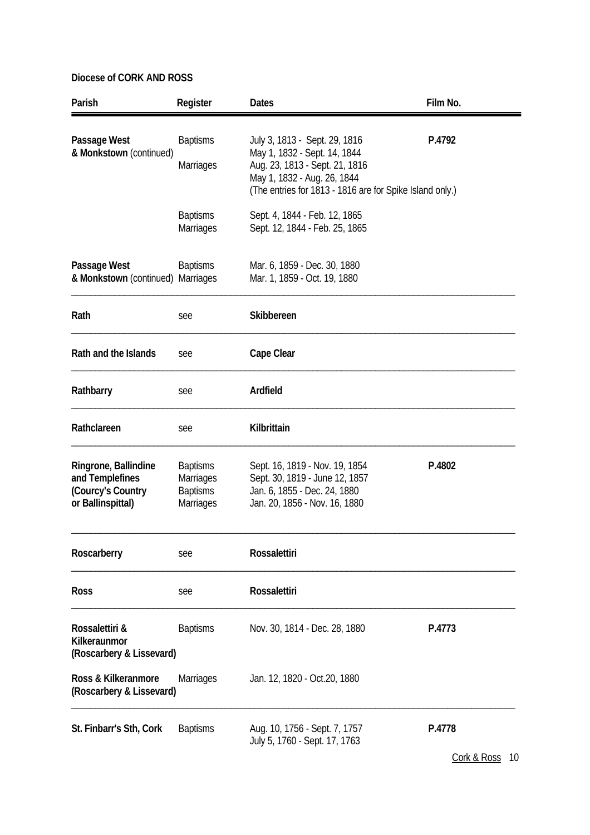| Parish                                                                            | Register                                                                   | <b>Dates</b>                                                                                                                                                                               | Film No. |
|-----------------------------------------------------------------------------------|----------------------------------------------------------------------------|--------------------------------------------------------------------------------------------------------------------------------------------------------------------------------------------|----------|
| Passage West<br>& Monkstown (continued)                                           | <b>Baptisms</b><br>Marriages                                               | July 3, 1813 - Sept. 29, 1816<br>May 1, 1832 - Sept. 14, 1844<br>Aug. 23, 1813 - Sept. 21, 1816<br>May 1, 1832 - Aug. 26, 1844<br>(The entries for 1813 - 1816 are for Spike Island only.) | P.4792   |
|                                                                                   | <b>Baptisms</b><br>Marriages                                               | Sept. 4, 1844 - Feb. 12, 1865<br>Sept. 12, 1844 - Feb. 25, 1865                                                                                                                            |          |
| Passage West<br>& Monkstown (continued) Marriages                                 | <b>Baptisms</b>                                                            | Mar. 6, 1859 - Dec. 30, 1880<br>Mar. 1, 1859 - Oct. 19, 1880                                                                                                                               |          |
| Rath                                                                              | see                                                                        | Skibbereen                                                                                                                                                                                 |          |
| Rath and the Islands                                                              | see                                                                        | Cape Clear                                                                                                                                                                                 |          |
| Rathbarry                                                                         | see                                                                        | Ardfield                                                                                                                                                                                   |          |
| Rathclareen                                                                       | see                                                                        | Kilbrittain                                                                                                                                                                                |          |
| Ringrone, Ballindine<br>and Templefines<br>(Courcy's Country<br>or Ballinspittal) | <b>Baptisms</b><br><b>Marriages</b><br><b>Baptisms</b><br><b>Marriages</b> | Sept. 16, 1819 - Nov. 19, 1854<br>Sept. 30, 1819 - June 12, 1857<br>Jan. 6, 1855 - Dec. 24, 1880<br>Jan. 20, 1856 - Nov. 16, 1880                                                          | P.4802   |
| Roscarberry                                                                       | see                                                                        | <b>Rossalettiri</b>                                                                                                                                                                        |          |
| <b>Ross</b>                                                                       | see                                                                        | <b>Rossalettiri</b>                                                                                                                                                                        |          |
| Rossalettiri &<br>Kilkeraunmor<br>(Roscarbery & Lissevard)                        | <b>Baptisms</b>                                                            | Nov. 30, 1814 - Dec. 28, 1880                                                                                                                                                              | P.4773   |
| Ross & Kilkeranmore<br>(Roscarbery & Lissevard)                                   | <b>Marriages</b>                                                           | Jan. 12, 1820 - Oct. 20, 1880                                                                                                                                                              |          |
| St. Finbarr's Sth, Cork                                                           | <b>Baptisms</b>                                                            | Aug. 10, 1756 - Sept. 7, 1757<br>July 5, 1760 - Sept. 17, 1763                                                                                                                             | P.4778   |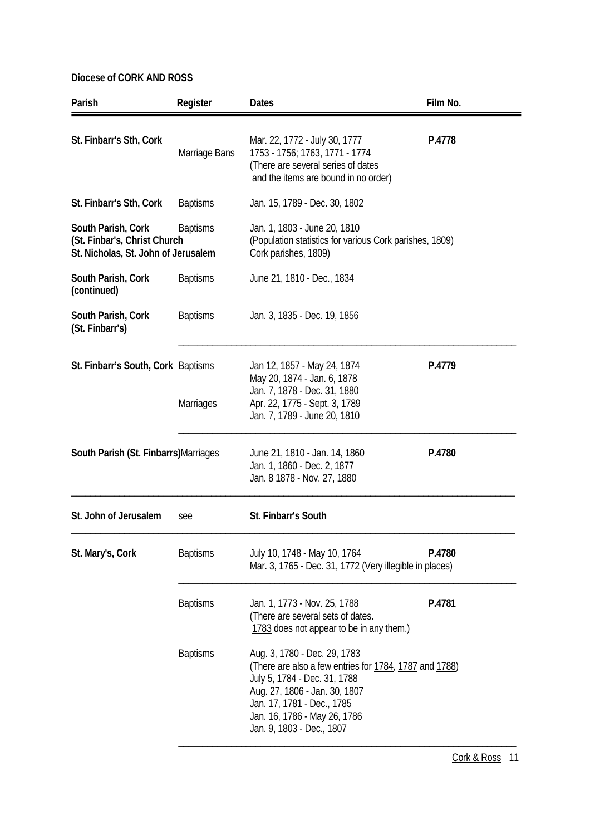| Parish                                                                                                       | Register         | <b>Dates</b>                                                                                                                                                                                                                                       | Film No. |
|--------------------------------------------------------------------------------------------------------------|------------------|----------------------------------------------------------------------------------------------------------------------------------------------------------------------------------------------------------------------------------------------------|----------|
| St. Finbarr's Sth, Cork                                                                                      | Marriage Bans    | Mar. 22, 1772 - July 30, 1777<br>1753 - 1756; 1763, 1771 - 1774<br>(There are several series of dates<br>and the items are bound in no order)                                                                                                      | P.4778   |
| St. Finbarr's Sth, Cork                                                                                      | <b>Baptisms</b>  | Jan. 15, 1789 - Dec. 30, 1802                                                                                                                                                                                                                      |          |
| <b>Baptisms</b><br>South Parish, Cork<br>(St. Finbar's, Christ Church<br>St. Nicholas, St. John of Jerusalem |                  | Jan. 1, 1803 - June 20, 1810<br>(Population statistics for various Cork parishes, 1809)<br>Cork parishes, 1809)                                                                                                                                    |          |
| South Parish, Cork<br>(continued)                                                                            | <b>Baptisms</b>  | June 21, 1810 - Dec., 1834                                                                                                                                                                                                                         |          |
| South Parish, Cork<br>(St. Finbarr's)                                                                        | <b>Baptisms</b>  | Jan. 3, 1835 - Dec. 19, 1856                                                                                                                                                                                                                       |          |
| St. Finbarr's South, Cork Baptisms                                                                           | <b>Marriages</b> | Jan 12, 1857 - May 24, 1874<br>May 20, 1874 - Jan. 6, 1878<br>Jan. 7, 1878 - Dec. 31, 1880<br>Apr. 22, 1775 - Sept. 3, 1789<br>Jan. 7, 1789 - June 20, 1810                                                                                        | P.4779   |
| South Parish (St. Finbarrs) Marriages                                                                        |                  | June 21, 1810 - Jan. 14, 1860<br>Jan. 1, 1860 - Dec. 2, 1877<br>Jan. 8 1878 - Nov. 27, 1880                                                                                                                                                        | P.4780   |
| St. John of Jerusalem                                                                                        | see              | St. Finbarr's South                                                                                                                                                                                                                                |          |
| St. Mary's, Cork                                                                                             | <b>Baptisms</b>  | July 10, 1748 - May 10, 1764<br>Mar. 3, 1765 - Dec. 31, 1772 (Very illegible in places)                                                                                                                                                            | P.4780   |
|                                                                                                              | <b>Baptisms</b>  | Jan. 1, 1773 - Nov. 25, 1788<br>(There are several sets of dates.<br>1783 does not appear to be in any them.)                                                                                                                                      | P.4781   |
|                                                                                                              | <b>Baptisms</b>  | Aug. 3, 1780 - Dec. 29, 1783<br>(There are also a few entries for 1784, 1787 and 1788)<br>July 5, 1784 - Dec. 31, 1788<br>Aug. 27, 1806 - Jan. 30, 1807<br>Jan. 17, 1781 - Dec., 1785<br>Jan. 16, 1786 - May 26, 1786<br>Jan. 9, 1803 - Dec., 1807 |          |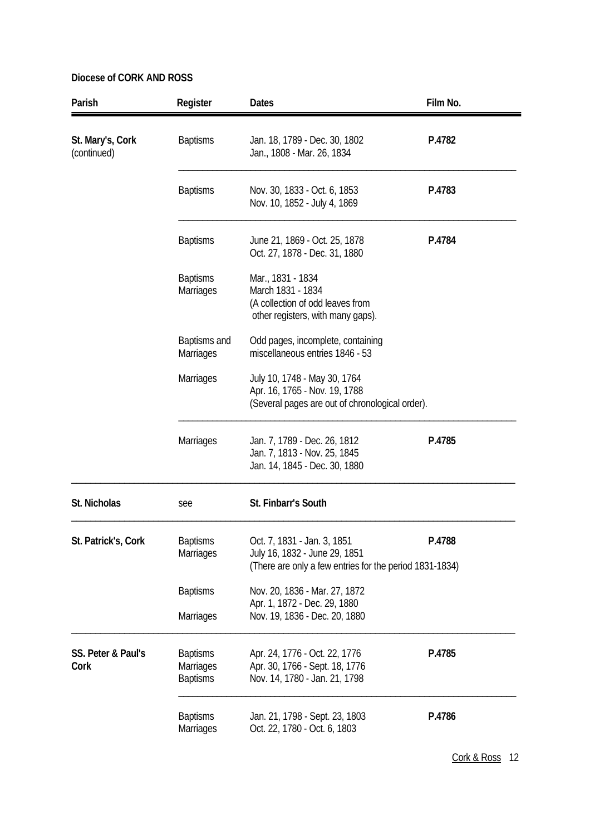| Parish                          | Register                                        | <b>Dates</b>                                                                                                            | Film No. |
|---------------------------------|-------------------------------------------------|-------------------------------------------------------------------------------------------------------------------------|----------|
| St. Mary's, Cork<br>(continued) | <b>Baptisms</b>                                 | Jan. 18, 1789 - Dec. 30, 1802<br>Jan., 1808 - Mar. 26, 1834                                                             | P.4782   |
|                                 | <b>Baptisms</b>                                 | Nov. 30, 1833 - Oct. 6, 1853<br>Nov. 10, 1852 - July 4, 1869                                                            | P.4783   |
|                                 | <b>Baptisms</b>                                 | June 21, 1869 - Oct. 25, 1878<br>Oct. 27, 1878 - Dec. 31, 1880                                                          | P.4784   |
|                                 | <b>Baptisms</b><br>Marriages                    | Mar., 1831 - 1834<br>March 1831 - 1834<br>(A collection of odd leaves from<br>other registers, with many gaps).         |          |
|                                 | Baptisms and<br><b>Marriages</b>                | Odd pages, incomplete, containing<br>miscellaneous entries 1846 - 53                                                    |          |
|                                 | Marriages                                       | July 10, 1748 - May 30, 1764<br>Apr. 16, 1765 - Nov. 19, 1788<br>(Several pages are out of chronological order).        |          |
|                                 | <b>Marriages</b>                                | Jan. 7, 1789 - Dec. 26, 1812<br>Jan. 7, 1813 - Nov. 25, 1845<br>Jan. 14, 1845 - Dec. 30, 1880                           | P.4785   |
| St. Nicholas                    | see                                             | St. Finbarr's South                                                                                                     |          |
| St. Patrick's, Cork             | <b>Baptisms</b><br>Marriages                    | Oct. 7, 1831 - Jan. 3, 1851<br>July 16, 1832 - June 29, 1851<br>(There are only a few entries for the period 1831-1834) | P.4788   |
|                                 | <b>Baptisms</b>                                 | Nov. 20, 1836 - Mar. 27, 1872                                                                                           |          |
|                                 | Marriages                                       | Apr. 1, 1872 - Dec. 29, 1880<br>Nov. 19, 1836 - Dec. 20, 1880                                                           |          |
| SS. Peter & Paul's<br>Cork      | <b>Baptisms</b><br>Marriages<br><b>Baptisms</b> | Apr. 24, 1776 - Oct. 22, 1776<br>Apr. 30, 1766 - Sept. 18, 1776<br>Nov. 14, 1780 - Jan. 21, 1798                        | P.4785   |
|                                 | <b>Baptisms</b><br>Marriages                    | Jan. 21, 1798 - Sept. 23, 1803<br>Oct. 22, 1780 - Oct. 6, 1803                                                          | P.4786   |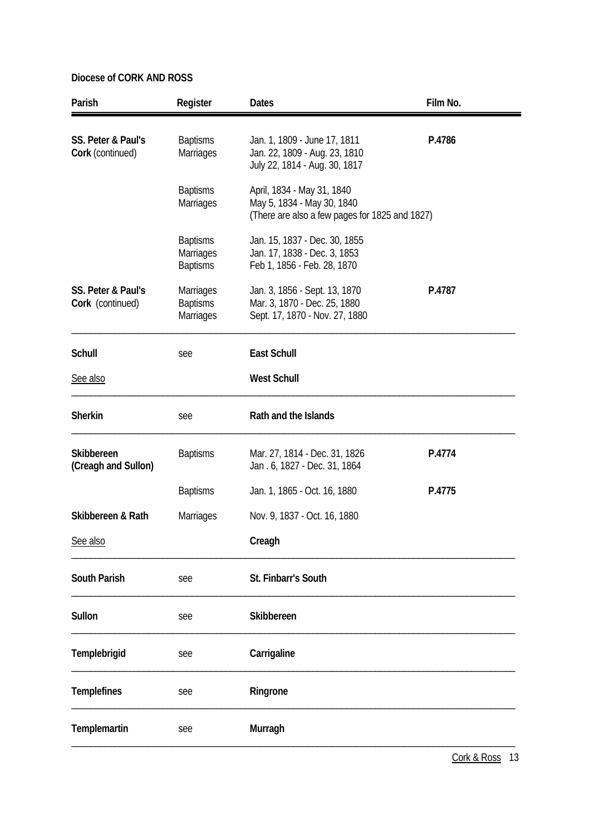| Parish                                 | Register                                        | <b>Dates</b>                                                                                               | Film No. |
|----------------------------------------|-------------------------------------------------|------------------------------------------------------------------------------------------------------------|----------|
| SS. Peter & Paul's<br>Cork (continued) | <b>Baptisms</b><br><b>Marriages</b>             | Jan. 1, 1809 - June 17, 1811<br>Jan. 22, 1809 - Aug. 23, 1810<br>July 22, 1814 - Aug. 30, 1817             | P.4786   |
|                                        | <b>Baptisms</b><br>Marriages                    | April, 1834 - May 31, 1840<br>May 5, 1834 - May 30, 1840<br>(There are also a few pages for 1825 and 1827) |          |
|                                        | <b>Baptisms</b><br>Marriages<br><b>Baptisms</b> | Jan. 15, 1837 - Dec. 30, 1855<br>Jan. 17, 1838 - Dec. 3, 1853<br>Feb 1, 1856 - Feb. 28, 1870               |          |
| SS. Peter & Paul's<br>Cork (continued) | Marriages<br><b>Baptisms</b><br>Marriages       | Jan. 3, 1856 - Sept. 13, 1870<br>Mar. 3, 1870 - Dec. 25, 1880<br>Sept. 17, 1870 - Nov. 27, 1880            | P.4787   |
| Schull                                 | see                                             | East Schull                                                                                                |          |
| See also                               |                                                 | <b>West Schull</b>                                                                                         |          |
| <b>Sherkin</b>                         | see                                             | Rath and the Islands                                                                                       |          |
| Skibbereen<br>(Creagh and Sullon)      | <b>Baptisms</b>                                 | Mar. 27, 1814 - Dec. 31, 1826<br>Jan. 6, 1827 - Dec. 31, 1864                                              | P.4774   |
|                                        | <b>Baptisms</b>                                 | Jan. 1, 1865 - Oct. 16, 1880                                                                               | P.4775   |
| Skibbereen & Rath                      | Marriages                                       | Nov. 9, 1837 - Oct. 16, 1880                                                                               |          |
| See also                               |                                                 | Creagh                                                                                                     |          |
| <b>South Parish</b>                    | see                                             | St. Finbarr's South                                                                                        |          |
| Sullon                                 | see                                             | Skibbereen                                                                                                 |          |
| Templebrigid                           | see                                             | Carrigaline                                                                                                |          |
| <b>Templefines</b>                     | see                                             | Ringrone                                                                                                   |          |
| Templemartin                           | see                                             | Murragh                                                                                                    |          |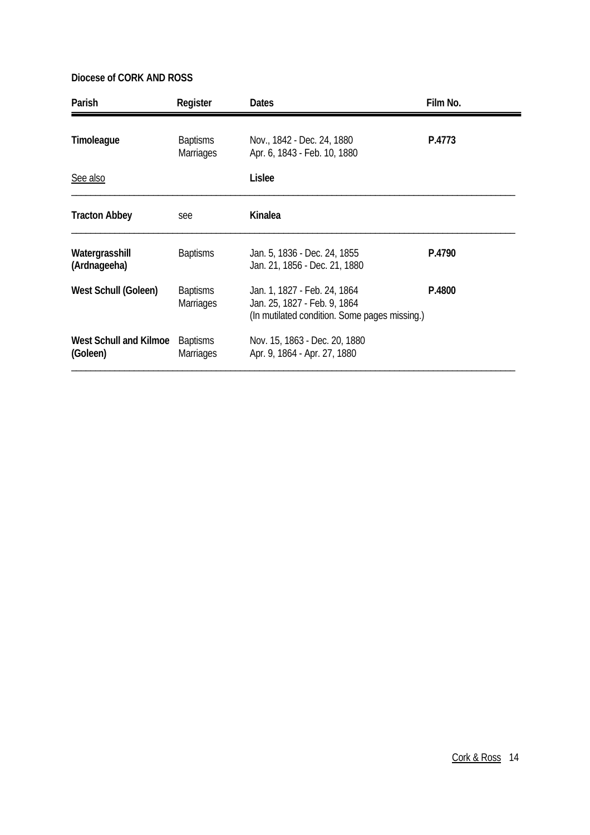| Parish                                    | Register                            | <b>Dates</b>                                                                                                  | Film No. |
|-------------------------------------------|-------------------------------------|---------------------------------------------------------------------------------------------------------------|----------|
| Timoleague                                | <b>Baptisms</b><br><b>Marriages</b> | Nov., 1842 - Dec. 24, 1880<br>Apr. 6, 1843 - Feb. 10, 1880                                                    | P.4773   |
| See also                                  |                                     | Lislee                                                                                                        |          |
| <b>Tracton Abbey</b>                      | see                                 | Kinalea                                                                                                       |          |
| Watergrasshill<br>(Ardnageeha)            | <b>Baptisms</b>                     | Jan. 5, 1836 - Dec. 24, 1855<br>Jan. 21, 1856 - Dec. 21, 1880                                                 | P.4790   |
| West Schull (Goleen)                      | <b>Baptisms</b><br><b>Marriages</b> | Jan. 1, 1827 - Feb. 24, 1864<br>Jan. 25, 1827 - Feb. 9, 1864<br>(In mutilated condition. Some pages missing.) | P.4800   |
| <b>West Schull and Kilmoe</b><br>(Goleen) | <b>Baptisms</b><br><b>Marriages</b> | Nov. 15, 1863 - Dec. 20, 1880<br>Apr. 9, 1864 - Apr. 27, 1880                                                 |          |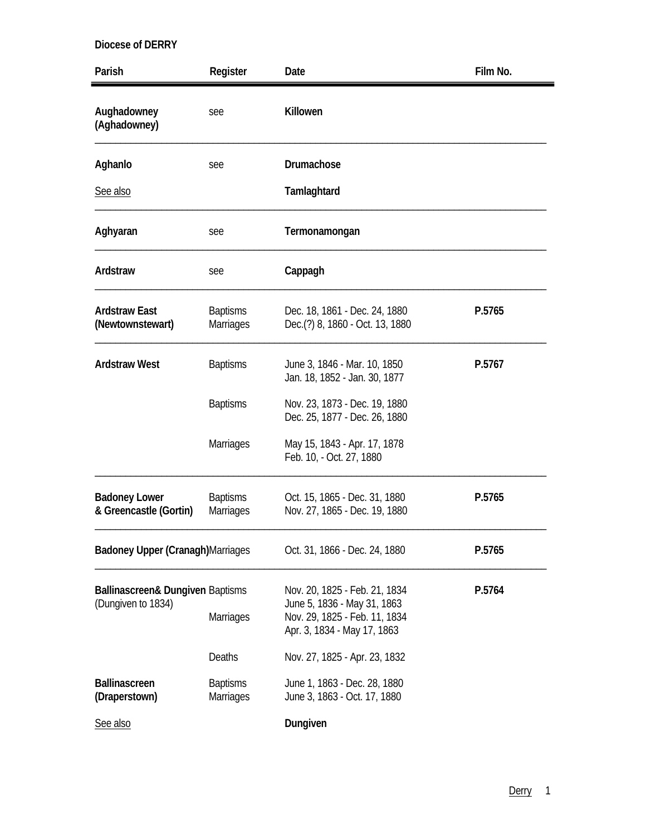| Parish                                         | Register                            | Date                                                                                        | Film No. |
|------------------------------------------------|-------------------------------------|---------------------------------------------------------------------------------------------|----------|
| Aughadowney<br>(Aghadowney)                    | see                                 | Killowen                                                                                    |          |
| Aghanlo                                        | see                                 | Drumachose                                                                                  |          |
| See also                                       |                                     | Tamlaghtard                                                                                 |          |
| Aghyaran                                       | see                                 | Termonamongan                                                                               |          |
| Ardstraw                                       | see                                 | Cappagh                                                                                     |          |
| <b>Ardstraw East</b><br>(Newtownstewart)       | <b>Baptisms</b><br>Marriages        | Dec. 18, 1861 - Dec. 24, 1880<br>Dec.(?) 8, 1860 - Oct. 13, 1880                            | P.5765   |
| <b>Ardstraw West</b>                           | <b>Baptisms</b>                     | June 3, 1846 - Mar. 10, 1850<br>Jan. 18, 1852 - Jan. 30, 1877                               | P.5767   |
|                                                | <b>Baptisms</b>                     | Nov. 23, 1873 - Dec. 19, 1880<br>Dec. 25, 1877 - Dec. 26, 1880                              |          |
|                                                | <b>Marriages</b>                    | May 15, 1843 - Apr. 17, 1878<br>Feb. 10, - Oct. 27, 1880                                    |          |
| <b>Badoney Lower</b><br>& Greencastle (Gortin) | <b>Baptisms</b><br><b>Marriages</b> | Oct. 15, 1865 - Dec. 31, 1880<br>Nov. 27, 1865 - Dec. 19, 1880                              | P.5765   |
| Badoney Upper (Cranagh) Marriages              |                                     | Oct. 31, 1866 - Dec. 24, 1880                                                               | P.5765   |
| Ballinascreen& Dungiven Baptisms               |                                     | Nov. 20, 1825 - Feb. 21, 1834                                                               | P.5764   |
| (Dungiven to 1834)                             | Marriages                           | June 5, 1836 - May 31, 1863<br>Nov. 29, 1825 - Feb. 11, 1834<br>Apr. 3, 1834 - May 17, 1863 |          |
|                                                | Deaths                              | Nov. 27, 1825 - Apr. 23, 1832                                                               |          |
| <b>Ballinascreen</b><br>(Draperstown)          | <b>Baptisms</b><br><b>Marriages</b> | June 1, 1863 - Dec. 28, 1880<br>June 3, 1863 - Oct. 17, 1880                                |          |
| See also                                       |                                     | Dungiven                                                                                    |          |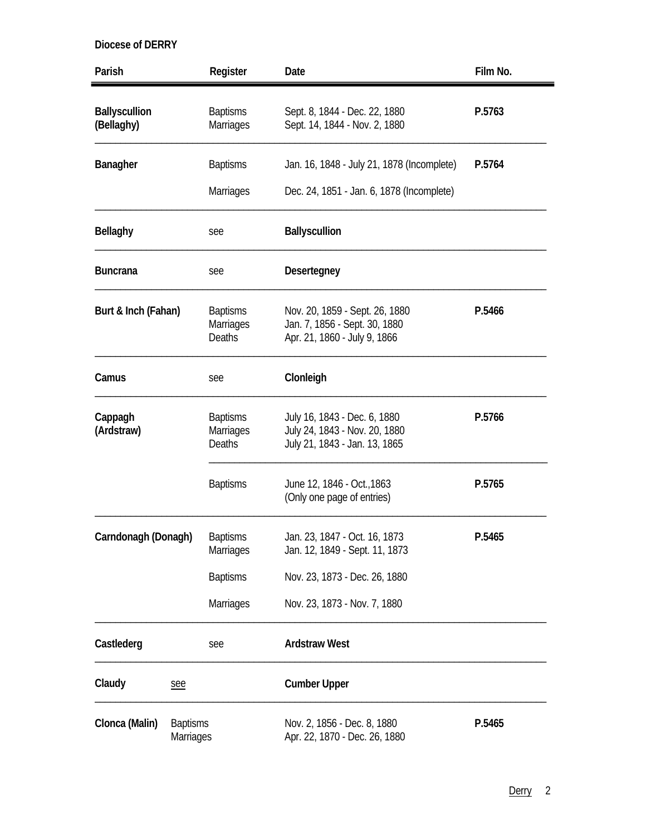| Parish                             |                              | Register                                             | Date                                                                                            | Film No. |
|------------------------------------|------------------------------|------------------------------------------------------|-------------------------------------------------------------------------------------------------|----------|
| <b>Ballyscullion</b><br>(Bellaghy) |                              | <b>Baptisms</b><br><b>Marriages</b>                  | Sept. 8, 1844 - Dec. 22, 1880<br>Sept. 14, 1844 - Nov. 2, 1880                                  | P.5763   |
| Banagher                           |                              | <b>Baptisms</b>                                      | Jan. 16, 1848 - July 21, 1878 (Incomplete)                                                      | P.5764   |
|                                    |                              | Marriages                                            | Dec. 24, 1851 - Jan. 6, 1878 (Incomplete)                                                       |          |
| <b>Bellaghy</b>                    |                              | see                                                  | <b>Ballyscullion</b>                                                                            |          |
| <b>Buncrana</b>                    |                              | see                                                  | <b>Desertegney</b>                                                                              |          |
| Burt & Inch (Fahan)                |                              | <b>Baptisms</b><br>Marriages<br><b>Deaths</b>        | Nov. 20, 1859 - Sept. 26, 1880<br>Jan. 7, 1856 - Sept. 30, 1880<br>Apr. 21, 1860 - July 9, 1866 | P.5466   |
| Camus                              |                              | see                                                  | Clonleigh                                                                                       |          |
| Cappagh<br>(Ardstraw)              |                              | <b>Baptisms</b><br><b>Marriages</b><br><b>Deaths</b> | July 16, 1843 - Dec. 6, 1880<br>July 24, 1843 - Nov. 20, 1880<br>July 21, 1843 - Jan. 13, 1865  | P.5766   |
|                                    |                              | <b>Baptisms</b>                                      | June 12, 1846 - Oct., 1863<br>(Only one page of entries)                                        | P.5765   |
| Carndonagh (Donagh)                |                              | <b>Baptisms</b><br><b>Marriages</b>                  | Jan. 23, 1847 - Oct. 16, 1873<br>Jan. 12, 1849 - Sept. 11, 1873                                 | P.5465   |
|                                    |                              | <b>Baptisms</b>                                      | Nov. 23, 1873 - Dec. 26, 1880                                                                   |          |
|                                    |                              | <b>Marriages</b>                                     | Nov. 23, 1873 - Nov. 7, 1880                                                                    |          |
| Castlederg                         |                              | see                                                  | <b>Ardstraw West</b>                                                                            |          |
| Claudy                             | see                          |                                                      | <b>Cumber Upper</b>                                                                             |          |
| Clonca (Malin)                     | <b>Baptisms</b><br>Marriages |                                                      | Nov. 2, 1856 - Dec. 8, 1880<br>Apr. 22, 1870 - Dec. 26, 1880                                    | P.5465   |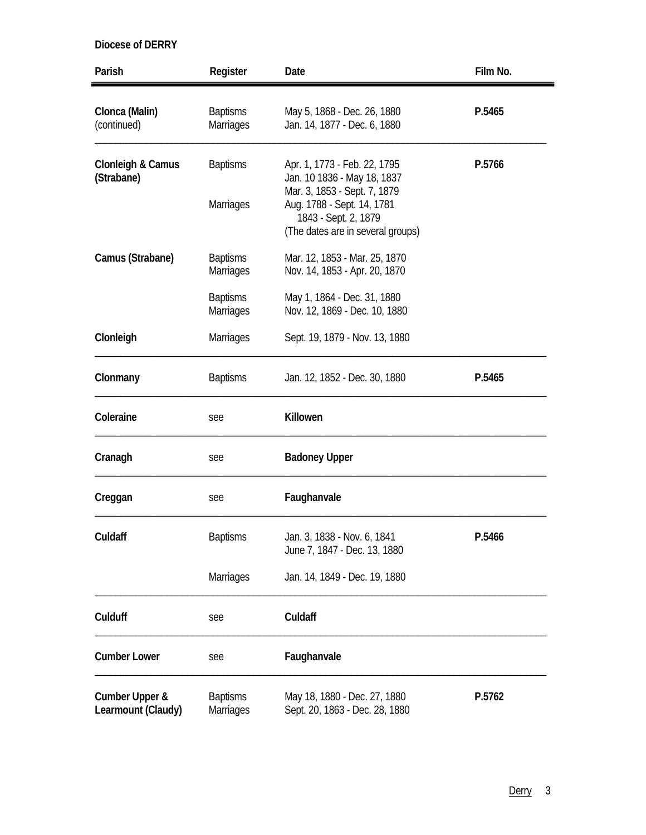| Parish                               | Register                            | Date                                                                                                                                                                                   | Film No. |
|--------------------------------------|-------------------------------------|----------------------------------------------------------------------------------------------------------------------------------------------------------------------------------------|----------|
| Clonca (Malin)<br>(continued)        | <b>Baptisms</b><br><b>Marriages</b> | May 5, 1868 - Dec. 26, 1880<br>Jan. 14, 1877 - Dec. 6, 1880                                                                                                                            | P.5465   |
| Clonleigh & Camus<br>(Strabane)      | <b>Baptisms</b><br><b>Marriages</b> | Apr. 1, 1773 - Feb. 22, 1795<br>Jan. 10 1836 - May 18, 1837<br>Mar. 3, 1853 - Sept. 7, 1879<br>Aug. 1788 - Sept. 14, 1781<br>1843 - Sept. 2, 1879<br>(The dates are in several groups) | P.5766   |
| Camus (Strabane)                     | <b>Baptisms</b><br>Marriages        | Mar. 12, 1853 - Mar. 25, 1870<br>Nov. 14, 1853 - Apr. 20, 1870                                                                                                                         |          |
|                                      | <b>Baptisms</b><br>Marriages        | May 1, 1864 - Dec. 31, 1880<br>Nov. 12, 1869 - Dec. 10, 1880                                                                                                                           |          |
| Clonleigh                            | <b>Marriages</b>                    | Sept. 19, 1879 - Nov. 13, 1880                                                                                                                                                         |          |
| Clonmany                             | <b>Baptisms</b>                     | Jan. 12, 1852 - Dec. 30, 1880                                                                                                                                                          | P.5465   |
| Coleraine                            | see                                 | Killowen                                                                                                                                                                               |          |
| Cranagh                              | see                                 | <b>Badoney Upper</b>                                                                                                                                                                   |          |
| Creggan                              | see                                 | Faughanvale                                                                                                                                                                            |          |
| Culdaff                              | <b>Baptisms</b>                     | Jan. 3, 1838 - Nov. 6, 1841<br>June 7, 1847 - Dec. 13, 1880                                                                                                                            | P.5466   |
|                                      | <b>Marriages</b>                    | Jan. 14, 1849 - Dec. 19, 1880                                                                                                                                                          |          |
| Culduff                              | see                                 | Culdaff                                                                                                                                                                                |          |
| <b>Cumber Lower</b>                  | see                                 | Faughanvale                                                                                                                                                                            |          |
| Cumber Upper &<br>Learmount (Claudy) | <b>Baptisms</b><br>Marriages        | May 18, 1880 - Dec. 27, 1880<br>Sept. 20, 1863 - Dec. 28, 1880                                                                                                                         | P.5762   |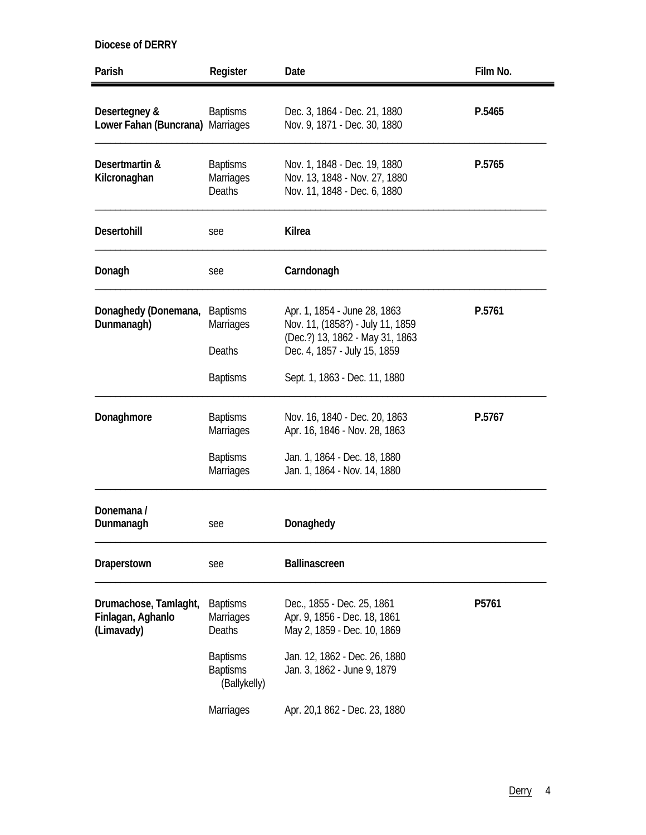| Parish                                                   | Register                                             | Date                                                                                                                                | Film No. |
|----------------------------------------------------------|------------------------------------------------------|-------------------------------------------------------------------------------------------------------------------------------------|----------|
| Desertegney &<br>Lower Fahan (Buncrana) Marriages        | <b>Baptisms</b>                                      | Dec. 3, 1864 - Dec. 21, 1880<br>Nov. 9, 1871 - Dec. 30, 1880                                                                        | P.5465   |
| Desertmartin &<br>Kilcronaghan                           | <b>Baptisms</b><br><b>Marriages</b><br><b>Deaths</b> | Nov. 1, 1848 - Dec. 19, 1880<br>Nov. 13, 1848 - Nov. 27, 1880<br>Nov. 11, 1848 - Dec. 6, 1880                                       | P.5765   |
| <b>Desertohill</b>                                       | see                                                  | <b>Kilrea</b>                                                                                                                       |          |
| Donagh                                                   | see                                                  | Carndonagh                                                                                                                          |          |
| Donaghedy (Donemana,<br>Dunmanagh)                       | <b>Baptisms</b><br>Marriages<br>Deaths               | Apr. 1, 1854 - June 28, 1863<br>Nov. 11, (1858?) - July 11, 1859<br>(Dec.?) 13, 1862 - May 31, 1863<br>Dec. 4, 1857 - July 15, 1859 | P.5761   |
|                                                          | <b>Baptisms</b>                                      | Sept. 1, 1863 - Dec. 11, 1880                                                                                                       |          |
| Donaghmore                                               | <b>Baptisms</b><br>Marriages                         | Nov. 16, 1840 - Dec. 20, 1863<br>Apr. 16, 1846 - Nov. 28, 1863                                                                      | P.5767   |
|                                                          | <b>Baptisms</b><br>Marriages                         | Jan. 1, 1864 - Dec. 18, 1880<br>Jan. 1, 1864 - Nov. 14, 1880                                                                        |          |
| Donemana /<br>Dunmanagh                                  | see                                                  | Donaghedy                                                                                                                           |          |
| Draperstown                                              | see                                                  | Ballinascreen                                                                                                                       |          |
| Drumachose, Tamlaght,<br>Finlagan, Aghanlo<br>(Limavady) | <b>Baptisms</b><br>Marriages<br><b>Deaths</b>        | Dec., 1855 - Dec. 25, 1861<br>Apr. 9, 1856 - Dec. 18, 1861<br>May 2, 1859 - Dec. 10, 1869                                           | P5761    |
|                                                          | <b>Baptisms</b><br><b>Baptisms</b><br>(Ballykelly)   | Jan. 12, 1862 - Dec. 26, 1880<br>Jan. 3, 1862 - June 9, 1879                                                                        |          |
|                                                          | Marriages                                            | Apr. 20,1 862 - Dec. 23, 1880                                                                                                       |          |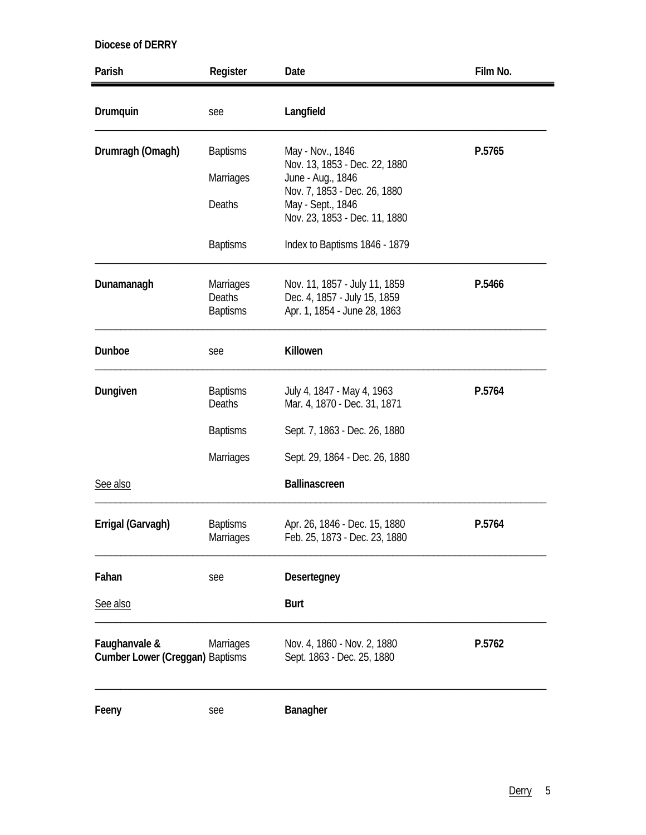| Parish                                                  | Register                                      | Date                                                                                          | Film No. |
|---------------------------------------------------------|-----------------------------------------------|-----------------------------------------------------------------------------------------------|----------|
| Drumquin                                                | see                                           | Langfield                                                                                     |          |
| Drumragh (Omagh)                                        | <b>Baptisms</b>                               | May - Nov., 1846                                                                              | P.5765   |
|                                                         | Marriages                                     | Nov. 13, 1853 - Dec. 22, 1880<br>June - Aug., 1846                                            |          |
|                                                         | Deaths                                        | Nov. 7, 1853 - Dec. 26, 1880<br>May - Sept., 1846<br>Nov. 23, 1853 - Dec. 11, 1880            |          |
|                                                         | <b>Baptisms</b>                               | Index to Baptisms 1846 - 1879                                                                 |          |
| Dunamanagh                                              | <b>Marriages</b><br>Deaths<br><b>Baptisms</b> | Nov. 11, 1857 - July 11, 1859<br>Dec. 4, 1857 - July 15, 1859<br>Apr. 1, 1854 - June 28, 1863 | P.5466   |
| Dunboe                                                  | see                                           | Killowen                                                                                      |          |
| Dungiven                                                | <b>Baptisms</b><br><b>Deaths</b>              | July 4, 1847 - May 4, 1963<br>Mar. 4, 1870 - Dec. 31, 1871                                    | P.5764   |
|                                                         | <b>Baptisms</b>                               | Sept. 7, 1863 - Dec. 26, 1880                                                                 |          |
|                                                         | Marriages                                     | Sept. 29, 1864 - Dec. 26, 1880                                                                |          |
| See also                                                |                                               | <b>Ballinascreen</b>                                                                          |          |
| Errigal (Garvagh)                                       | <b>Baptisms</b><br>Marriages                  | Apr. 26, 1846 - Dec. 15, 1880<br>Feb. 25, 1873 - Dec. 23, 1880                                | P.5764   |
| Fahan                                                   | see                                           | Desertegney                                                                                   |          |
| See also                                                |                                               | <b>Burt</b>                                                                                   |          |
| Faughanvale &<br><b>Cumber Lower (Creggan) Baptisms</b> | <b>Marriages</b>                              | Nov. 4, 1860 - Nov. 2, 1880<br>Sept. 1863 - Dec. 25, 1880                                     | P.5762   |
| Feeny                                                   | see                                           | Banagher                                                                                      |          |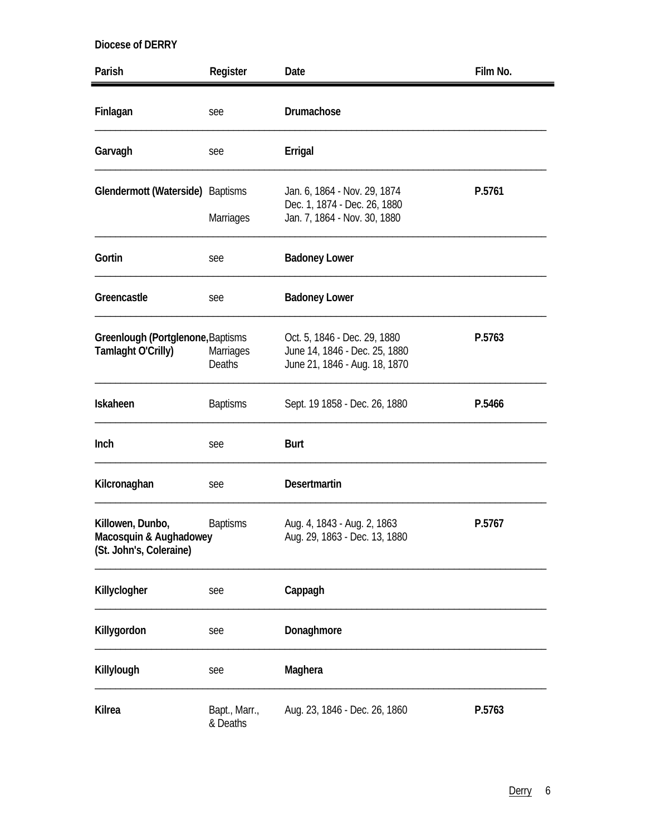| Parish                                                                | Register                          | Date                                                                                           | Film No. |
|-----------------------------------------------------------------------|-----------------------------------|------------------------------------------------------------------------------------------------|----------|
| Finlagan                                                              | see                               | Drumachose                                                                                     |          |
| Garvagh                                                               | see                               | Errigal                                                                                        |          |
| Glendermott (Waterside) Baptisms                                      | <b>Marriages</b>                  | Jan. 6, 1864 - Nov. 29, 1874<br>Dec. 1, 1874 - Dec. 26, 1880<br>Jan. 7, 1864 - Nov. 30, 1880   | P.5761   |
| Gortin                                                                | see                               | <b>Badoney Lower</b>                                                                           |          |
| Greencastle                                                           | see                               | <b>Badoney Lower</b>                                                                           |          |
| Greenlough (Portglenone, Baptisms<br>Tamlaght O'Crilly)               | <b>Marriages</b><br><b>Deaths</b> | Oct. 5, 1846 - Dec. 29, 1880<br>June 14, 1846 - Dec. 25, 1880<br>June 21, 1846 - Aug. 18, 1870 | P.5763   |
| Iskaheen                                                              | <b>Baptisms</b>                   | Sept. 19 1858 - Dec. 26, 1880                                                                  | P.5466   |
| Inch                                                                  | see                               | <b>Burt</b>                                                                                    |          |
| Kilcronaghan                                                          | see                               | <b>Desertmartin</b>                                                                            |          |
| Killowen, Dunbo,<br>Macosquin & Aughadowey<br>(St. John's, Coleraine) | <b>Baptisms</b>                   | Aug. 4, 1843 - Aug. 2, 1863<br>Aug. 29, 1863 - Dec. 13, 1880                                   | P.5767   |
| Killyclogher                                                          | see                               | Cappagh                                                                                        |          |
| Killygordon                                                           | see                               | Donaghmore                                                                                     |          |
| Killylough                                                            | see                               | Maghera                                                                                        |          |
| Kilrea                                                                | Bapt., Marr.,<br>& Deaths         | Aug. 23, 1846 - Dec. 26, 1860                                                                  | P.5763   |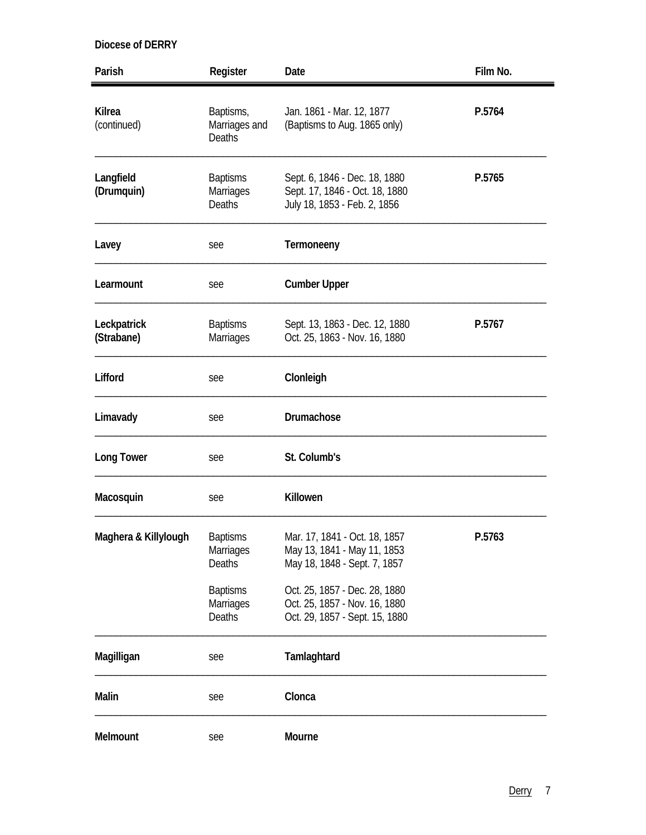| Parish                       | Register                                      | Date                                                                                             | Film No. |
|------------------------------|-----------------------------------------------|--------------------------------------------------------------------------------------------------|----------|
| <b>Kilrea</b><br>(continued) | Baptisms,<br>Marriages and<br>Deaths          | Jan. 1861 - Mar. 12, 1877<br>(Baptisms to Aug. 1865 only)                                        | P.5764   |
| Langfield<br>(Drumquin)      | <b>Baptisms</b><br>Marriages<br><b>Deaths</b> | Sept. 6, 1846 - Dec. 18, 1880<br>Sept. 17, 1846 - Oct. 18, 1880<br>July 18, 1853 - Feb. 2, 1856  | P.5765   |
| Lavey                        | see                                           | Termoneeny                                                                                       |          |
| Learmount                    | see                                           | <b>Cumber Upper</b>                                                                              |          |
| Leckpatrick<br>(Strabane)    | <b>Baptisms</b><br><b>Marriages</b>           | Sept. 13, 1863 - Dec. 12, 1880<br>Oct. 25, 1863 - Nov. 16, 1880                                  | P.5767   |
| Lifford                      | see                                           | Clonleigh                                                                                        |          |
| Limavady                     | see                                           | Drumachose                                                                                       |          |
| <b>Long Tower</b>            | see                                           | St. Columb's                                                                                     |          |
| Macosquin                    | see                                           | Killowen                                                                                         |          |
| Maghera & Killylough         | <b>Baptisms</b><br>Marriages<br>Deaths        | Mar. 17, 1841 - Oct. 18, 1857<br>May 13, 1841 - May 11, 1853<br>May 18, 1848 - Sept. 7, 1857     | P.5763   |
|                              | <b>Baptisms</b><br>Marriages<br><b>Deaths</b> | Oct. 25, 1857 - Dec. 28, 1880<br>Oct. 25, 1857 - Nov. 16, 1880<br>Oct. 29, 1857 - Sept. 15, 1880 |          |
| Magilligan                   | see                                           | Tamlaghtard                                                                                      |          |
| Malin                        | see                                           | Clonca                                                                                           |          |
| Melmount                     | see                                           | Mourne                                                                                           |          |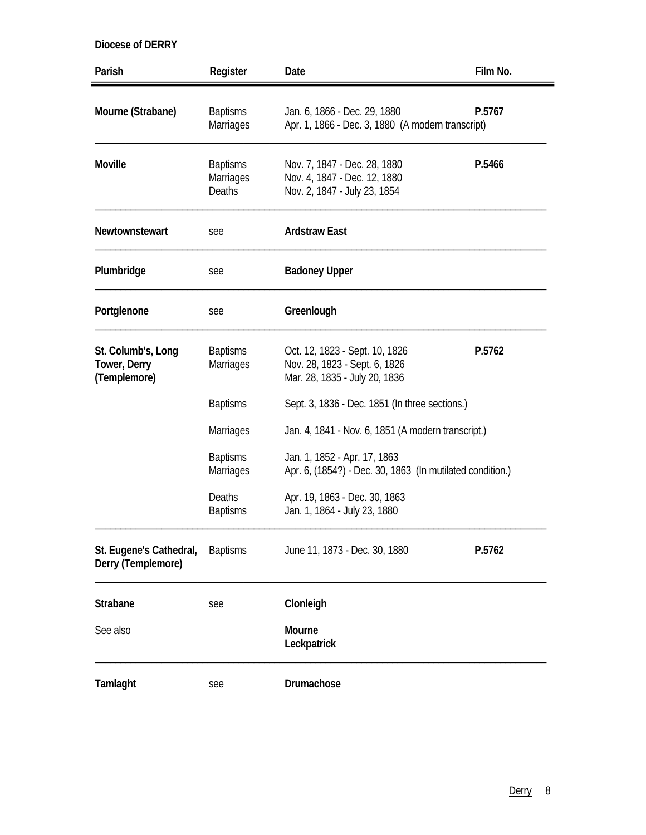| Parish                                             | Register                                      | Date                                                                                             | Film No.                                       |
|----------------------------------------------------|-----------------------------------------------|--------------------------------------------------------------------------------------------------|------------------------------------------------|
| Mourne (Strabane)                                  | <b>Baptisms</b><br>Marriages                  | Jan. 6, 1866 - Dec. 29, 1880<br>Apr. 1, 1866 - Dec. 3, 1880 (A modern transcript)                | P.5767                                         |
| <b>Moville</b>                                     | <b>Baptisms</b><br>Marriages<br><b>Deaths</b> | Nov. 7, 1847 - Dec. 28, 1880<br>Nov. 4, 1847 - Dec. 12, 1880<br>Nov. 2, 1847 - July 23, 1854     | P.5466                                         |
| Newtownstewart                                     | see                                           | <b>Ardstraw East</b>                                                                             |                                                |
| Plumbridge                                         | see                                           | <b>Badoney Upper</b>                                                                             |                                                |
| Portglenone                                        | see                                           | Greenlough                                                                                       |                                                |
| St. Columb's, Long<br>Tower, Derry<br>(Templemore) | <b>Baptisms</b><br><b>Marriages</b>           | Oct. 12, 1823 - Sept. 10, 1826<br>Nov. 28, 1823 - Sept. 6, 1826<br>Mar. 28, 1835 - July 20, 1836 | P.5762                                         |
|                                                    | <b>Baptisms</b>                               |                                                                                                  | Sept. 3, 1836 - Dec. 1851 (In three sections.) |
|                                                    | Marriages                                     | Jan. 4, 1841 - Nov. 6, 1851 (A modern transcript.)                                               |                                                |
|                                                    | <b>Baptisms</b><br>Marriages                  | Jan. 1, 1852 - Apr. 17, 1863<br>Apr. 6, (1854?) - Dec. 30, 1863 (In mutilated condition.)        |                                                |
|                                                    | Deaths<br><b>Baptisms</b>                     | Apr. 19, 1863 - Dec. 30, 1863<br>Jan. 1, 1864 - July 23, 1880                                    |                                                |
| St. Eugene's Cathedral,<br>Derry (Templemore)      | <b>Baptisms</b>                               | June 11, 1873 - Dec. 30, 1880                                                                    | P.5762                                         |
| <b>Strabane</b>                                    | see                                           | Clonleigh                                                                                        |                                                |
| See also                                           |                                               | Mourne<br>Leckpatrick                                                                            |                                                |
| Tamlaght                                           | see                                           | Drumachose                                                                                       |                                                |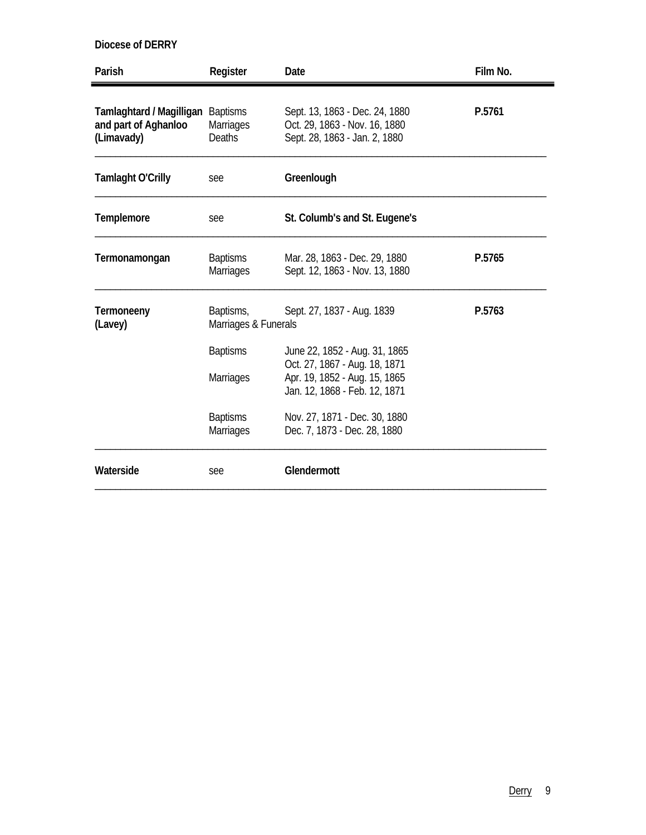| Parish                                                                  | Register                            | Date                                                                                             | Film No. |
|-------------------------------------------------------------------------|-------------------------------------|--------------------------------------------------------------------------------------------------|----------|
| Tamlaghtard / Magilligan Baptisms<br>and part of Aghanloo<br>(Limavady) | <b>Marriages</b><br><b>Deaths</b>   | Sept. 13, 1863 - Dec. 24, 1880<br>Oct. 29, 1863 - Nov. 16, 1880<br>Sept. 28, 1863 - Jan. 2, 1880 | P.5761   |
| <b>Tamlaght O'Crilly</b>                                                | see                                 | Greenlough                                                                                       |          |
| Templemore                                                              | see                                 | St. Columb's and St. Eugene's                                                                    |          |
| Termonamongan                                                           | <b>Baptisms</b><br><b>Marriages</b> | Mar. 28, 1863 - Dec. 29, 1880<br>Sept. 12, 1863 - Nov. 13, 1880                                  | P.5765   |
| Termoneeny<br>(Lavey)                                                   | Baptisms,<br>Marriages & Funerals   | Sept. 27, 1837 - Aug. 1839                                                                       | P.5763   |
|                                                                         | <b>Baptisms</b>                     | June 22, 1852 - Aug. 31, 1865                                                                    |          |
|                                                                         | <b>Marriages</b>                    | Oct. 27, 1867 - Aug. 18, 1871<br>Apr. 19, 1852 - Aug. 15, 1865<br>Jan. 12, 1868 - Feb. 12, 1871  |          |
|                                                                         | <b>Baptisms</b><br><b>Marriages</b> | Nov. 27, 1871 - Dec. 30, 1880<br>Dec. 7, 1873 - Dec. 28, 1880                                    |          |
| Waterside                                                               | see                                 | Glendermott                                                                                      |          |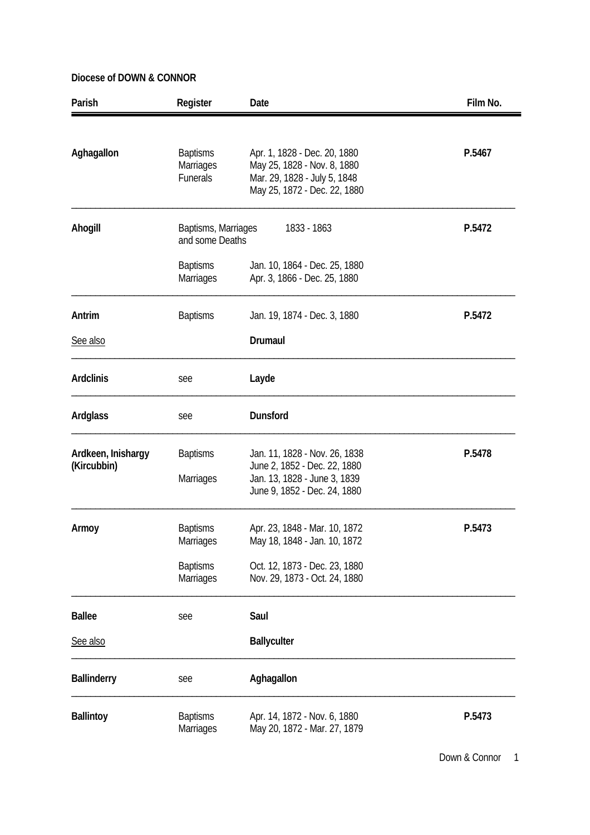| Parish                            | Register                                        | Date                                                                                                                          | Film No. |
|-----------------------------------|-------------------------------------------------|-------------------------------------------------------------------------------------------------------------------------------|----------|
| Aghagallon                        | <b>Baptisms</b><br>Marriages<br><b>Funerals</b> | Apr. 1, 1828 - Dec. 20, 1880<br>May 25, 1828 - Nov. 8, 1880<br>Mar. 29, 1828 - July 5, 1848<br>May 25, 1872 - Dec. 22, 1880   | P.5467   |
| Ahogill                           | Baptisms, Marriages<br>and some Deaths          | 1833 - 1863                                                                                                                   | P.5472   |
|                                   | <b>Baptisms</b><br><b>Marriages</b>             | Jan. 10, 1864 - Dec. 25, 1880<br>Apr. 3, 1866 - Dec. 25, 1880                                                                 |          |
| Antrim                            | <b>Baptisms</b>                                 | Jan. 19, 1874 - Dec. 3, 1880                                                                                                  | P.5472   |
| See also                          |                                                 | Drumaul                                                                                                                       |          |
| <b>Ardclinis</b>                  | see                                             | Layde                                                                                                                         |          |
| Ardglass                          | see                                             | Dunsford                                                                                                                      |          |
| Ardkeen, Inishargy<br>(Kircubbin) | <b>Baptisms</b><br>Marriages                    | Jan. 11, 1828 - Nov. 26, 1838<br>June 2, 1852 - Dec. 22, 1880<br>Jan. 13, 1828 - June 3, 1839<br>June 9, 1852 - Dec. 24, 1880 | P.5478   |
| Armoy                             | <b>Baptisms</b><br>Marriages                    | Apr. 23, 1848 - Mar. 10, 1872<br>May 18, 1848 - Jan. 10, 1872                                                                 | P.5473   |
|                                   | <b>Baptisms</b><br><b>Marriages</b>             | Oct. 12, 1873 - Dec. 23, 1880<br>Nov. 29, 1873 - Oct. 24, 1880                                                                |          |
| <b>Ballee</b>                     | see                                             | Saul                                                                                                                          |          |
| See also                          |                                                 | <b>Ballyculter</b>                                                                                                            |          |
| <b>Ballinderry</b>                | see                                             | Aghagallon                                                                                                                    |          |
| <b>Ballintoy</b>                  | <b>Baptisms</b><br>Marriages                    | Apr. 14, 1872 - Nov. 6, 1880<br>May 20, 1872 - Mar. 27, 1879                                                                  | P.5473   |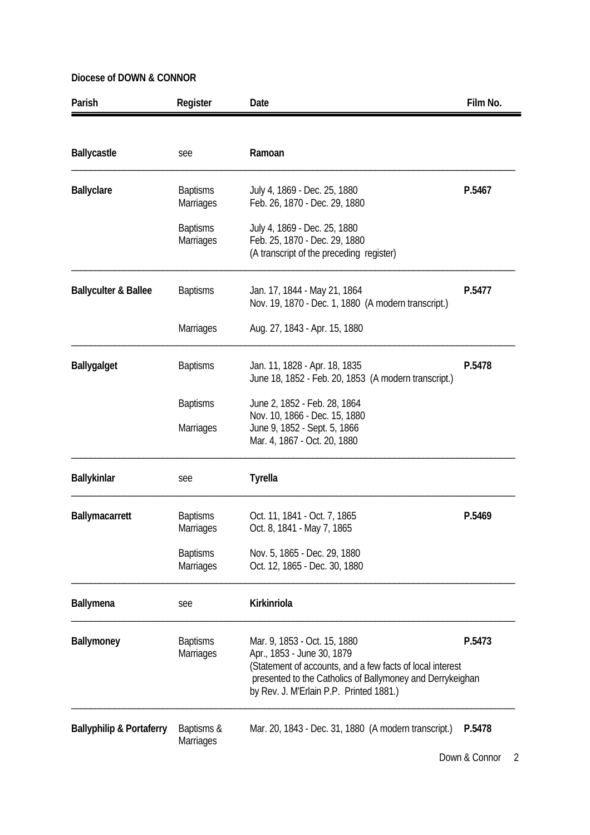| Parish                              | Register                            | Date                                                                                                                                                                                                                                      | Film No. |
|-------------------------------------|-------------------------------------|-------------------------------------------------------------------------------------------------------------------------------------------------------------------------------------------------------------------------------------------|----------|
|                                     |                                     |                                                                                                                                                                                                                                           |          |
| <b>Ballycastle</b>                  | see                                 | Ramoan                                                                                                                                                                                                                                    |          |
| <b>Ballyclare</b>                   | <b>Baptisms</b><br><b>Marriages</b> | July 4, 1869 - Dec. 25, 1880<br>Feb. 26, 1870 - Dec. 29, 1880                                                                                                                                                                             | P.5467   |
|                                     | <b>Baptisms</b><br>Marriages        | July 4, 1869 - Dec. 25, 1880<br>Feb. 25, 1870 - Dec. 29, 1880<br>(A transcript of the preceding register)                                                                                                                                 |          |
| <b>Ballyculter &amp; Ballee</b>     | <b>Baptisms</b>                     | Jan. 17, 1844 - May 21, 1864<br>Nov. 19, 1870 - Dec. 1, 1880 (A modern transcript.)                                                                                                                                                       | P.5477   |
|                                     | Marriages                           | Aug. 27, 1843 - Apr. 15, 1880                                                                                                                                                                                                             |          |
| <b>Ballygalget</b>                  | <b>Baptisms</b>                     | Jan. 11, 1828 - Apr. 18, 1835<br>June 18, 1852 - Feb. 20, 1853 (A modern transcript.)                                                                                                                                                     | P.5478   |
|                                     | <b>Baptisms</b>                     | June 2, 1852 - Feb. 28, 1864<br>Nov. 10, 1866 - Dec. 15, 1880                                                                                                                                                                             |          |
|                                     | Marriages                           | June 9, 1852 - Sept. 5, 1866<br>Mar. 4, 1867 - Oct. 20, 1880                                                                                                                                                                              |          |
| Ballykinlar                         | see                                 | <b>Tyrella</b>                                                                                                                                                                                                                            |          |
| Ballymacarrett                      | <b>Baptisms</b><br>Marriages        | Oct. 11, 1841 - Oct. 7, 1865<br>Oct. 8, 1841 - May 7, 1865                                                                                                                                                                                | P.5469   |
|                                     | <b>Baptisms</b><br><b>Marriages</b> | Nov. 5, 1865 - Dec. 29, 1880<br>Oct. 12, 1865 - Dec. 30, 1880                                                                                                                                                                             |          |
| <b>Ballymena</b>                    | see                                 | Kirkinriola                                                                                                                                                                                                                               |          |
| Ballymoney                          | <b>Baptisms</b><br><b>Marriages</b> | Mar. 9, 1853 - Oct. 15, 1880<br>P.5473<br>Apr., 1853 - June 30, 1879<br>(Statement of accounts, and a few facts of local interest<br>presented to the Catholics of Ballymoney and Derrykeighan<br>by Rev. J. M'Erlain P.P. Printed 1881.) |          |
| <b>Ballyphilip &amp; Portaferry</b> | Baptisms &<br>Marriages             | Mar. 20, 1843 - Dec. 31, 1880 (A modern transcript.)                                                                                                                                                                                      | P.5478   |

Down & Connor 2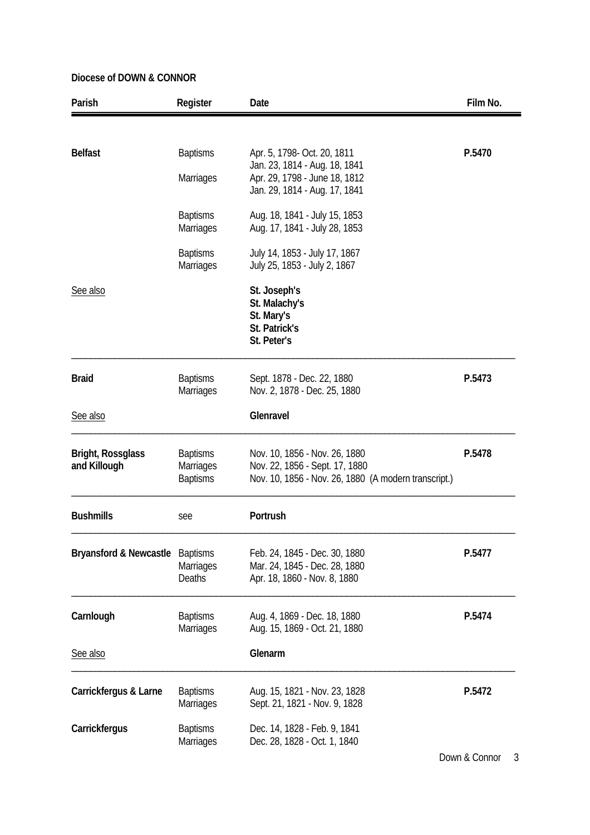| Parish                            | Register                                               | Date                                                                                                                    | Film No. |
|-----------------------------------|--------------------------------------------------------|-------------------------------------------------------------------------------------------------------------------------|----------|
|                                   |                                                        |                                                                                                                         |          |
| <b>Belfast</b>                    | <b>Baptisms</b>                                        | Apr. 5, 1798- Oct. 20, 1811                                                                                             | P.5470   |
|                                   | Marriages                                              | Jan. 23, 1814 - Aug. 18, 1841<br>Apr. 29, 1798 - June 18, 1812<br>Jan. 29, 1814 - Aug. 17, 1841                         |          |
|                                   | <b>Baptisms</b><br><b>Marriages</b>                    | Aug. 18, 1841 - July 15, 1853<br>Aug. 17, 1841 - July 28, 1853                                                          |          |
|                                   | <b>Baptisms</b><br>Marriages                           | July 14, 1853 - July 17, 1867<br>July 25, 1853 - July 2, 1867                                                           |          |
| See also                          |                                                        | St. Joseph's<br>St. Malachy's<br>St. Mary's<br>St. Patrick's<br>St. Peter's                                             |          |
| <b>Braid</b>                      | <b>Baptisms</b><br>Marriages                           | Sept. 1878 - Dec. 22, 1880<br>Nov. 2, 1878 - Dec. 25, 1880                                                              | P.5473   |
| See also                          |                                                        | Glenravel                                                                                                               |          |
| Bright, Rossglass<br>and Killough | <b>Baptisms</b><br><b>Marriages</b><br><b>Baptisms</b> | Nov. 10, 1856 - Nov. 26, 1880<br>Nov. 22, 1856 - Sept. 17, 1880<br>Nov. 10, 1856 - Nov. 26, 1880 (A modern transcript.) | P.5478   |
| <b>Bushmills</b>                  | see                                                    | Portrush                                                                                                                |          |
| Bryansford & Newcastle            | <b>Baptisms</b><br><b>Marriages</b><br><b>Deaths</b>   | Feb. 24, 1845 - Dec. 30, 1880<br>Mar. 24, 1845 - Dec. 28, 1880<br>Apr. 18, 1860 - Nov. 8, 1880                          | P.5477   |
| Carnlough                         | <b>Baptisms</b><br><b>Marriages</b>                    | Aug. 4, 1869 - Dec. 18, 1880<br>Aug. 15, 1869 - Oct. 21, 1880                                                           | P.5474   |
| See also                          |                                                        | Glenarm                                                                                                                 |          |
| Carrickfergus & Larne             | <b>Baptisms</b><br><b>Marriages</b>                    | Aug. 15, 1821 - Nov. 23, 1828<br>Sept. 21, 1821 - Nov. 9, 1828                                                          | P.5472   |
| Carrickfergus                     | <b>Baptisms</b><br><b>Marriages</b>                    | Dec. 14, 1828 - Feb. 9, 1841<br>Dec. 28, 1828 - Oct. 1, 1840                                                            |          |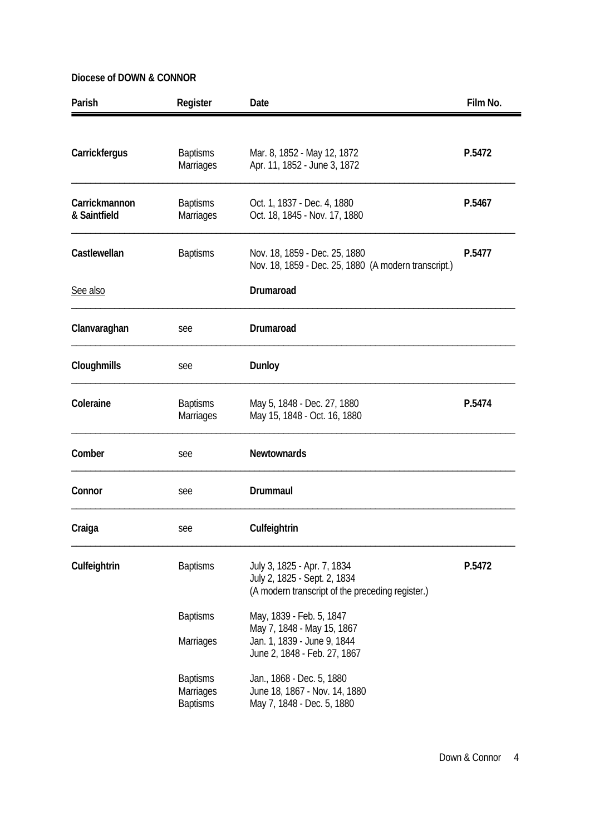| Parish                        | Register                            | Date                                                                                                            | Film No. |
|-------------------------------|-------------------------------------|-----------------------------------------------------------------------------------------------------------------|----------|
| Carrickfergus                 | <b>Baptisms</b><br><b>Marriages</b> | Mar. 8, 1852 - May 12, 1872<br>Apr. 11, 1852 - June 3, 1872                                                     | P.5472   |
| Carrickmannon<br>& Saintfield | <b>Baptisms</b><br><b>Marriages</b> | Oct. 1, 1837 - Dec. 4, 1880<br>P.5467<br>Oct. 18, 1845 - Nov. 17, 1880                                          |          |
| Castlewellan                  | <b>Baptisms</b>                     | Nov. 18, 1859 - Dec. 25, 1880<br>P.5477<br>Nov. 18, 1859 - Dec. 25, 1880 (A modern transcript.)                 |          |
| See also                      |                                     | Drumaroad                                                                                                       |          |
| Clanvaraghan                  | see                                 | Drumaroad                                                                                                       |          |
| Cloughmills                   | see                                 | Dunloy                                                                                                          |          |
| Coleraine                     | <b>Baptisms</b><br>Marriages        | May 5, 1848 - Dec. 27, 1880<br>May 15, 1848 - Oct. 16, 1880                                                     | P.5474   |
| Comber                        | see                                 | <b>Newtownards</b>                                                                                              |          |
| Connor                        | see                                 | Drummaul                                                                                                        |          |
| Craiga                        | see                                 | Culfeightrin                                                                                                    |          |
| Culfeightrin                  | <b>Baptisms</b>                     | July 3, 1825 - Apr. 7, 1834<br>July 2, 1825 - Sept. 2, 1834<br>(A modern transcript of the preceding register.) | P.5472   |
|                               | <b>Baptisms</b>                     | May, 1839 - Feb. 5, 1847<br>May 7, 1848 - May 15, 1867                                                          |          |
|                               | Marriages                           | Jan. 1, 1839 - June 9, 1844<br>June 2, 1848 - Feb. 27, 1867                                                     |          |
|                               | <b>Baptisms</b><br>Marriages        | Jan., 1868 - Dec. 5, 1880<br>June 18, 1867 - Nov. 14, 1880                                                      |          |
|                               | <b>Baptisms</b>                     | May 7, 1848 - Dec. 5, 1880                                                                                      |          |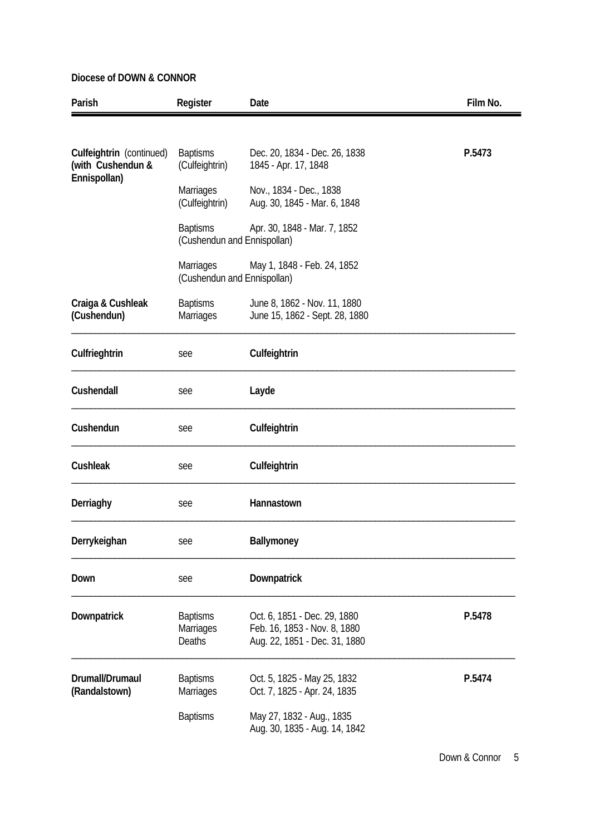| Parish                                                        | Register                                        | Date                                                                                          | Film No. |
|---------------------------------------------------------------|-------------------------------------------------|-----------------------------------------------------------------------------------------------|----------|
|                                                               |                                                 |                                                                                               |          |
| Culfeightrin (continued)<br>(with Cushendun &<br>Ennispollan) | <b>Baptisms</b><br>(Culfeightrin)               | Dec. 20, 1834 - Dec. 26, 1838<br>1845 - Apr. 17, 1848                                         | P.5473   |
|                                                               | <b>Marriages</b><br>(Culfeightrin)              | Nov., 1834 - Dec., 1838<br>Aug. 30, 1845 - Mar. 6, 1848                                       |          |
|                                                               | <b>Baptisms</b><br>(Cushendun and Ennispollan)  | Apr. 30, 1848 - Mar. 7, 1852                                                                  |          |
|                                                               | <b>Marriages</b><br>(Cushendun and Ennispollan) | May 1, 1848 - Feb. 24, 1852                                                                   |          |
| Craiga & Cushleak<br>(Cushendun)                              | <b>Baptisms</b><br>Marriages                    | June 8, 1862 - Nov. 11, 1880<br>June 15, 1862 - Sept. 28, 1880                                |          |
| Culfrieghtrin                                                 | see                                             | Culfeightrin                                                                                  |          |
| Cushendall                                                    | see                                             | Layde                                                                                         |          |
| Cushendun                                                     | see                                             | Culfeightrin                                                                                  |          |
| Cushleak                                                      | see                                             | Culfeightrin                                                                                  |          |
| Derriaghy                                                     | see                                             | Hannastown                                                                                    |          |
| Derrykeighan                                                  | see                                             | Ballymoney                                                                                    |          |
| Down                                                          | see                                             | Downpatrick                                                                                   |          |
| Downpatrick                                                   | <b>Baptisms</b><br>Marriages<br>Deaths          | Oct. 6, 1851 - Dec. 29, 1880<br>Feb. 16, 1853 - Nov. 8, 1880<br>Aug. 22, 1851 - Dec. 31, 1880 | P.5478   |
| Drumall/Drumaul<br>(Randalstown)                              | <b>Baptisms</b><br><b>Marriages</b>             | Oct. 5, 1825 - May 25, 1832<br>Oct. 7, 1825 - Apr. 24, 1835                                   | P.5474   |
|                                                               | <b>Baptisms</b>                                 | May 27, 1832 - Aug., 1835<br>Aug. 30, 1835 - Aug. 14, 1842                                    |          |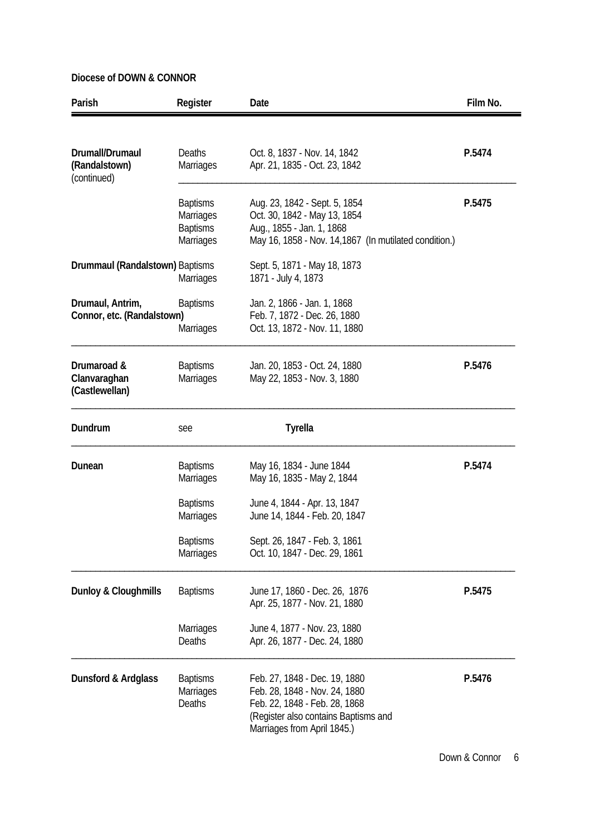| Parish                                          | Register                                                                   | Date                                                                                                                                                                   | Film No. |
|-------------------------------------------------|----------------------------------------------------------------------------|------------------------------------------------------------------------------------------------------------------------------------------------------------------------|----------|
| Drumall/Drumaul<br>(Randalstown)<br>(continued) | <b>Deaths</b><br><b>Marriages</b>                                          | Oct. 8, 1837 - Nov. 14, 1842<br>Apr. 21, 1835 - Oct. 23, 1842                                                                                                          | P.5474   |
|                                                 | <b>Baptisms</b><br><b>Marriages</b><br><b>Baptisms</b><br><b>Marriages</b> | Aug. 23, 1842 - Sept. 5, 1854<br>Oct. 30, 1842 - May 13, 1854<br>Aug., 1855 - Jan. 1, 1868<br>May 16, 1858 - Nov. 14, 1867 (In mutilated condition.)                   | P.5475   |
| Drummaul (Randalstown) Baptisms                 | <b>Marriages</b>                                                           | Sept. 5, 1871 - May 18, 1873<br>1871 - July 4, 1873                                                                                                                    |          |
| Drumaul, Antrim,<br>Connor, etc. (Randalstown)  | <b>Baptisms</b><br><b>Marriages</b>                                        | Jan. 2, 1866 - Jan. 1, 1868<br>Feb. 7, 1872 - Dec. 26, 1880<br>Oct. 13, 1872 - Nov. 11, 1880                                                                           |          |
| Drumaroad &<br>Clanvaraghan<br>(Castlewellan)   | <b>Baptisms</b><br><b>Marriages</b>                                        | Jan. 20, 1853 - Oct. 24, 1880<br>May 22, 1853 - Nov. 3, 1880                                                                                                           | P.5476   |
| Dundrum                                         | see                                                                        | <b>Tyrella</b>                                                                                                                                                         |          |
| Dunean                                          | <b>Baptisms</b><br><b>Marriages</b>                                        | May 16, 1834 - June 1844<br>May 16, 1835 - May 2, 1844                                                                                                                 | P.5474   |
|                                                 | <b>Baptisms</b><br><b>Marriages</b>                                        | June 4, 1844 - Apr. 13, 1847<br>June 14, 1844 - Feb. 20, 1847                                                                                                          |          |
|                                                 | <b>Baptisms</b><br>Marriages                                               | Sept. 26, 1847 - Feb. 3, 1861<br>Oct. 10, 1847 - Dec. 29, 1861                                                                                                         |          |
| <b>Dunloy &amp; Cloughmills</b>                 | <b>Baptisms</b>                                                            | June 17, 1860 - Dec. 26, 1876<br>Apr. 25, 1877 - Nov. 21, 1880                                                                                                         | P.5475   |
|                                                 | <b>Marriages</b><br>Deaths                                                 | June 4, 1877 - Nov. 23, 1880<br>Apr. 26, 1877 - Dec. 24, 1880                                                                                                          |          |
| Dunsford & Ardglass                             | <b>Baptisms</b><br>Marriages<br>Deaths                                     | Feb. 27, 1848 - Dec. 19, 1880<br>Feb. 28, 1848 - Nov. 24, 1880<br>Feb. 22, 1848 - Feb. 28, 1868<br>(Register also contains Baptisms and<br>Marriages from April 1845.) | P.5476   |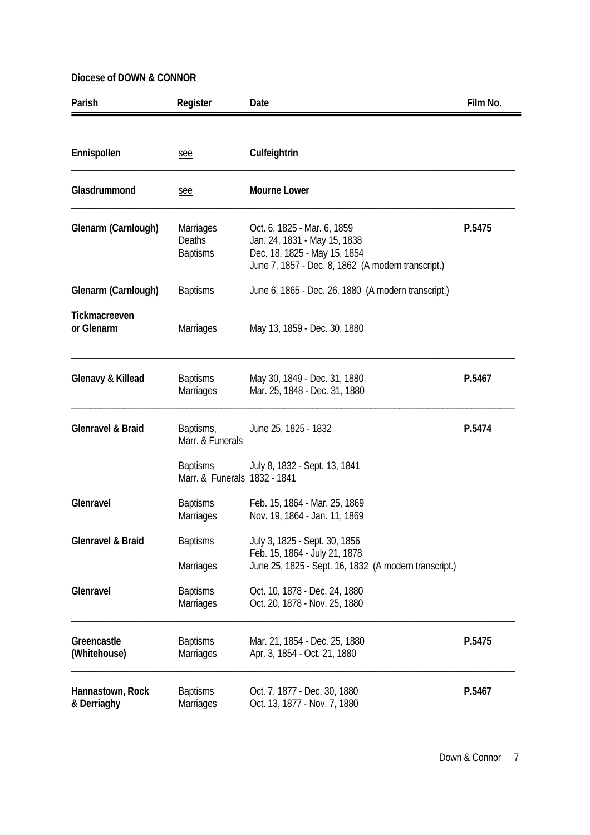| Parish                          | Register                                                | Date                                                                                                                                              | Film No. |
|---------------------------------|---------------------------------------------------------|---------------------------------------------------------------------------------------------------------------------------------------------------|----------|
| Ennispollen                     | see                                                     | Culfeightrin                                                                                                                                      |          |
| Glasdrummond                    | see                                                     | <b>Mourne Lower</b>                                                                                                                               |          |
| Glenarm (Carnlough)             | <b>Marriages</b><br><b>Deaths</b><br><b>Baptisms</b>    | Oct. 6, 1825 - Mar. 6, 1859<br>Jan. 24, 1831 - May 15, 1838<br>Dec. 18, 1825 - May 15, 1854<br>June 7, 1857 - Dec. 8, 1862 (A modern transcript.) | P.5475   |
| Glenarm (Carnlough)             | <b>Baptisms</b>                                         | June 6, 1865 - Dec. 26, 1880 (A modern transcript.)                                                                                               |          |
| Tickmacreeven<br>or Glenarm     | <b>Marriages</b>                                        | May 13, 1859 - Dec. 30, 1880                                                                                                                      |          |
| Glenavy & Killead               | <b>Baptisms</b><br><b>Marriages</b>                     | May 30, 1849 - Dec. 31, 1880<br>Mar. 25, 1848 - Dec. 31, 1880                                                                                     | P.5467   |
| <b>Glenravel &amp; Braid</b>    | Baptisms,<br>Marr. & Funerals                           | June 25, 1825 - 1832                                                                                                                              | P.5474   |
|                                 | <b>Baptisms</b><br>Marr, & Funerals 1832 - 1841         | July 8, 1832 - Sept. 13, 1841                                                                                                                     |          |
| Glenravel                       | <b>Baptisms</b><br><b>Marriages</b>                     | Feb. 15, 1864 - Mar. 25, 1869<br>Nov. 19, 1864 - Jan. 11, 1869                                                                                    |          |
| <b>Glenravel &amp; Braid</b>    | <b>Baptisms</b>                                         | July 3, 1825 - Sept. 30, 1856<br>Feb. 15, 1864 - July 21, 1878<br>June 25, 1825 - Sept. 16, 1832 (A modern transcript.)                           |          |
| Glenravel                       | <b>Marriages</b><br><b>Baptisms</b><br><b>Marriages</b> | Oct. 10, 1878 - Dec. 24, 1880<br>Oct. 20, 1878 - Nov. 25, 1880                                                                                    |          |
| Greencastle<br>(Whitehouse)     | <b>Baptisms</b><br><b>Marriages</b>                     | Mar. 21, 1854 - Dec. 25, 1880<br>Apr. 3, 1854 - Oct. 21, 1880                                                                                     | P.5475   |
| Hannastown, Rock<br>& Derriaghy | <b>Baptisms</b><br><b>Marriages</b>                     | Oct. 7, 1877 - Dec. 30, 1880<br>Oct. 13, 1877 - Nov. 7, 1880                                                                                      | P.5467   |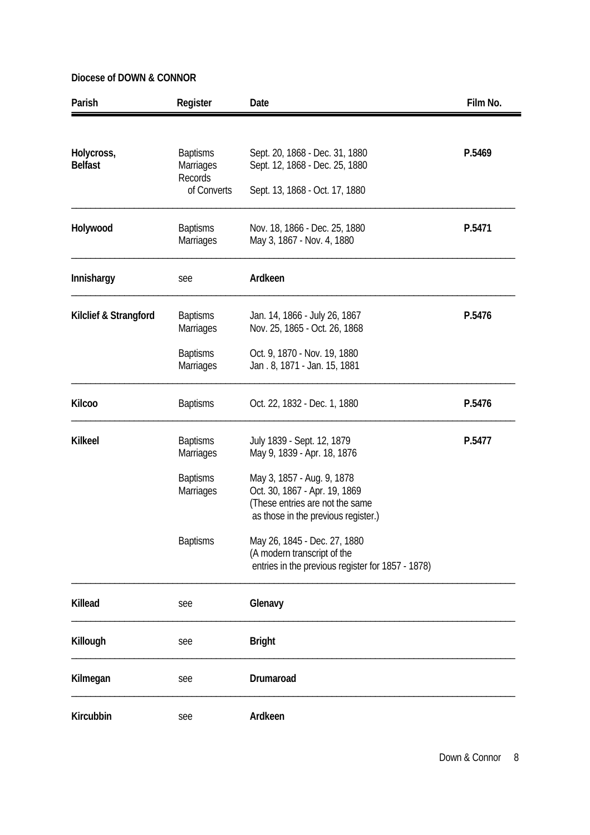| Parish                       | Register                                                                   | Date                                                                                                                                                        | Film No. |
|------------------------------|----------------------------------------------------------------------------|-------------------------------------------------------------------------------------------------------------------------------------------------------------|----------|
| Holycross,<br><b>Belfast</b> | <b>Baptisms</b><br><b>Marriages</b><br>Records<br>of Converts              | Sept. 20, 1868 - Dec. 31, 1880<br>Sept. 12, 1868 - Dec. 25, 1880<br>Sept. 13, 1868 - Oct. 17, 1880                                                          | P.5469   |
| Holywood                     | <b>Baptisms</b><br>Marriages                                               | Nov. 18, 1866 - Dec. 25, 1880<br>May 3, 1867 - Nov. 4, 1880                                                                                                 | P.5471   |
| Innishargy                   | see                                                                        | Ardkeen                                                                                                                                                     |          |
| Kilclief & Strangford        | <b>Baptisms</b><br><b>Marriages</b><br><b>Baptisms</b><br><b>Marriages</b> | Jan. 14, 1866 - July 26, 1867<br>Nov. 25, 1865 - Oct. 26, 1868<br>Oct. 9, 1870 - Nov. 19, 1880<br>Jan. 8, 1871 - Jan. 15, 1881                              | P.5476   |
| <b>Kilcoo</b>                | <b>Baptisms</b>                                                            | Oct. 22, 1832 - Dec. 1, 1880                                                                                                                                | P.5476   |
| <b>Kilkeel</b>               | <b>Baptisms</b><br>Marriages<br><b>Baptisms</b><br><b>Marriages</b>        | July 1839 - Sept. 12, 1879<br>May 9, 1839 - Apr. 18, 1876<br>May 3, 1857 - Aug. 9, 1878<br>Oct. 30, 1867 - Apr. 19, 1869<br>(These entries are not the same | P.5477   |
|                              | <b>Baptisms</b>                                                            | as those in the previous register.)<br>May 26, 1845 - Dec. 27, 1880<br>(A modern transcript of the<br>entries in the previous register for 1857 - 1878)     |          |
| Killead                      | see                                                                        | Glenavy                                                                                                                                                     |          |
| Killough                     | see                                                                        | <b>Bright</b>                                                                                                                                               |          |
| Kilmegan                     | see                                                                        | Drumaroad                                                                                                                                                   |          |
| Kircubbin                    | see                                                                        | Ardkeen                                                                                                                                                     |          |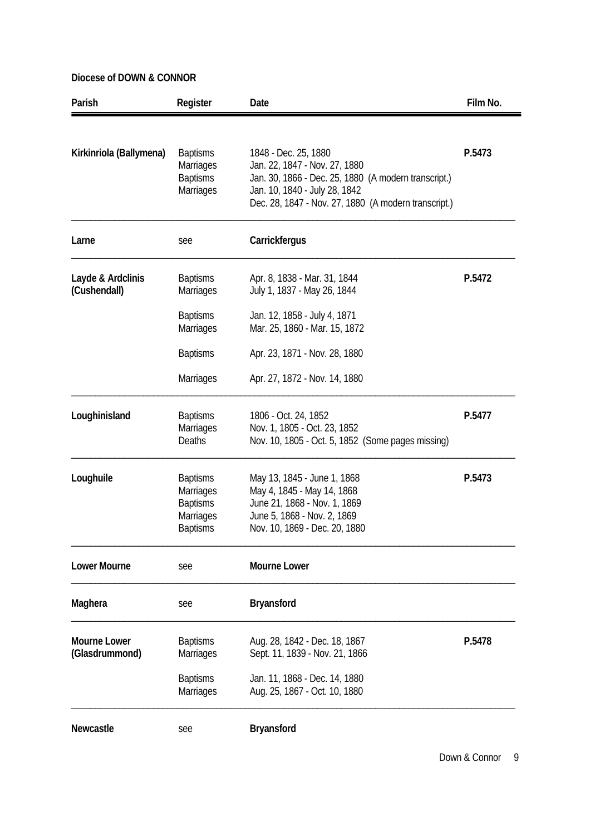| Parish                  | Register                     | Date                                                                                  | Film No. |
|-------------------------|------------------------------|---------------------------------------------------------------------------------------|----------|
|                         |                              |                                                                                       |          |
| Kirkinriola (Ballymena) | <b>Baptisms</b>              | 1848 - Dec. 25, 1880                                                                  | P.5473   |
|                         | Marriages                    | Jan. 22, 1847 - Nov. 27, 1880                                                         |          |
|                         | <b>Baptisms</b><br>Marriages | Jan. 30, 1866 - Dec. 25, 1880 (A modern transcript.)<br>Jan. 10, 1840 - July 28, 1842 |          |
|                         |                              | Dec. 28, 1847 - Nov. 27, 1880 (A modern transcript.)                                  |          |
| Larne                   | see                          | Carrickfergus                                                                         |          |
| Layde & Ardclinis       | <b>Baptisms</b>              | Apr. 8, 1838 - Mar. 31, 1844                                                          | P.5472   |
| (Cushendall)            | <b>Marriages</b>             | July 1, 1837 - May 26, 1844                                                           |          |
|                         | <b>Baptisms</b>              | Jan. 12, 1858 - July 4, 1871                                                          |          |
|                         | <b>Marriages</b>             | Mar. 25, 1860 - Mar. 15, 1872                                                         |          |
|                         |                              |                                                                                       |          |
|                         | <b>Baptisms</b>              | Apr. 23, 1871 - Nov. 28, 1880                                                         |          |
|                         | <b>Marriages</b>             | Apr. 27, 1872 - Nov. 14, 1880                                                         |          |
| Loughinisland           | <b>Baptisms</b>              | 1806 - Oct. 24, 1852                                                                  | P.5477   |
|                         | <b>Marriages</b>             | Nov. 1, 1805 - Oct. 23, 1852                                                          |          |
|                         | <b>Deaths</b>                | Nov. 10, 1805 - Oct. 5, 1852 (Some pages missing)                                     |          |
| Loughuile               | <b>Baptisms</b>              | May 13, 1845 - June 1, 1868                                                           | P.5473   |
|                         | <b>Marriages</b>             | May 4, 1845 - May 14, 1868                                                            |          |
|                         | <b>Baptisms</b>              | June 21, 1868 - Nov. 1, 1869                                                          |          |
|                         | Marriages                    | June 5, 1868 - Nov. 2, 1869                                                           |          |
|                         | <b>Baptisms</b>              | Nov. 10, 1869 - Dec. 20, 1880                                                         |          |
| <b>Lower Mourne</b>     | see                          | <b>Mourne Lower</b>                                                                   |          |
| Maghera                 | see                          | <b>Bryansford</b>                                                                     |          |
| <b>Mourne Lower</b>     | <b>Baptisms</b>              | Aug. 28, 1842 - Dec. 18, 1867                                                         | P.5478   |
| (Glasdrummond)          | <b>Marriages</b>             | Sept. 11, 1839 - Nov. 21, 1866                                                        |          |
|                         | <b>Baptisms</b>              | Jan. 11, 1868 - Dec. 14, 1880                                                         |          |
|                         | <b>Marriages</b>             | Aug. 25, 1867 - Oct. 10, 1880                                                         |          |
| Newcastle               |                              |                                                                                       |          |
|                         | see                          | <b>Bryansford</b>                                                                     |          |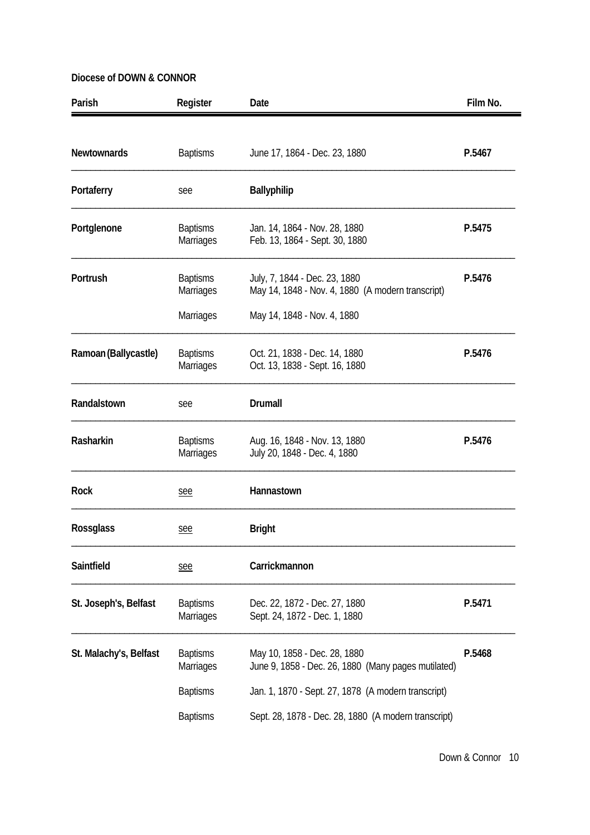| Parish                 | Register                            | Date                                                                                | Film No. |
|------------------------|-------------------------------------|-------------------------------------------------------------------------------------|----------|
| <b>Newtownards</b>     | <b>Baptisms</b>                     | June 17, 1864 - Dec. 23, 1880                                                       | P.5467   |
| Portaferry             | see                                 | <b>Ballyphilip</b>                                                                  |          |
| Portglenone            | <b>Baptisms</b><br><b>Marriages</b> | Jan. 14, 1864 - Nov. 28, 1880<br>Feb. 13, 1864 - Sept. 30, 1880                     | P.5475   |
| Portrush               | <b>Baptisms</b><br>Marriages        | July, 7, 1844 - Dec. 23, 1880<br>May 14, 1848 - Nov. 4, 1880 (A modern transcript)  | P.5476   |
|                        | Marriages                           | May 14, 1848 - Nov. 4, 1880                                                         |          |
| Ramoan (Ballycastle)   | <b>Baptisms</b><br><b>Marriages</b> | Oct. 21, 1838 - Dec. 14, 1880<br>Oct. 13, 1838 - Sept. 16, 1880                     | P.5476   |
| Randalstown            | see                                 | Drumall                                                                             |          |
| Rasharkin              | <b>Baptisms</b><br>Marriages        | Aug. 16, 1848 - Nov. 13, 1880<br>July 20, 1848 - Dec. 4, 1880                       | P.5476   |
| <b>Rock</b>            | see                                 | Hannastown                                                                          |          |
| <b>Rossglass</b>       | <u>see</u>                          | <b>Bright</b>                                                                       |          |
| Saintfield             | see                                 | Carrickmannon                                                                       |          |
| St. Joseph's, Belfast  | <b>Baptisms</b><br>Marriages        | Dec. 22, 1872 - Dec. 27, 1880<br>Sept. 24, 1872 - Dec. 1, 1880                      | P.5471   |
| St. Malachy's, Belfast | <b>Baptisms</b><br><b>Marriages</b> | May 10, 1858 - Dec. 28, 1880<br>June 9, 1858 - Dec. 26, 1880 (Many pages mutilated) | P.5468   |
|                        | <b>Baptisms</b>                     | Jan. 1, 1870 - Sept. 27, 1878 (A modern transcript)                                 |          |
|                        | <b>Baptisms</b>                     | Sept. 28, 1878 - Dec. 28, 1880 (A modern transcript)                                |          |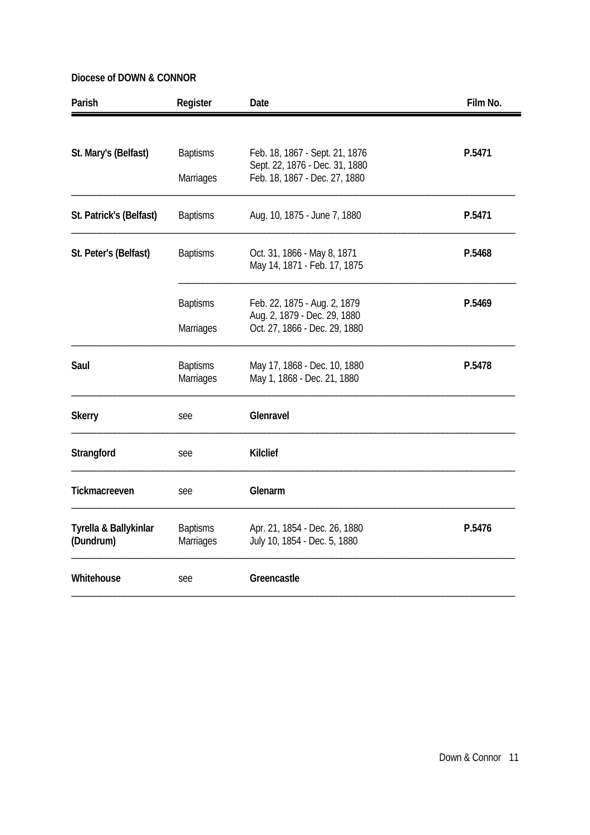| Parish                  | Register                            | Date                                                            | Film No. |
|-------------------------|-------------------------------------|-----------------------------------------------------------------|----------|
|                         |                                     |                                                                 |          |
| St. Mary's (Belfast)    | <b>Baptisms</b>                     | Feb. 18, 1867 - Sept. 21, 1876                                  | P.5471   |
|                         | Marriages                           | Sept. 22, 1876 - Dec. 31, 1880<br>Feb. 18, 1867 - Dec. 27, 1880 |          |
| St. Patrick's (Belfast) | <b>Baptisms</b>                     | Aug. 10, 1875 - June 7, 1880                                    | P.5471   |
| St. Peter's (Belfast)   | <b>Baptisms</b>                     | Oct. 31, 1866 - May 8, 1871                                     | P.5468   |
|                         |                                     | May 14, 1871 - Feb. 17, 1875                                    |          |
|                         | <b>Baptisms</b>                     | Feb. 22, 1875 - Aug. 2, 1879                                    | P.5469   |
|                         | <b>Marriages</b>                    | Aug. 2, 1879 - Dec. 29, 1880<br>Oct. 27, 1866 - Dec. 29, 1880   |          |
|                         |                                     |                                                                 |          |
| Saul                    | <b>Baptisms</b><br><b>Marriages</b> | May 17, 1868 - Dec. 10, 1880<br>May 1, 1868 - Dec. 21, 1880     | P.5478   |
| <b>Skerry</b>           | see                                 | Glenravel                                                       |          |
| Strangford              | see                                 | <b>Kilclief</b>                                                 |          |
| Tickmacreeven           | see                                 | Glenarm                                                         |          |
| Tyrella & Ballykinlar   | <b>Baptisms</b>                     | Apr. 21, 1854 - Dec. 26, 1880                                   | P.5476   |
| (Dundrum)               | Marriages                           | July 10, 1854 - Dec. 5, 1880                                    |          |
| Whitehouse              | see                                 | Greencastle                                                     |          |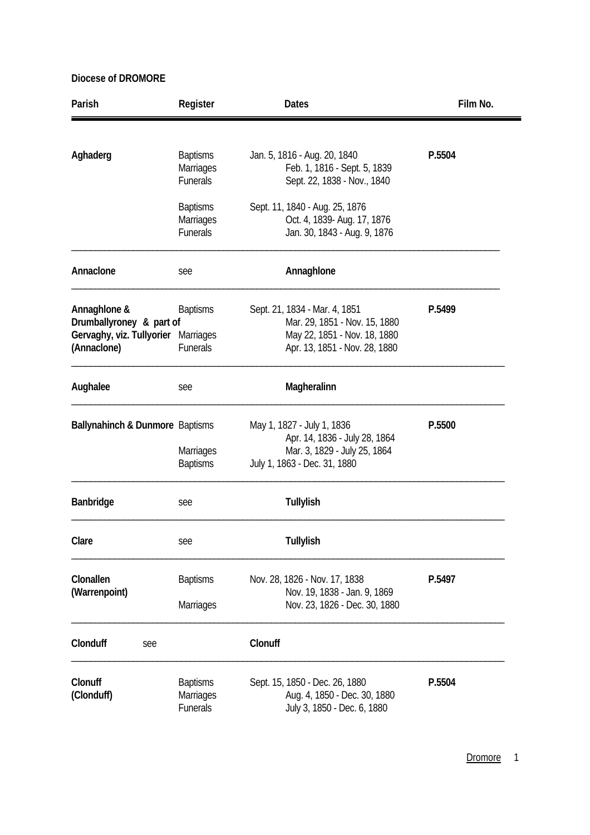| Parish                                                                                         | Register                                        | <b>Dates</b>                                                                                                                    | Film No. |
|------------------------------------------------------------------------------------------------|-------------------------------------------------|---------------------------------------------------------------------------------------------------------------------------------|----------|
|                                                                                                |                                                 |                                                                                                                                 |          |
| Aghaderg                                                                                       | <b>Baptisms</b><br>Marriages<br>Funerals        | Jan. 5, 1816 - Aug. 20, 1840<br>Feb. 1, 1816 - Sept. 5, 1839<br>Sept. 22, 1838 - Nov., 1840                                     | P.5504   |
|                                                                                                | <b>Baptisms</b><br>Marriages<br><b>Funerals</b> | Sept. 11, 1840 - Aug. 25, 1876<br>Oct. 4, 1839- Aug. 17, 1876<br>Jan. 30, 1843 - Aug. 9, 1876                                   |          |
| Annaclone                                                                                      | see                                             | Annaghlone                                                                                                                      |          |
| Annaghlone &<br>Drumballyroney & part of<br>Gervaghy, viz. Tullyorier Marriages<br>(Annaclone) | <b>Baptisms</b><br><b>Funerals</b>              | Sept. 21, 1834 - Mar. 4, 1851<br>Mar. 29, 1851 - Nov. 15, 1880<br>May 22, 1851 - Nov. 18, 1880<br>Apr. 13, 1851 - Nov. 28, 1880 | P.5499   |
| Aughalee                                                                                       | see                                             | Magheralinn                                                                                                                     |          |
| Ballynahinch & Dunmore Baptisms                                                                | Marriages                                       | May 1, 1827 - July 1, 1836<br>Apr. 14, 1836 - July 28, 1864<br>Mar. 3, 1829 - July 25, 1864                                     | P.5500   |
|                                                                                                | <b>Baptisms</b>                                 | July 1, 1863 - Dec. 31, 1880                                                                                                    |          |
| Banbridge                                                                                      | see                                             | <b>Tullylish</b>                                                                                                                |          |
| Clare                                                                                          | see                                             | Tullylish                                                                                                                       |          |
| Clonallen                                                                                      | <b>Baptisms</b>                                 | Nov. 28, 1826 - Nov. 17, 1838                                                                                                   | P.5497   |
| (Warrenpoint)                                                                                  | Marriages                                       | Nov. 19, 1838 - Jan. 9, 1869<br>Nov. 23, 1826 - Dec. 30, 1880                                                                   |          |
| Clonduff<br>see                                                                                |                                                 | Clonuff                                                                                                                         |          |
| Clonuff<br>(Clonduff)                                                                          | <b>Baptisms</b><br>Marriages<br>Funerals        | Sept. 15, 1850 - Dec. 26, 1880<br>Aug. 4, 1850 - Dec. 30, 1880<br>July 3, 1850 - Dec. 6, 1880                                   | P.5504   |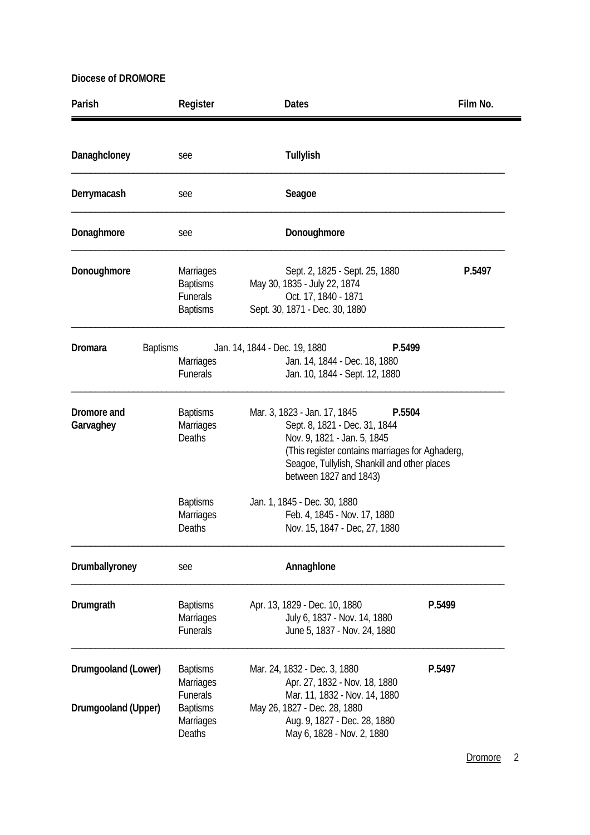| Parish                                     | Register                                                                                         | <b>Dates</b>                                                                                                                                                                                                                        | Film No. |
|--------------------------------------------|--------------------------------------------------------------------------------------------------|-------------------------------------------------------------------------------------------------------------------------------------------------------------------------------------------------------------------------------------|----------|
| Danaghcloney                               | see                                                                                              | Tullylish                                                                                                                                                                                                                           |          |
| Derrymacash                                | see                                                                                              | Seagoe                                                                                                                                                                                                                              |          |
| Donaghmore                                 | see                                                                                              | Donoughmore                                                                                                                                                                                                                         |          |
| Donoughmore                                | <b>Marriages</b><br><b>Baptisms</b><br><b>Funerals</b><br><b>Baptisms</b>                        | Sept. 2, 1825 - Sept. 25, 1880<br>May 30, 1835 - July 22, 1874<br>Oct. 17, 1840 - 1871<br>Sept. 30, 1871 - Dec. 30, 1880                                                                                                            | P.5497   |
| <b>Dromara</b>                             | <b>Baptisms</b><br><b>Marriages</b><br>Funerals                                                  | P.5499<br>Jan. 14, 1844 - Dec. 19, 1880<br>Jan. 14, 1844 - Dec. 18, 1880<br>Jan. 10, 1844 - Sept. 12, 1880                                                                                                                          |          |
| Dromore and<br>Garvaghey                   | <b>Baptisms</b><br>Marriages<br>Deaths                                                           | Mar. 3, 1823 - Jan. 17, 1845<br>P.5504<br>Sept. 8, 1821 - Dec. 31, 1844<br>Nov. 9, 1821 - Jan. 5, 1845<br>(This register contains marriages for Aghaderg,<br>Seagoe, Tullylish, Shankill and other places<br>between 1827 and 1843) |          |
|                                            | <b>Baptisms</b><br><b>Marriages</b><br>Deaths                                                    | Jan. 1, 1845 - Dec. 30, 1880<br>Feb. 4, 1845 - Nov. 17, 1880<br>Nov. 15, 1847 - Dec, 27, 1880                                                                                                                                       |          |
| Drumballyroney                             | see                                                                                              | Annaghlone                                                                                                                                                                                                                          |          |
| Drumgrath                                  | <b>Baptisms</b><br><b>Marriages</b><br><b>Funerals</b>                                           | Apr. 13, 1829 - Dec. 10, 1880<br>July 6, 1837 - Nov. 14, 1880<br>June 5, 1837 - Nov. 24, 1880                                                                                                                                       | P.5499   |
| Drumgooland (Lower)<br>Drumgooland (Upper) | <b>Baptisms</b><br><b>Marriages</b><br><b>Funerals</b><br><b>Baptisms</b><br>Marriages<br>Deaths | Mar. 24, 1832 - Dec. 3, 1880<br>Apr. 27, 1832 - Nov. 18, 1880<br>Mar. 11, 1832 - Nov. 14, 1880<br>May 26, 1827 - Dec. 28, 1880<br>Aug. 9, 1827 - Dec. 28, 1880<br>May 6, 1828 - Nov. 2, 1880                                        | P.5497   |

Dromore<sub>2</sub>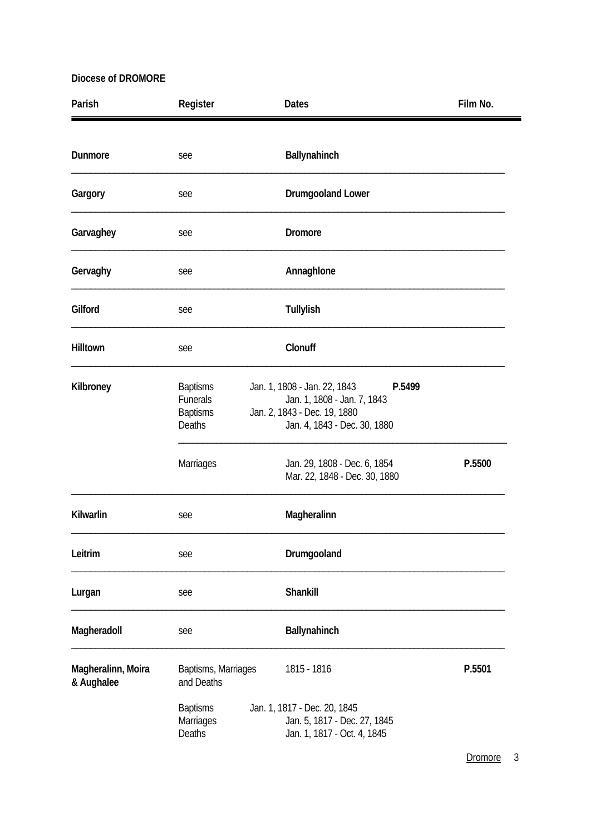| Parish                           | Register                                                        | <b>Dates</b>                                                                                                                          | Film No. |
|----------------------------------|-----------------------------------------------------------------|---------------------------------------------------------------------------------------------------------------------------------------|----------|
| <b>Dunmore</b>                   |                                                                 | Ballynahinch                                                                                                                          |          |
|                                  | see                                                             |                                                                                                                                       |          |
| Gargory                          | see                                                             | <b>Drumgooland Lower</b>                                                                                                              |          |
| Garvaghey                        | see                                                             | Dromore                                                                                                                               |          |
| Gervaghy                         | see                                                             | Annaghlone                                                                                                                            |          |
| Gilford                          | see                                                             | Tullylish                                                                                                                             |          |
| Hilltown                         | see                                                             | Clonuff                                                                                                                               |          |
| Kilbroney                        | <b>Baptisms</b><br>Funerals<br><b>Baptisms</b><br><b>Deaths</b> | Jan. 1, 1808 - Jan. 22, 1843<br>P.5499<br>Jan. 1, 1808 - Jan. 7, 1843<br>Jan. 2, 1843 - Dec. 19, 1880<br>Jan. 4, 1843 - Dec. 30, 1880 |          |
|                                  | Marriages                                                       | Jan. 29, 1808 - Dec. 6, 1854<br>Mar. 22, 1848 - Dec. 30, 1880                                                                         | P.5500   |
| Kilwarlin                        | see                                                             | Magheralinn                                                                                                                           |          |
| Leitrim                          | see                                                             | Drumgooland                                                                                                                           |          |
| Lurgan                           | see                                                             | Shankill                                                                                                                              |          |
| Magheradoll                      | see                                                             | Ballynahinch                                                                                                                          |          |
| Magheralinn, Moira<br>& Aughalee | Baptisms, Marriages<br>and Deaths                               | 1815 - 1816                                                                                                                           | P.5501   |
|                                  | <b>Baptisms</b><br>Marriages<br>Deaths                          | Jan. 1, 1817 - Dec. 20, 1845<br>Jan. 5, 1817 - Dec. 27, 1845<br>Jan. 1, 1817 - Oct. 4, 1845                                           |          |

Dromore 3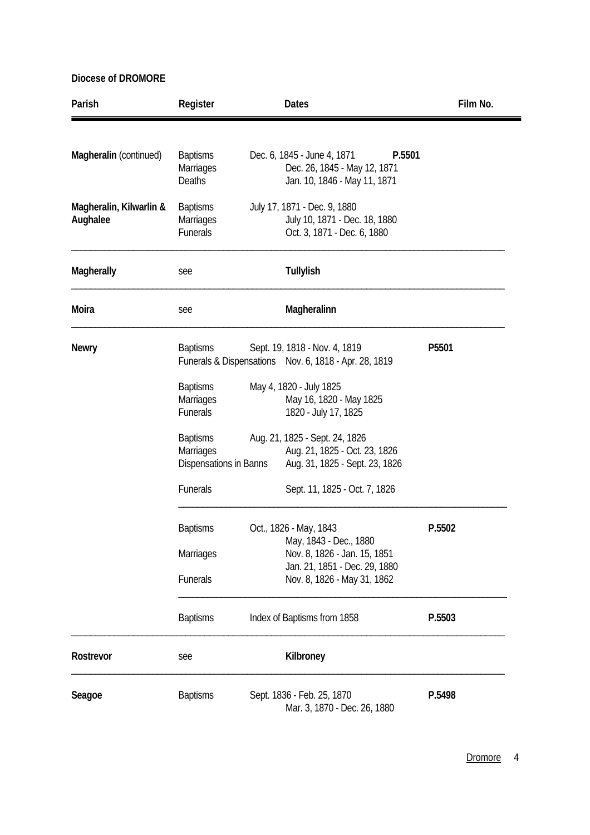| Parish                              | Register                                               | <b>Dates</b>                                                                                          | Film No.          |
|-------------------------------------|--------------------------------------------------------|-------------------------------------------------------------------------------------------------------|-------------------|
| Magheralin (continued)              | <b>Baptisms</b><br>Marriages<br>Deaths                 | Dec. 6, 1845 - June 4, 1871<br>P.5501<br>Dec. 26, 1845 - May 12, 1871<br>Jan. 10, 1846 - May 11, 1871 |                   |
| Magheralin, Kilwarlin &<br>Aughalee | <b>Baptisms</b><br>Marriages<br>Funerals               | July 17, 1871 - Dec. 9, 1880<br>July 10, 1871 - Dec. 18, 1880<br>Oct. 3, 1871 - Dec. 6, 1880          |                   |
| <b>Magherally</b>                   | see                                                    | Tullylish                                                                                             |                   |
| Moira                               | see                                                    | Magheralinn                                                                                           |                   |
| <b>Newry</b>                        | <b>Baptisms</b>                                        | Sept. 19, 1818 - Nov. 4, 1819<br>Funerals & Dispensations Nov. 6, 1818 - Apr. 28, 1819                | P <sub>5501</sub> |
|                                     | <b>Baptisms</b><br>Marriages<br>Funerals               | May 4, 1820 - July 1825<br>May 16, 1820 - May 1825<br>1820 - July 17, 1825                            |                   |
|                                     | <b>Baptisms</b><br>Marriages<br>Dispensations in Banns | Aug. 21, 1825 - Sept. 24, 1826<br>Aug. 21, 1825 - Oct. 23, 1826<br>Aug. 31, 1825 - Sept. 23, 1826     |                   |
|                                     | Funerals                                               | Sept. 11, 1825 - Oct. 7, 1826                                                                         |                   |
|                                     | <b>Baptisms</b><br><b>Marriages</b>                    | Oct., 1826 - May, 1843<br>May, 1843 - Dec., 1880<br>Nov. 8, 1826 - Jan. 15, 1851                      | P.5502            |
|                                     | Funerals                                               | Jan. 21, 1851 - Dec. 29, 1880<br>Nov. 8, 1826 - May 31, 1862                                          |                   |
|                                     | <b>Baptisms</b>                                        | Index of Baptisms from 1858                                                                           | P.5503            |
| Rostrevor                           | see                                                    | Kilbroney                                                                                             |                   |
| Seagoe                              | <b>Baptisms</b>                                        | Sept. 1836 - Feb. 25, 1870<br>Mar. 3, 1870 - Dec. 26, 1880                                            | P.5498            |

Dromore<sub>4</sub>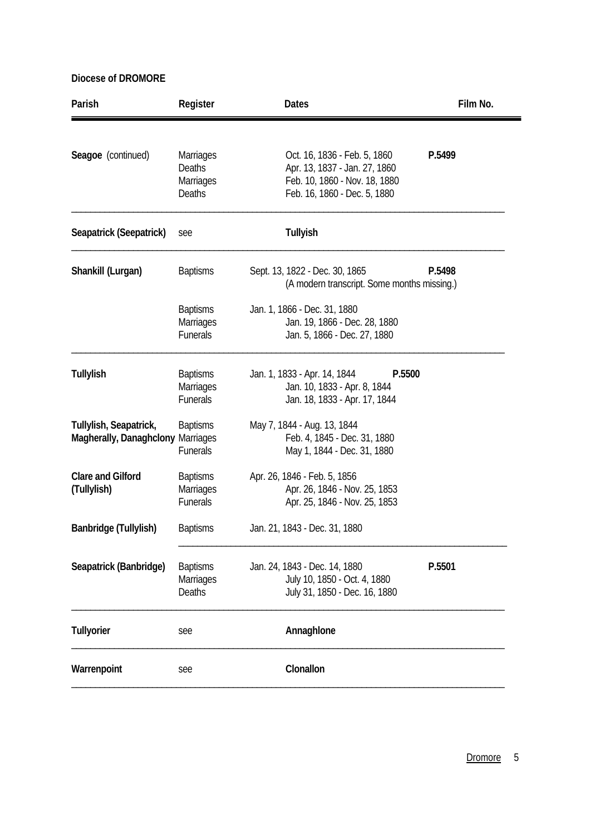| Parish                                                      | Register                                               | <b>Dates</b>                                                                                                                   | Film No. |
|-------------------------------------------------------------|--------------------------------------------------------|--------------------------------------------------------------------------------------------------------------------------------|----------|
| Seagoe (continued)                                          | <b>Marriages</b><br>Deaths<br>Marriages<br>Deaths      | Oct. 16, 1836 - Feb. 5, 1860<br>Apr. 13, 1837 - Jan. 27, 1860<br>Feb. 10, 1860 - Nov. 18, 1880<br>Feb. 16, 1860 - Dec. 5, 1880 | P.5499   |
| Seapatrick (Seepatrick)                                     | see                                                    | <b>Tullyish</b>                                                                                                                |          |
| Shankill (Lurgan)                                           | <b>Baptisms</b>                                        | Sept. 13, 1822 - Dec. 30, 1865<br>(A modern transcript. Some months missing.)                                                  | P.5498   |
|                                                             | <b>Baptisms</b><br><b>Marriages</b><br><b>Funerals</b> | Jan. 1, 1866 - Dec. 31, 1880<br>Jan. 19, 1866 - Dec. 28, 1880<br>Jan. 5, 1866 - Dec. 27, 1880                                  |          |
| <b>Tullylish</b>                                            | <b>Baptisms</b><br><b>Marriages</b><br><b>Funerals</b> | Jan. 1, 1833 - Apr. 14, 1844<br>P.5500<br>Jan. 10, 1833 - Apr. 8, 1844<br>Jan. 18, 1833 - Apr. 17, 1844                        |          |
| Tullylish, Seapatrick,<br>Magherally, Danaghclony Marriages | <b>Baptisms</b><br>Funerals                            | May 7, 1844 - Aug. 13, 1844<br>Feb. 4, 1845 - Dec. 31, 1880<br>May 1, 1844 - Dec. 31, 1880                                     |          |
| <b>Clare and Gilford</b><br>(Tullylish)                     | <b>Baptisms</b><br><b>Marriages</b><br><b>Funerals</b> | Apr. 26, 1846 - Feb. 5, 1856<br>Apr. 26, 1846 - Nov. 25, 1853<br>Apr. 25, 1846 - Nov. 25, 1853                                 |          |
| Banbridge (Tullylish)                                       | <b>Baptisms</b>                                        | Jan. 21, 1843 - Dec. 31, 1880                                                                                                  |          |
| Seapatrick (Banbridge)                                      | <b>Baptisms</b><br><b>Marriages</b><br>Deaths          | Jan. 24, 1843 - Dec. 14, 1880<br>July 10, 1850 - Oct. 4, 1880<br>July 31, 1850 - Dec. 16, 1880                                 | P.5501   |
| Tullyorier                                                  | see                                                    | Annaghlone                                                                                                                     |          |
| Warrenpoint                                                 | see                                                    | Clonallon                                                                                                                      |          |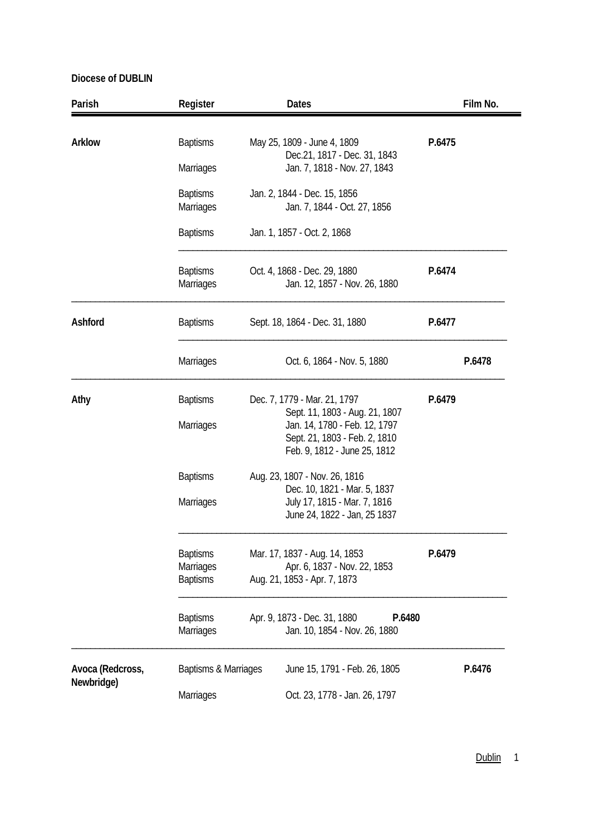| Parish           | Register                                        | <b>Dates</b>                                                                                                                                                     |        | Film No. |
|------------------|-------------------------------------------------|------------------------------------------------------------------------------------------------------------------------------------------------------------------|--------|----------|
| <b>Arklow</b>    | <b>Baptisms</b><br>Marriages                    | May 25, 1809 - June 4, 1809<br>Dec.21, 1817 - Dec. 31, 1843<br>Jan. 7, 1818 - Nov. 27, 1843                                                                      | P.6475 |          |
|                  | <b>Baptisms</b><br>Marriages                    | Jan. 2, 1844 - Dec. 15, 1856<br>Jan. 7, 1844 - Oct. 27, 1856                                                                                                     |        |          |
|                  | <b>Baptisms</b>                                 | Jan. 1, 1857 - Oct. 2, 1868                                                                                                                                      |        |          |
|                  | <b>Baptisms</b><br>Marriages                    | Oct. 4, 1868 - Dec. 29, 1880<br>Jan. 12, 1857 - Nov. 26, 1880                                                                                                    | P.6474 |          |
| Ashford          | <b>Baptisms</b>                                 | Sept. 18, 1864 - Dec. 31, 1880                                                                                                                                   | P.6477 |          |
|                  | <b>Marriages</b>                                | Oct. 6, 1864 - Nov. 5, 1880                                                                                                                                      |        | P.6478   |
| Athy             | <b>Baptisms</b><br>Marriages                    | Dec. 7, 1779 - Mar. 21, 1797<br>Sept. 11, 1803 - Aug. 21, 1807<br>Jan. 14, 1780 - Feb. 12, 1797<br>Sept. 21, 1803 - Feb. 2, 1810<br>Feb. 9, 1812 - June 25, 1812 | P.6479 |          |
|                  | <b>Baptisms</b><br><b>Marriages</b>             | Aug. 23, 1807 - Nov. 26, 1816<br>Dec. 10, 1821 - Mar. 5, 1837<br>July 17, 1815 - Mar. 7, 1816<br>June 24, 1822 - Jan, 25 1837                                    |        |          |
|                  | <b>Baptisms</b><br>Marriages<br><b>Baptisms</b> | Mar. 17, 1837 - Aug. 14, 1853<br>Apr. 6, 1837 - Nov. 22, 1853<br>Aug. 21, 1853 - Apr. 7, 1873                                                                    | P.6479 |          |
|                  | <b>Baptisms</b><br><b>Marriages</b>             | Apr. 9, 1873 - Dec. 31, 1880<br>P.6480<br>Jan. 10, 1854 - Nov. 26, 1880                                                                                          |        |          |
| Avoca (Redcross, | Baptisms & Marriages                            | June 15, 1791 - Feb. 26, 1805                                                                                                                                    |        | P.6476   |
| Newbridge)       | <b>Marriages</b>                                | Oct. 23, 1778 - Jan. 26, 1797                                                                                                                                    |        |          |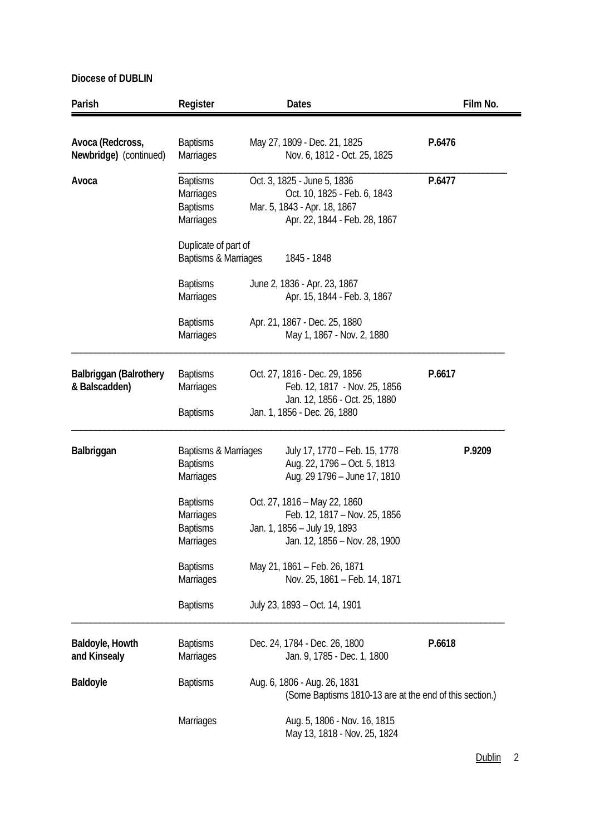| Parish                                         | Register                                                                                                            | <b>Dates</b>                                                                                                                                | Film No. |
|------------------------------------------------|---------------------------------------------------------------------------------------------------------------------|---------------------------------------------------------------------------------------------------------------------------------------------|----------|
| Avoca (Redcross,<br>Newbridge) (continued)     | <b>Baptisms</b><br>Marriages                                                                                        | May 27, 1809 - Dec. 21, 1825<br>Nov. 6, 1812 - Oct. 25, 1825                                                                                | P.6476   |
| Avoca                                          | <b>Baptisms</b><br>Marriages<br><b>Baptisms</b><br><b>Marriages</b><br>Duplicate of part of<br>Baptisms & Marriages | Oct. 3, 1825 - June 5, 1836<br>Oct. 10, 1825 - Feb. 6, 1843<br>Mar. 5, 1843 - Apr. 18, 1867<br>Apr. 22, 1844 - Feb. 28, 1867<br>1845 - 1848 | P.6477   |
|                                                | <b>Baptisms</b><br><b>Marriages</b>                                                                                 | June 2, 1836 - Apr. 23, 1867<br>Apr. 15, 1844 - Feb. 3, 1867                                                                                |          |
|                                                | <b>Baptisms</b><br><b>Marriages</b>                                                                                 | Apr. 21, 1867 - Dec. 25, 1880<br>May 1, 1867 - Nov. 2, 1880                                                                                 |          |
| <b>Balbriggan (Balrothery</b><br>& Balscadden) | <b>Baptisms</b><br><b>Marriages</b><br><b>Baptisms</b>                                                              | Oct. 27, 1816 - Dec. 29, 1856<br>Feb. 12, 1817 - Nov. 25, 1856<br>Jan. 12, 1856 - Oct. 25, 1880<br>Jan. 1, 1856 - Dec. 26, 1880             | P.6617   |
| Balbriggan                                     | Baptisms & Marriages<br><b>Baptisms</b><br><b>Marriages</b>                                                         | July 17, 1770 - Feb. 15, 1778<br>Aug. 22, 1796 – Oct. 5, 1813<br>Aug. 29 1796 - June 17, 1810                                               | P.9209   |
|                                                | <b>Baptisms</b><br><b>Marriages</b><br><b>Baptisms</b><br>Marriages                                                 | Oct. 27, 1816 - May 22, 1860<br>Feb. 12, 1817 - Nov. 25, 1856<br>Jan. 1, 1856 - July 19, 1893<br>Jan. 12, 1856 - Nov. 28, 1900              |          |
|                                                | <b>Baptisms</b><br><b>Marriages</b>                                                                                 | May 21, 1861 - Feb. 26, 1871<br>Nov. 25, 1861 - Feb. 14, 1871                                                                               |          |
|                                                | <b>Baptisms</b>                                                                                                     | July 23, 1893 - Oct. 14, 1901                                                                                                               |          |
| Baldoyle, Howth<br>and Kinsealy                | <b>Baptisms</b><br><b>Marriages</b>                                                                                 | Dec. 24, 1784 - Dec. 26, 1800<br>Jan. 9, 1785 - Dec. 1, 1800                                                                                | P.6618   |
| <b>Baldoyle</b>                                | <b>Baptisms</b>                                                                                                     | Aug. 6, 1806 - Aug. 26, 1831<br>(Some Baptisms 1810-13 are at the end of this section.)                                                     |          |
|                                                | <b>Marriages</b>                                                                                                    | Aug. 5, 1806 - Nov. 16, 1815<br>May 13, 1818 - Nov. 25, 1824                                                                                |          |

Dublin<sub>2</sub>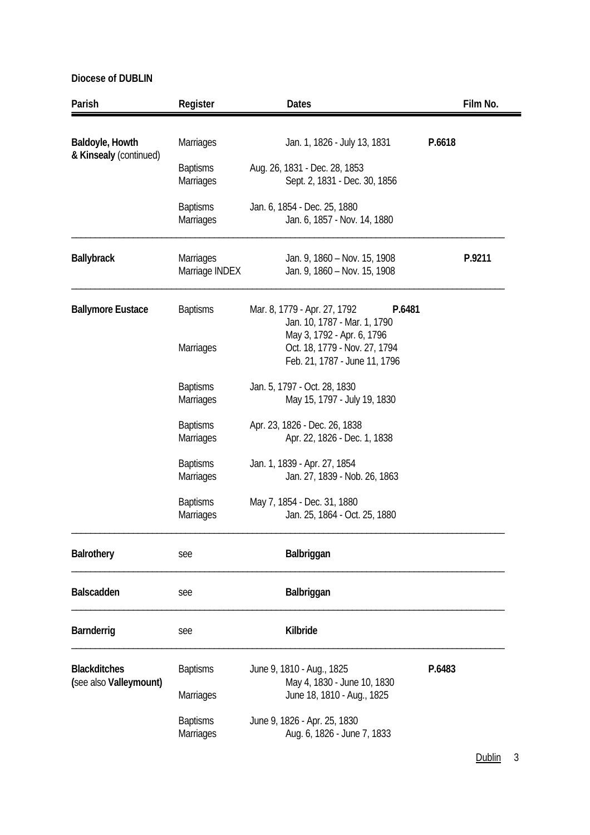| Parish                                        | Register                            | Dates                                                                                        |        | Film No. |
|-----------------------------------------------|-------------------------------------|----------------------------------------------------------------------------------------------|--------|----------|
| Baldoyle, Howth                               | <b>Marriages</b>                    | Jan. 1, 1826 - July 13, 1831                                                                 | P.6618 |          |
| & Kinsealy (continued)                        | <b>Baptisms</b><br><b>Marriages</b> | Aug. 26, 1831 - Dec. 28, 1853<br>Sept. 2, 1831 - Dec. 30, 1856                               |        |          |
|                                               | <b>Baptisms</b><br><b>Marriages</b> | Jan. 6, 1854 - Dec. 25, 1880<br>Jan. 6, 1857 - Nov. 14, 1880                                 |        |          |
| <b>Ballybrack</b>                             | <b>Marriages</b><br>Marriage INDEX  | Jan. 9, 1860 - Nov. 15, 1908<br>Jan. 9, 1860 - Nov. 15, 1908                                 |        | P.9211   |
| <b>Ballymore Eustace</b>                      | <b>Baptisms</b>                     | Mar. 8, 1779 - Apr. 27, 1792<br>P.6481<br>Jan. 10, 1787 - Mar. 1, 1790                       |        |          |
|                                               | Marriages                           | May 3, 1792 - Apr. 6, 1796<br>Oct. 18, 1779 - Nov. 27, 1794<br>Feb. 21, 1787 - June 11, 1796 |        |          |
|                                               | <b>Baptisms</b><br>Marriages        | Jan. 5, 1797 - Oct. 28, 1830<br>May 15, 1797 - July 19, 1830                                 |        |          |
|                                               | <b>Baptisms</b><br>Marriages        | Apr. 23, 1826 - Dec. 26, 1838<br>Apr. 22, 1826 - Dec. 1, 1838                                |        |          |
|                                               | <b>Baptisms</b><br><b>Marriages</b> | Jan. 1, 1839 - Apr. 27, 1854<br>Jan. 27, 1839 - Nob. 26, 1863                                |        |          |
|                                               | <b>Baptisms</b><br><b>Marriages</b> | May 7, 1854 - Dec. 31, 1880<br>Jan. 25, 1864 - Oct. 25, 1880                                 |        |          |
| <b>Balrothery</b>                             | see                                 | Balbriggan                                                                                   |        |          |
| <b>Balscadden</b>                             | see                                 | Balbriggan                                                                                   |        |          |
| Barnderrig                                    | see                                 | Kilbride                                                                                     |        |          |
| <b>Blackditches</b><br>(see also Valleymount) | <b>Baptisms</b>                     | June 9, 1810 - Aug., 1825<br>May 4, 1830 - June 10, 1830                                     | P.6483 |          |
|                                               | Marriages                           | June 18, 1810 - Aug., 1825                                                                   |        |          |
|                                               | <b>Baptisms</b><br>Marriages        | June 9, 1826 - Apr. 25, 1830<br>Aug. 6, 1826 - June 7, 1833                                  |        |          |

Dublin 3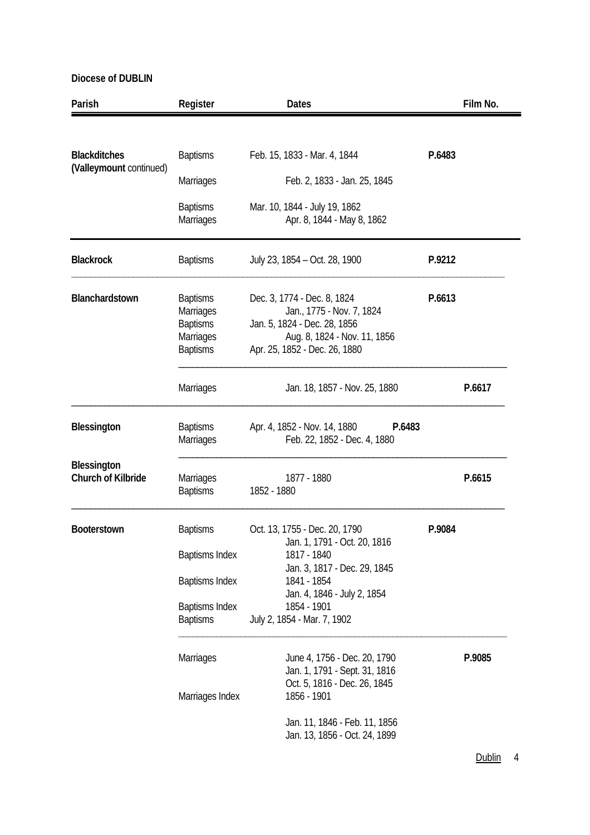| Parish                                         | Register                                                                                                      | <b>Dates</b>                                                                                                                                                                                             |        | Film No. |
|------------------------------------------------|---------------------------------------------------------------------------------------------------------------|----------------------------------------------------------------------------------------------------------------------------------------------------------------------------------------------------------|--------|----------|
|                                                |                                                                                                               |                                                                                                                                                                                                          |        |          |
| <b>Blackditches</b><br>(Valleymount continued) | <b>Baptisms</b>                                                                                               | Feb. 15, 1833 - Mar. 4, 1844                                                                                                                                                                             | P.6483 |          |
|                                                | <b>Marriages</b>                                                                                              | Feb. 2, 1833 - Jan. 25, 1845                                                                                                                                                                             |        |          |
|                                                | <b>Baptisms</b><br><b>Marriages</b>                                                                           | Mar. 10, 1844 - July 19, 1862<br>Apr. 8, 1844 - May 8, 1862                                                                                                                                              |        |          |
| <b>Blackrock</b>                               | <b>Baptisms</b>                                                                                               | July 23, 1854 - Oct. 28, 1900                                                                                                                                                                            | P.9212 |          |
| Blanchardstown                                 | <b>Baptisms</b><br>Marriages<br><b>Baptisms</b><br>Marriages<br><b>Baptisms</b>                               | Dec. 3, 1774 - Dec. 8, 1824<br>Jan., 1775 - Nov. 7, 1824<br>Jan. 5, 1824 - Dec. 28, 1856<br>Aug. 8, 1824 - Nov. 11, 1856<br>Apr. 25, 1852 - Dec. 26, 1880                                                | P.6613 |          |
|                                                | <b>Marriages</b>                                                                                              | Jan. 18, 1857 - Nov. 25, 1880                                                                                                                                                                            |        | P.6617   |
| Blessington                                    | <b>Baptisms</b><br>Marriages                                                                                  | Apr. 4, 1852 - Nov. 14, 1880<br>P.6483<br>Feb. 22, 1852 - Dec. 4, 1880                                                                                                                                   |        |          |
| <b>Blessington</b><br>Church of Kilbride       | <b>Marriages</b><br><b>Baptisms</b>                                                                           | 1877 - 1880<br>1852 - 1880                                                                                                                                                                               |        | P.6615   |
| Booterstown                                    | <b>Baptisms</b><br><b>Baptisms Index</b><br><b>Baptisms Index</b><br><b>Baptisms Index</b><br><b>Baptisms</b> | Oct. 13, 1755 - Dec. 20, 1790<br>Jan. 1, 1791 - Oct. 20, 1816<br>1817 - 1840<br>Jan. 3, 1817 - Dec. 29, 1845<br>1841 - 1854<br>Jan. 4, 1846 - July 2, 1854<br>1854 - 1901<br>July 2, 1854 - Mar. 7, 1902 | P.9084 |          |
|                                                | Marriages<br>Marriages Index                                                                                  | June 4, 1756 - Dec. 20, 1790<br>Jan. 1, 1791 - Sept. 31, 1816<br>Oct. 5, 1816 - Dec. 26, 1845<br>1856 - 1901<br>Jan. 11, 1846 - Feb. 11, 1856<br>Jan. 13, 1856 - Oct. 24, 1899                           |        | P.9085   |

Dublin 4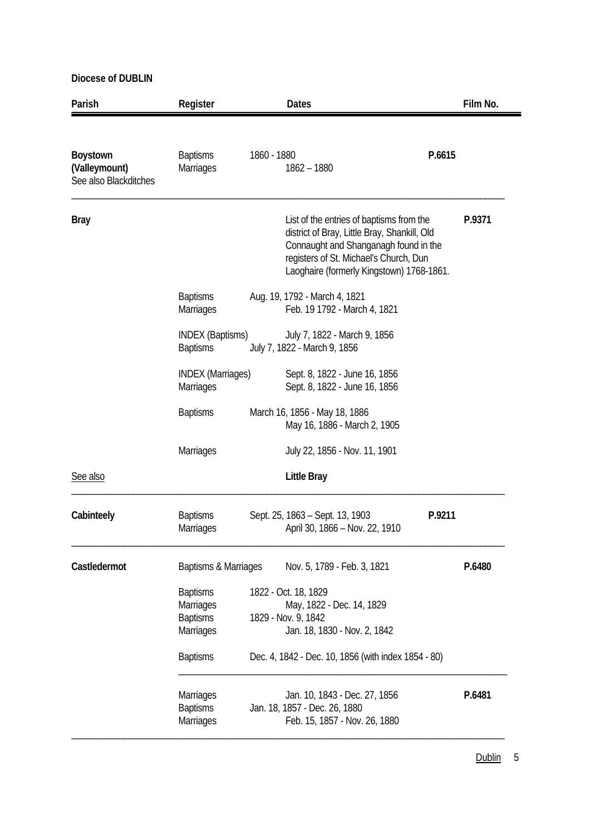| Parish                                             | Register                                                            |             | <b>Dates</b>                                                                                                                                                                                                             |        | Film No. |
|----------------------------------------------------|---------------------------------------------------------------------|-------------|--------------------------------------------------------------------------------------------------------------------------------------------------------------------------------------------------------------------------|--------|----------|
|                                                    |                                                                     |             |                                                                                                                                                                                                                          |        |          |
| Boystown<br>(Valleymount)<br>See also Blackditches | <b>Baptisms</b><br>Marriages                                        | 1860 - 1880 | $1862 - 1880$                                                                                                                                                                                                            | P.6615 |          |
| <b>Bray</b>                                        |                                                                     |             | List of the entries of baptisms from the<br>district of Bray, Little Bray, Shankill, Old<br>Connaught and Shanganagh found in the<br>registers of St. Michael's Church, Dun<br>Laoghaire (formerly Kingstown) 1768-1861. |        | P.9371   |
|                                                    | <b>Baptisms</b><br><b>Marriages</b>                                 |             | Aug. 19, 1792 - March 4, 1821<br>Feb. 19 1792 - March 4, 1821                                                                                                                                                            |        |          |
|                                                    | <b>INDEX (Baptisms)</b><br><b>Baptisms</b>                          |             | July 7, 1822 - March 9, 1856<br>July 7, 1822 - March 9, 1856                                                                                                                                                             |        |          |
|                                                    | <b>INDEX (Marriages)</b><br><b>Marriages</b>                        |             | Sept. 8, 1822 - June 16, 1856<br>Sept. 8, 1822 - June 16, 1856                                                                                                                                                           |        |          |
|                                                    | <b>Baptisms</b>                                                     |             | March 16, 1856 - May 18, 1886<br>May 16, 1886 - March 2, 1905                                                                                                                                                            |        |          |
|                                                    | Marriages                                                           |             | July 22, 1856 - Nov. 11, 1901                                                                                                                                                                                            |        |          |
| See also                                           |                                                                     |             | <b>Little Bray</b>                                                                                                                                                                                                       |        |          |
| Cabinteely                                         | <b>Baptisms</b><br>Marriages                                        |             | Sept. 25, 1863 - Sept. 13, 1903<br>April 30, 1866 - Nov. 22, 1910                                                                                                                                                        | P.9211 |          |
| Castledermot                                       | Baptisms & Marriages                                                |             | Nov. 5, 1789 - Feb. 3, 1821                                                                                                                                                                                              |        | P.6480   |
|                                                    | <b>Baptisms</b><br>Marriages<br><b>Baptisms</b><br><b>Marriages</b> |             | 1822 - Oct. 18, 1829<br>May, 1822 - Dec. 14, 1829<br>1829 - Nov. 9, 1842<br>Jan. 18, 1830 - Nov. 2, 1842                                                                                                                 |        |          |
|                                                    | <b>Baptisms</b>                                                     |             | Dec. 4, 1842 - Dec. 10, 1856 (with index 1854 - 80)                                                                                                                                                                      |        |          |
|                                                    | <b>Marriages</b><br><b>Baptisms</b><br>Marriages                    |             | Jan. 10, 1843 - Dec. 27, 1856<br>Jan. 18, 1857 - Dec. 26, 1880<br>Feb. 15, 1857 - Nov. 26, 1880                                                                                                                          |        | P.6481   |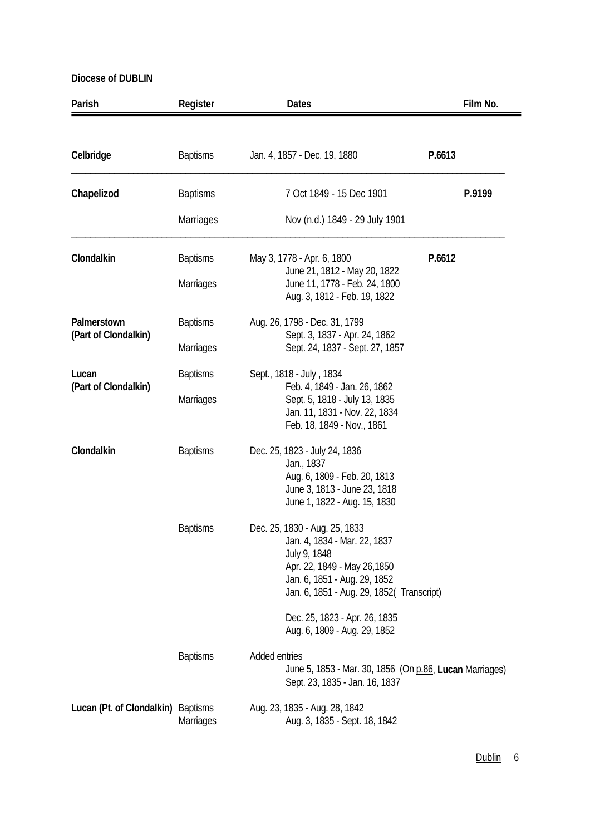| Parish                             | Register         | <b>Dates</b>                                                                                                                                                                               | Film No. |
|------------------------------------|------------------|--------------------------------------------------------------------------------------------------------------------------------------------------------------------------------------------|----------|
|                                    |                  |                                                                                                                                                                                            |          |
| Celbridge                          | <b>Baptisms</b>  | Jan. 4, 1857 - Dec. 19, 1880<br>P.6613                                                                                                                                                     |          |
| Chapelizod                         | <b>Baptisms</b>  | 7 Oct 1849 - 15 Dec 1901                                                                                                                                                                   | P.9199   |
|                                    | Marriages        | Nov (n.d.) 1849 - 29 July 1901                                                                                                                                                             |          |
| Clondalkin                         | <b>Baptisms</b>  | May 3, 1778 - Apr. 6, 1800<br>P.6612                                                                                                                                                       |          |
|                                    | Marriages        | June 21, 1812 - May 20, 1822<br>June 11, 1778 - Feb. 24, 1800<br>Aug. 3, 1812 - Feb. 19, 1822                                                                                              |          |
| Palmerstown                        | <b>Baptisms</b>  | Aug. 26, 1798 - Dec. 31, 1799<br>Sept. 3, 1837 - Apr. 24, 1862                                                                                                                             |          |
| (Part of Clondalkin)               | <b>Marriages</b> | Sept. 24, 1837 - Sept. 27, 1857                                                                                                                                                            |          |
| Lucan<br>(Part of Clondalkin)      | <b>Baptisms</b>  | Sept., 1818 - July, 1834<br>Feb. 4, 1849 - Jan. 26, 1862                                                                                                                                   |          |
|                                    | Marriages        | Sept. 5, 1818 - July 13, 1835<br>Jan. 11, 1831 - Nov. 22, 1834<br>Feb. 18, 1849 - Nov., 1861                                                                                               |          |
| Clondalkin                         | <b>Baptisms</b>  | Dec. 25, 1823 - July 24, 1836<br>Jan., 1837<br>Aug. 6, 1809 - Feb. 20, 1813<br>June 3, 1813 - June 23, 1818<br>June 1, 1822 - Aug. 15, 1830                                                |          |
|                                    | <b>Baptisms</b>  | Dec. 25, 1830 - Aug. 25, 1833<br>Jan. 4, 1834 - Mar. 22, 1837<br>July 9, 1848<br>Apr. 22, 1849 - May 26, 1850<br>Jan. 6, 1851 - Aug. 29, 1852<br>Jan. 6, 1851 - Aug. 29, 1852( Transcript) |          |
|                                    |                  | Dec. 25, 1823 - Apr. 26, 1835<br>Aug. 6, 1809 - Aug. 29, 1852                                                                                                                              |          |
|                                    | <b>Baptisms</b>  | Added entries<br>June 5, 1853 - Mar. 30, 1856 (On p.86, Lucan Marriages)<br>Sept. 23, 1835 - Jan. 16, 1837                                                                                 |          |
| Lucan (Pt. of Clondalkin) Baptisms | <b>Marriages</b> | Aug. 23, 1835 - Aug. 28, 1842<br>Aug. 3, 1835 - Sept. 18, 1842                                                                                                                             |          |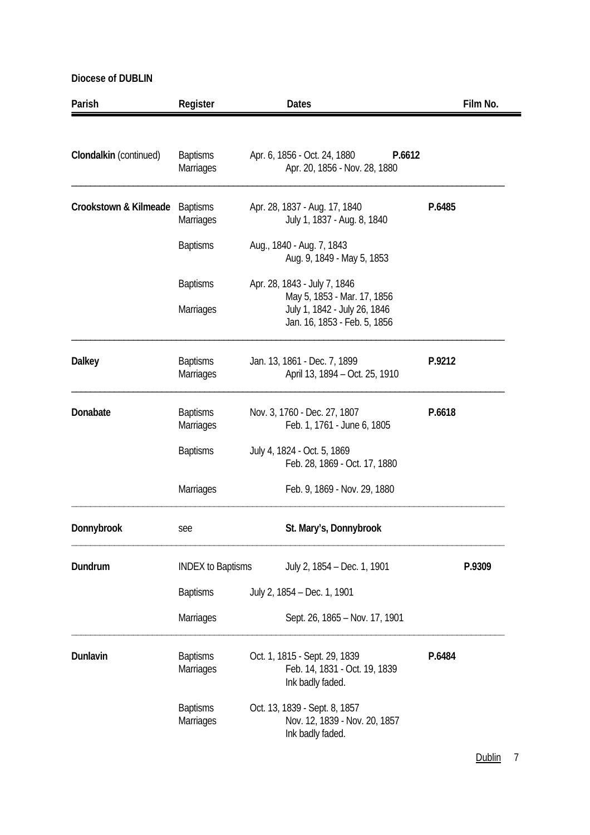| Parish                 | Register                            | <b>Dates</b>                                                                                | Film No. |
|------------------------|-------------------------------------|---------------------------------------------------------------------------------------------|----------|
|                        |                                     |                                                                                             |          |
| Clondalkin (continued) | <b>Baptisms</b><br><b>Marriages</b> | Apr. 6, 1856 - Oct. 24, 1880<br>P.6612<br>Apr. 20, 1856 - Nov. 28, 1880                     |          |
| Crookstown & Kilmeade  | <b>Baptisms</b><br>Marriages        | Apr. 28, 1837 - Aug. 17, 1840<br>July 1, 1837 - Aug. 8, 1840                                | P.6485   |
|                        | <b>Baptisms</b>                     | Aug., 1840 - Aug. 7, 1843<br>Aug. 9, 1849 - May 5, 1853                                     |          |
|                        | <b>Baptisms</b>                     | Apr. 28, 1843 - July 7, 1846                                                                |          |
|                        | Marriages                           | May 5, 1853 - Mar. 17, 1856<br>July 1, 1842 - July 26, 1846<br>Jan. 16, 1853 - Feb. 5, 1856 |          |
| <b>Dalkey</b>          | <b>Baptisms</b><br><b>Marriages</b> | Jan. 13, 1861 - Dec. 7, 1899<br>April 13, 1894 - Oct. 25, 1910                              | P.9212   |
| Donabate               | <b>Baptisms</b><br>Marriages        | Nov. 3, 1760 - Dec. 27, 1807<br>Feb. 1, 1761 - June 6, 1805                                 | P.6618   |
|                        | <b>Baptisms</b>                     | July 4, 1824 - Oct. 5, 1869<br>Feb. 28, 1869 - Oct. 17, 1880                                |          |
|                        | <b>Marriages</b>                    | Feb. 9, 1869 - Nov. 29, 1880                                                                |          |
| Donnybrook             | see                                 | St. Mary's, Donnybrook                                                                      |          |
| Dundrum                | <b>INDEX to Baptisms</b>            | July 2, 1854 - Dec. 1, 1901                                                                 | P.9309   |
|                        | <b>Baptisms</b>                     | July 2, 1854 - Dec. 1, 1901                                                                 |          |
|                        | Marriages                           | Sept. 26, 1865 - Nov. 17, 1901                                                              |          |
| Dunlavin               | <b>Baptisms</b><br><b>Marriages</b> | Oct. 1, 1815 - Sept. 29, 1839<br>Feb. 14, 1831 - Oct. 19, 1839<br>Ink badly faded.          | P.6484   |
|                        | <b>Baptisms</b><br>Marriages        | Oct. 13, 1839 - Sept. 8, 1857<br>Nov. 12, 1839 - Nov. 20, 1857<br>Ink badly faded.          |          |

Dublin 7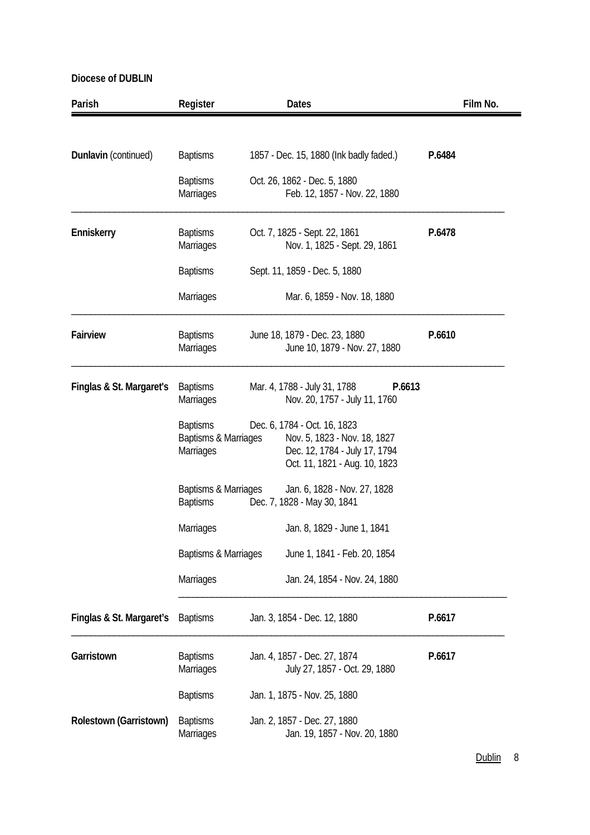| Parish                   | Register                                             | <b>Dates</b>                                                                                                                   | Film No. |
|--------------------------|------------------------------------------------------|--------------------------------------------------------------------------------------------------------------------------------|----------|
|                          |                                                      |                                                                                                                                |          |
| Dunlavin (continued)     | <b>Baptisms</b>                                      | 1857 - Dec. 15, 1880 (Ink badly faded.)                                                                                        | P.6484   |
|                          | <b>Baptisms</b><br>Marriages                         | Oct. 26, 1862 - Dec. 5, 1880<br>Feb. 12, 1857 - Nov. 22, 1880                                                                  |          |
| Enniskerry               | <b>Baptisms</b><br>Marriages                         | Oct. 7, 1825 - Sept. 22, 1861<br>Nov. 1, 1825 - Sept. 29, 1861                                                                 | P.6478   |
|                          | <b>Baptisms</b>                                      | Sept. 11, 1859 - Dec. 5, 1880                                                                                                  |          |
|                          | Marriages                                            | Mar. 6, 1859 - Nov. 18, 1880                                                                                                   |          |
| Fairview                 | <b>Baptisms</b><br>Marriages                         | June 18, 1879 - Dec. 23, 1880<br>June 10, 1879 - Nov. 27, 1880                                                                 | P.6610   |
| Finglas & St. Margaret's | <b>Baptisms</b><br><b>Marriages</b>                  | Mar. 4, 1788 - July 31, 1788<br>P.6613<br>Nov. 20, 1757 - July 11, 1760                                                        |          |
|                          | <b>Baptisms</b><br>Baptisms & Marriages<br>Marriages | Dec. 6, 1784 - Oct. 16, 1823<br>Nov. 5, 1823 - Nov. 18, 1827<br>Dec. 12, 1784 - July 17, 1794<br>Oct. 11, 1821 - Aug. 10, 1823 |          |
|                          | Baptisms & Marriages<br><b>Baptisms</b>              | Jan. 6, 1828 - Nov. 27, 1828<br>Dec. 7, 1828 - May 30, 1841                                                                    |          |
|                          | Marriages                                            | Jan. 8, 1829 - June 1, 1841                                                                                                    |          |
|                          | Baptisms & Marriages                                 | June 1, 1841 - Feb. 20, 1854                                                                                                   |          |
|                          | Marriages                                            | Jan. 24, 1854 - Nov. 24, 1880                                                                                                  |          |
| Finglas & St. Margaret's | <b>Baptisms</b>                                      | Jan. 3, 1854 - Dec. 12, 1880                                                                                                   | P.6617   |
| Garristown               | <b>Baptisms</b><br>Marriages                         | Jan. 4, 1857 - Dec. 27, 1874<br>July 27, 1857 - Oct. 29, 1880                                                                  | P.6617   |
|                          | <b>Baptisms</b>                                      | Jan. 1, 1875 - Nov. 25, 1880                                                                                                   |          |
| Rolestown (Garristown)   | <b>Baptisms</b><br><b>Marriages</b>                  | Jan. 2, 1857 - Dec. 27, 1880<br>Jan. 19, 1857 - Nov. 20, 1880                                                                  |          |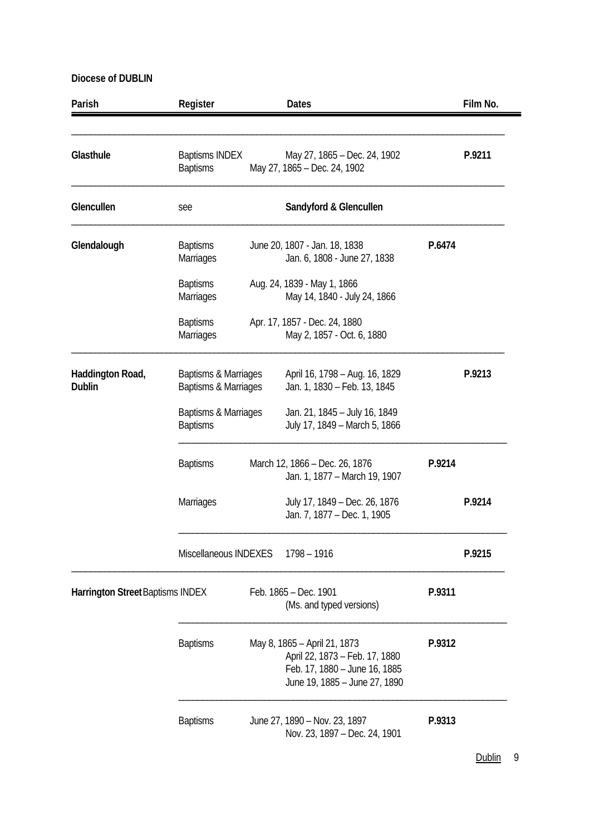| Parish                                  | Register                                     | <b>Dates</b>                                                                                                                     |        | Film No. |
|-----------------------------------------|----------------------------------------------|----------------------------------------------------------------------------------------------------------------------------------|--------|----------|
| Glasthule                               | <b>Baptisms INDEX</b><br><b>Baptisms</b>     | May 27, 1865 - Dec. 24, 1902<br>May 27, 1865 - Dec. 24, 1902                                                                     |        | P.9211   |
| Glencullen                              | see                                          | Sandyford & Glencullen                                                                                                           |        |          |
| Glendalough                             | <b>Baptisms</b><br>Marriages                 | June 20, 1807 - Jan. 18, 1838<br>Jan. 6, 1808 - June 27, 1838                                                                    | P.6474 |          |
|                                         | <b>Baptisms</b><br>Marriages                 | Aug. 24, 1839 - May 1, 1866<br>May 14, 1840 - July 24, 1866                                                                      |        |          |
|                                         | <b>Baptisms</b><br>Marriages                 | Apr. 17, 1857 - Dec. 24, 1880<br>May 2, 1857 - Oct. 6, 1880                                                                      |        |          |
| Haddington Road,<br><b>Dublin</b>       | Baptisms & Marriages<br>Baptisms & Marriages | April 16, 1798 - Aug. 16, 1829<br>Jan. 1, 1830 - Feb. 13, 1845                                                                   |        | P.9213   |
|                                         | Baptisms & Marriages<br><b>Baptisms</b>      | Jan. 21, 1845 - July 16, 1849<br>July 17, 1849 - March 5, 1866                                                                   |        |          |
|                                         | <b>Baptisms</b>                              | March 12, 1866 - Dec. 26, 1876<br>Jan. 1, 1877 – March 19, 1907                                                                  | P.9214 |          |
|                                         | Marriages                                    | July 17, 1849 - Dec. 26, 1876<br>Jan. 7, 1877 - Dec. 1, 1905                                                                     |        | P.9214   |
|                                         | Miscellaneous INDEXES                        | 1798 - 1916                                                                                                                      |        | P.9215   |
| <b>Harrington Street Baptisms INDEX</b> |                                              | Feb. 1865 - Dec. 1901<br>(Ms. and typed versions)                                                                                | P.9311 |          |
|                                         | <b>Baptisms</b>                              | May 8, 1865 - April 21, 1873<br>April 22, 1873 - Feb. 17, 1880<br>Feb. 17, 1880 - June 16, 1885<br>June 19, 1885 - June 27, 1890 | P.9312 |          |
|                                         | <b>Baptisms</b>                              | June 27, 1890 - Nov. 23, 1897<br>Nov. 23, 1897 - Dec. 24, 1901                                                                   | P.9313 |          |

Dublin 9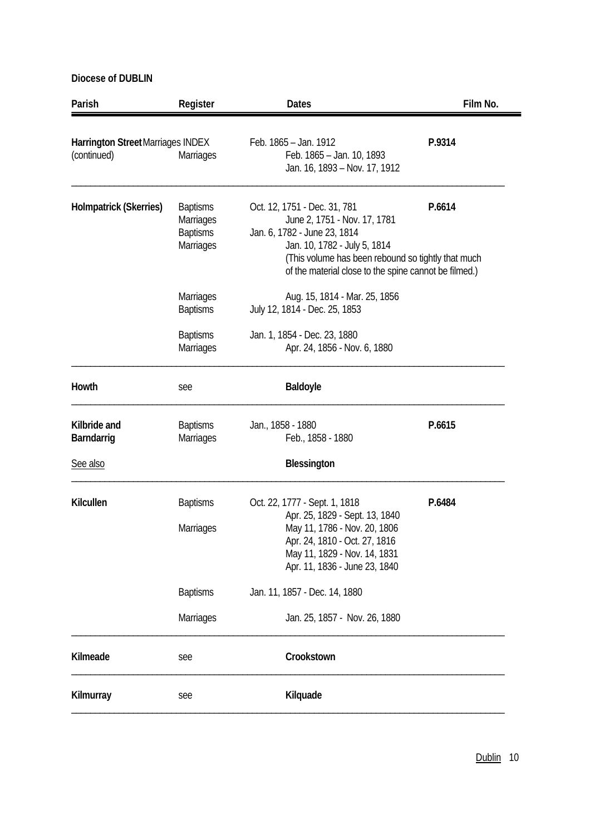| Parish                                                  | Register                                                     | <b>Dates</b>                                                                                                                                                                                                                                | Film No. |
|---------------------------------------------------------|--------------------------------------------------------------|---------------------------------------------------------------------------------------------------------------------------------------------------------------------------------------------------------------------------------------------|----------|
| <b>Harrington Street Marriages INDEX</b><br>(continued) | Marriages                                                    | Feb. 1865 - Jan. 1912<br>Feb. 1865 - Jan. 10, 1893<br>Jan. 16, 1893 - Nov. 17, 1912                                                                                                                                                         | P.9314   |
| <b>Holmpatrick (Skerries)</b>                           | <b>Baptisms</b><br>Marriages<br><b>Baptisms</b><br>Marriages | Oct. 12, 1751 - Dec. 31, 781<br>June 2, 1751 - Nov. 17, 1781<br>Jan. 6, 1782 - June 23, 1814<br>Jan. 10, 1782 - July 5, 1814<br>(This volume has been rebound so tightly that much<br>of the material close to the spine cannot be filmed.) | P.6614   |
|                                                         | Marriages<br><b>Baptisms</b>                                 | Aug. 15, 1814 - Mar. 25, 1856<br>July 12, 1814 - Dec. 25, 1853                                                                                                                                                                              |          |
|                                                         | <b>Baptisms</b><br>Marriages                                 | Jan. 1, 1854 - Dec. 23, 1880<br>Apr. 24, 1856 - Nov. 6, 1880                                                                                                                                                                                |          |
| Howth                                                   | see                                                          | Baldoyle                                                                                                                                                                                                                                    |          |
| Kilbride and<br>Barndarrig                              | <b>Baptisms</b><br>Marriages                                 | Jan., 1858 - 1880<br>Feb., 1858 - 1880                                                                                                                                                                                                      | P.6615   |
| See also                                                |                                                              | <b>Blessington</b>                                                                                                                                                                                                                          |          |
| Kilcullen                                               | <b>Baptisms</b><br>Marriages                                 | Oct. 22, 1777 - Sept. 1, 1818<br>Apr. 25, 1829 - Sept. 13, 1840<br>May 11, 1786 - Nov. 20, 1806<br>Apr. 24, 1810 - Oct. 27, 1816<br>May 11, 1829 - Nov. 14, 1831<br>Apr. 11, 1836 - June 23, 1840                                           | P.6484   |
|                                                         | <b>Baptisms</b>                                              | Jan. 11, 1857 - Dec. 14, 1880                                                                                                                                                                                                               |          |
|                                                         | Marriages                                                    | Jan. 25, 1857 - Nov. 26, 1880                                                                                                                                                                                                               |          |
| Kilmeade                                                | see                                                          | Crookstown                                                                                                                                                                                                                                  |          |
| Kilmurray                                               | see                                                          | Kilquade                                                                                                                                                                                                                                    |          |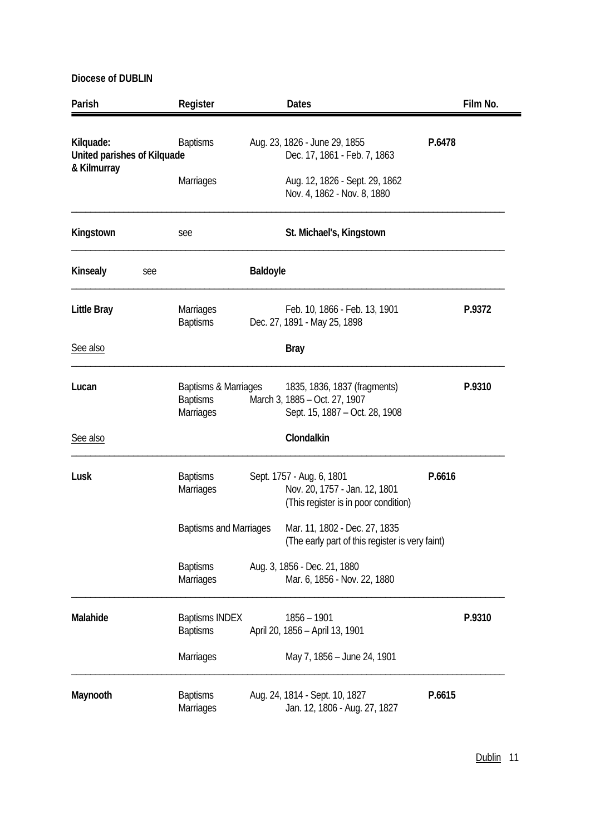| Parish                                                  |     | Register                                             |                 | <b>Dates</b>                                                                                       |        | Film No. |
|---------------------------------------------------------|-----|------------------------------------------------------|-----------------|----------------------------------------------------------------------------------------------------|--------|----------|
| Kilquade:<br>United parishes of Kilquade<br>& Kilmurray |     | <b>Baptisms</b>                                      |                 | Aug. 23, 1826 - June 29, 1855<br>Dec. 17, 1861 - Feb. 7, 1863                                      | P.6478 |          |
|                                                         |     | Marriages                                            |                 | Aug. 12, 1826 - Sept. 29, 1862<br>Nov. 4, 1862 - Nov. 8, 1880                                      |        |          |
| Kingstown                                               |     | see                                                  |                 | St. Michael's, Kingstown                                                                           |        |          |
| Kinsealy                                                | see |                                                      | <b>Baldoyle</b> |                                                                                                    |        |          |
| Little Bray                                             |     | Marriages<br><b>Baptisms</b>                         |                 | Feb. 10, 1866 - Feb. 13, 1901<br>Dec. 27, 1891 - May 25, 1898                                      |        | P.9372   |
| See also                                                |     |                                                      |                 | <b>Bray</b>                                                                                        |        |          |
| Lucan                                                   |     | Baptisms & Marriages<br><b>Baptisms</b><br>Marriages |                 | 1835, 1836, 1837 (fragments)<br>March 3, 1885 - Oct. 27, 1907<br>Sept. 15, 1887 - Oct. 28, 1908    |        | P.9310   |
| See also                                                |     |                                                      |                 | Clondalkin                                                                                         |        |          |
| Lusk                                                    |     | <b>Baptisms</b><br><b>Marriages</b>                  |                 | Sept. 1757 - Aug. 6, 1801<br>Nov. 20, 1757 - Jan. 12, 1801<br>(This register is in poor condition) | P.6616 |          |
|                                                         |     | <b>Baptisms and Marriages</b>                        |                 | Mar. 11, 1802 - Dec. 27, 1835<br>(The early part of this register is very faint)                   |        |          |
|                                                         |     | <b>Baptisms</b><br>Marriages                         |                 | Aug. 3, 1856 - Dec. 21, 1880<br>Mar. 6, 1856 - Nov. 22, 1880                                       |        |          |
| Malahide                                                |     | <b>Baptisms INDEX</b><br><b>Baptisms</b>             |                 | $1856 - 1901$<br>April 20, 1856 - April 13, 1901                                                   |        | P.9310   |
|                                                         |     | Marriages                                            |                 | May 7, 1856 - June 24, 1901                                                                        |        |          |
| Maynooth                                                |     | <b>Baptisms</b><br>Marriages                         |                 | Aug. 24, 1814 - Sept. 10, 1827<br>Jan. 12, 1806 - Aug. 27, 1827                                    | P.6615 |          |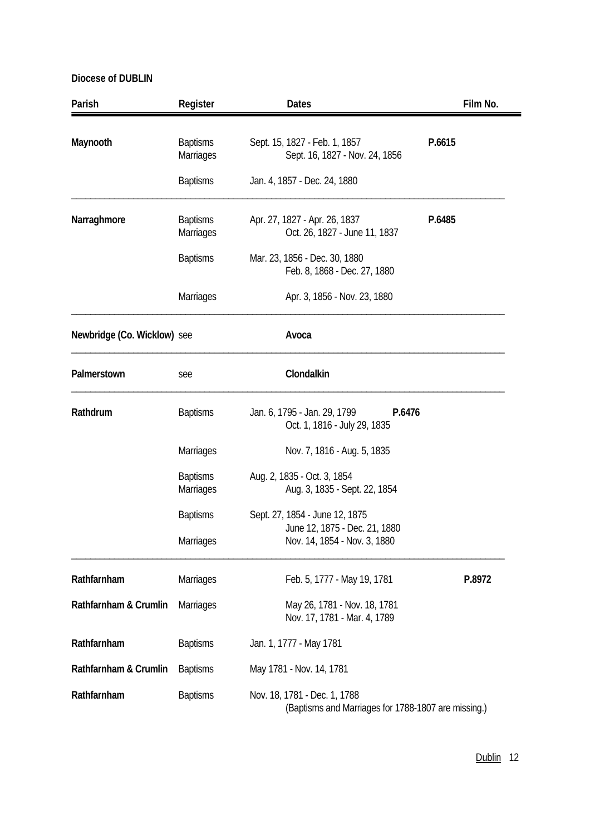| Parish                      | Register                            | <b>Dates</b>                                                                        | Film No. |
|-----------------------------|-------------------------------------|-------------------------------------------------------------------------------------|----------|
| Maynooth                    | <b>Baptisms</b><br>Marriages        | Sept. 15, 1827 - Feb. 1, 1857<br>Sept. 16, 1827 - Nov. 24, 1856                     | P.6615   |
|                             | <b>Baptisms</b>                     | Jan. 4, 1857 - Dec. 24, 1880                                                        |          |
| Narraghmore                 | <b>Baptisms</b><br><b>Marriages</b> | Apr. 27, 1827 - Apr. 26, 1837<br>Oct. 26, 1827 - June 11, 1837                      | P.6485   |
|                             | <b>Baptisms</b>                     | Mar. 23, 1856 - Dec. 30, 1880<br>Feb. 8, 1868 - Dec. 27, 1880                       |          |
|                             | Marriages                           | Apr. 3, 1856 - Nov. 23, 1880                                                        |          |
| Newbridge (Co. Wicklow) see |                                     | Avoca                                                                               |          |
| Palmerstown                 | see                                 | Clondalkin                                                                          |          |
| Rathdrum                    | <b>Baptisms</b>                     | Jan. 6, 1795 - Jan. 29, 1799<br>P.6476<br>Oct. 1, 1816 - July 29, 1835              |          |
|                             | <b>Marriages</b>                    | Nov. 7, 1816 - Aug. 5, 1835                                                         |          |
|                             | <b>Baptisms</b><br><b>Marriages</b> | Aug. 2, 1835 - Oct. 3, 1854<br>Aug. 3, 1835 - Sept. 22, 1854                        |          |
|                             | <b>Baptisms</b>                     | Sept. 27, 1854 - June 12, 1875<br>June 12, 1875 - Dec. 21, 1880                     |          |
|                             | Marriages                           | Nov. 14, 1854 - Nov. 3, 1880                                                        |          |
| Rathfarnham                 | <b>Marriages</b>                    | Feb. 5, 1777 - May 19, 1781                                                         | P.8972   |
| Rathfarnham & Crumlin       | Marriages                           | May 26, 1781 - Nov. 18, 1781<br>Nov. 17, 1781 - Mar. 4, 1789                        |          |
| Rathfarnham                 | <b>Baptisms</b>                     | Jan. 1, 1777 - May 1781                                                             |          |
| Rathfarnham & Crumlin       | <b>Baptisms</b>                     | May 1781 - Nov. 14, 1781                                                            |          |
| Rathfarnham                 | <b>Baptisms</b>                     | Nov. 18, 1781 - Dec. 1, 1788<br>(Baptisms and Marriages for 1788-1807 are missing.) |          |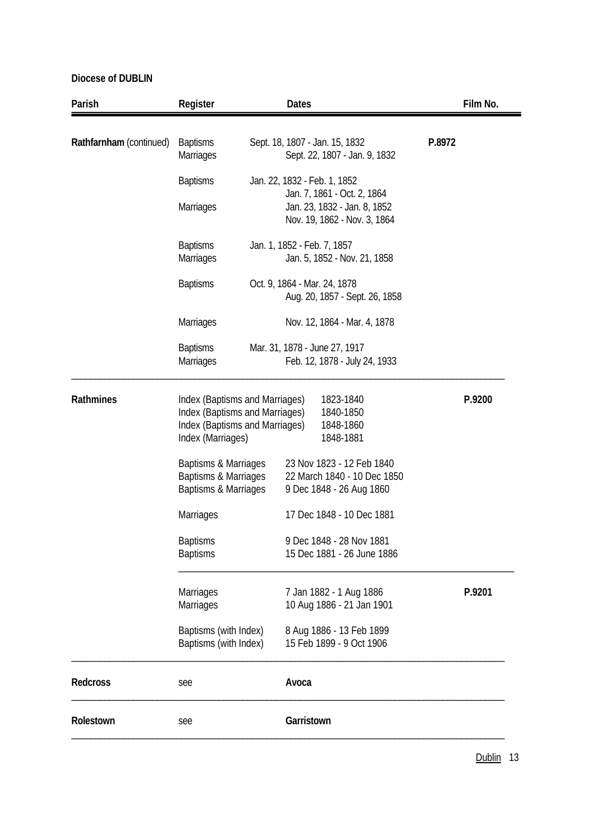| Parish                  | Register                                                                                                                |  | <b>Dates</b>                                                                                |        | Film No. |
|-------------------------|-------------------------------------------------------------------------------------------------------------------------|--|---------------------------------------------------------------------------------------------|--------|----------|
| Rathfarnham (continued) | <b>Baptisms</b><br><b>Marriages</b>                                                                                     |  | Sept. 18, 1807 - Jan. 15, 1832<br>Sept. 22, 1807 - Jan. 9, 1832                             | P.8972 |          |
|                         | <b>Baptisms</b>                                                                                                         |  | Jan. 22, 1832 - Feb. 1, 1852                                                                |        |          |
|                         | Marriages                                                                                                               |  | Jan. 7, 1861 - Oct. 2, 1864<br>Jan. 23, 1832 - Jan. 8, 1852<br>Nov. 19, 1862 - Nov. 3, 1864 |        |          |
|                         | <b>Baptisms</b><br><b>Marriages</b>                                                                                     |  | Jan. 1, 1852 - Feb. 7, 1857<br>Jan. 5, 1852 - Nov. 21, 1858                                 |        |          |
|                         | <b>Baptisms</b>                                                                                                         |  | Oct. 9, 1864 - Mar. 24, 1878<br>Aug. 20, 1857 - Sept. 26, 1858                              |        |          |
|                         | <b>Marriages</b>                                                                                                        |  | Nov. 12, 1864 - Mar. 4, 1878                                                                |        |          |
|                         | <b>Baptisms</b><br><b>Marriages</b>                                                                                     |  | Mar. 31, 1878 - June 27, 1917<br>Feb. 12, 1878 - July 24, 1933                              |        |          |
| Rathmines               | Index (Baptisms and Marriages)<br>Index (Baptisms and Marriages)<br>Index (Baptisms and Marriages)<br>Index (Marriages) |  | 1823-1840<br>1840-1850<br>1848-1860<br>1848-1881                                            |        | P.9200   |
|                         | Baptisms & Marriages<br>Baptisms & Marriages<br>Baptisms & Marriages                                                    |  | 23 Nov 1823 - 12 Feb 1840<br>22 March 1840 - 10 Dec 1850<br>9 Dec 1848 - 26 Aug 1860        |        |          |
|                         | Marriages                                                                                                               |  | 17 Dec 1848 - 10 Dec 1881                                                                   |        |          |
|                         | <b>Baptisms</b><br><b>Baptisms</b>                                                                                      |  | 9 Dec 1848 - 28 Nov 1881<br>15 Dec 1881 - 26 June 1886                                      |        |          |
|                         | Marriages<br>Marriages                                                                                                  |  | 7 Jan 1882 - 1 Aug 1886<br>10 Aug 1886 - 21 Jan 1901                                        |        | P.9201   |
|                         | Baptisms (with Index)<br>Baptisms (with Index)                                                                          |  | 8 Aug 1886 - 13 Feb 1899<br>15 Feb 1899 - 9 Oct 1906                                        |        |          |
| <b>Redcross</b>         | see                                                                                                                     |  | Avoca                                                                                       |        |          |
| Rolestown               | see                                                                                                                     |  | Garristown                                                                                  |        |          |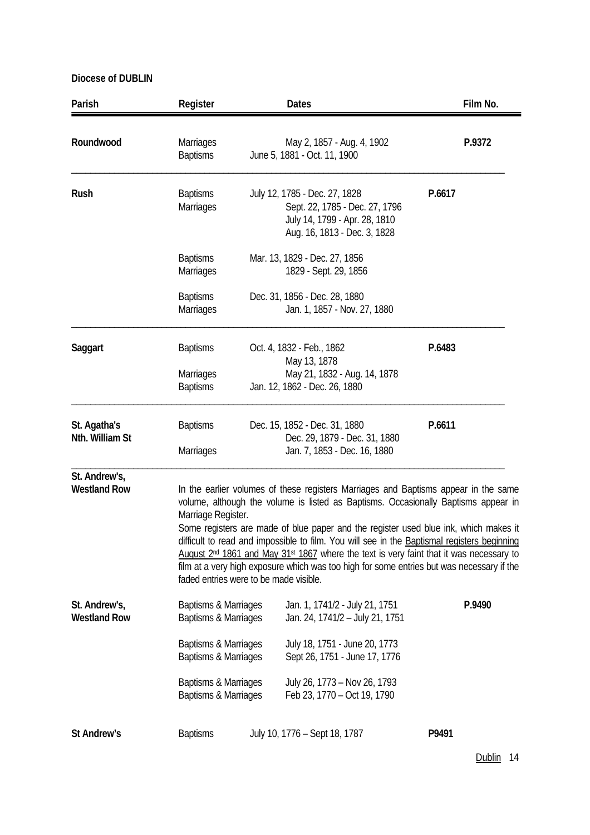| Parish                               | Register                                                                                                                                     | <b>Dates</b>                                                                                                                                                                                                                                                                                                                                                                                                                                                                                                                                                                     | Film No. |
|--------------------------------------|----------------------------------------------------------------------------------------------------------------------------------------------|----------------------------------------------------------------------------------------------------------------------------------------------------------------------------------------------------------------------------------------------------------------------------------------------------------------------------------------------------------------------------------------------------------------------------------------------------------------------------------------------------------------------------------------------------------------------------------|----------|
| Roundwood                            | <b>Marriages</b><br><b>Baptisms</b>                                                                                                          | May 2, 1857 - Aug. 4, 1902<br>June 5, 1881 - Oct. 11, 1900                                                                                                                                                                                                                                                                                                                                                                                                                                                                                                                       | P.9372   |
| Rush                                 | <b>Baptisms</b><br><b>Marriages</b>                                                                                                          | July 12, 1785 - Dec. 27, 1828<br>Sept. 22, 1785 - Dec. 27, 1796<br>July 14, 1799 - Apr. 28, 1810<br>Aug. 16, 1813 - Dec. 3, 1828                                                                                                                                                                                                                                                                                                                                                                                                                                                 | P.6617   |
|                                      | <b>Baptisms</b><br><b>Marriages</b>                                                                                                          | Mar. 13, 1829 - Dec. 27, 1856<br>1829 - Sept. 29, 1856                                                                                                                                                                                                                                                                                                                                                                                                                                                                                                                           |          |
|                                      | <b>Baptisms</b><br><b>Marriages</b>                                                                                                          | Dec. 31, 1856 - Dec. 28, 1880<br>Jan. 1, 1857 - Nov. 27, 1880                                                                                                                                                                                                                                                                                                                                                                                                                                                                                                                    |          |
| Saggart                              | <b>Baptisms</b><br><b>Marriages</b><br><b>Baptisms</b>                                                                                       | Oct. 4, 1832 - Feb., 1862<br>May 13, 1878<br>May 21, 1832 - Aug. 14, 1878<br>Jan. 12, 1862 - Dec. 26, 1880                                                                                                                                                                                                                                                                                                                                                                                                                                                                       | P.6483   |
| St. Agatha's<br>Nth. William St      | <b>Baptisms</b><br><b>Marriages</b>                                                                                                          | Dec. 15, 1852 - Dec. 31, 1880<br>Dec. 29, 1879 - Dec. 31, 1880<br>Jan. 7, 1853 - Dec. 16, 1880                                                                                                                                                                                                                                                                                                                                                                                                                                                                                   | P.6611   |
| St. Andrew's,<br><b>Westland Row</b> | Marriage Register.<br>faded entries were to be made visible.                                                                                 | In the earlier volumes of these registers Marriages and Baptisms appear in the same<br>volume, although the volume is listed as Baptisms. Occasionally Baptisms appear in<br>Some registers are made of blue paper and the register used blue ink, which makes it<br>difficult to read and impossible to film. You will see in the Baptismal registers beginning<br>August 2 <sup>nd</sup> 1861 and May 31 <sup>st</sup> 1867 where the text is very faint that it was necessary to<br>film at a very high exposure which was too high for some entries but was necessary if the |          |
| St. Andrew's,<br><b>Westland Row</b> | Baptisms & Marriages<br>Baptisms & Marriages<br>Baptisms & Marriages<br>Baptisms & Marriages<br>Baptisms & Marriages<br>Baptisms & Marriages | Jan. 1, 1741/2 - July 21, 1751<br>Jan. 24, 1741/2 - July 21, 1751<br>July 18, 1751 - June 20, 1773<br>Sept 26, 1751 - June 17, 1776<br>July 26, 1773 - Nov 26, 1793<br>Feb 23, 1770 - Oct 19, 1790                                                                                                                                                                                                                                                                                                                                                                               | P.9490   |
| St Andrew's                          | <b>Baptisms</b>                                                                                                                              | July 10, 1776 - Sept 18, 1787                                                                                                                                                                                                                                                                                                                                                                                                                                                                                                                                                    | P9491    |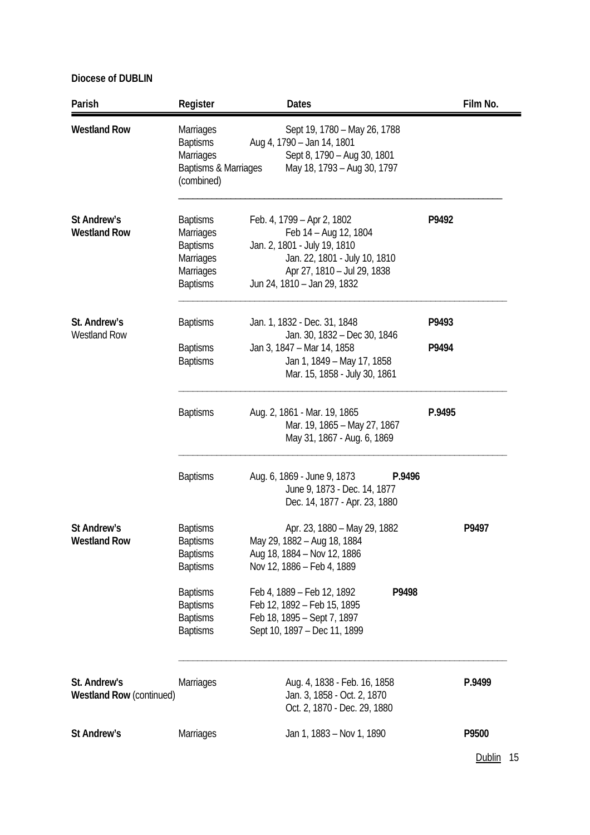| Parish                                          | Register                                                                                            | <b>Dates</b>                                                                                                                                                                       |                | Film No. |
|-------------------------------------------------|-----------------------------------------------------------------------------------------------------|------------------------------------------------------------------------------------------------------------------------------------------------------------------------------------|----------------|----------|
| <b>Westland Row</b>                             | Marriages<br><b>Baptisms</b><br>Marriages<br>Baptisms & Marriages<br>(combined)                     | Sept 19, 1780 - May 26, 1788<br>Aug 4, 1790 - Jan 14, 1801<br>Sept 8, 1790 - Aug 30, 1801<br>May 18, 1793 - Aug 30, 1797                                                           |                |          |
| St Andrew's<br><b>Westland Row</b>              | <b>Baptisms</b><br><b>Marriages</b><br><b>Baptisms</b><br>Marriages<br>Marriages<br><b>Baptisms</b> | Feb. 4, 1799 - Apr 2, 1802<br>Feb 14 - Aug 12, 1804<br>Jan. 2, 1801 - July 19, 1810<br>Jan. 22, 1801 - July 10, 1810<br>Apr 27, 1810 - Jul 29, 1838<br>Jun 24, 1810 - Jan 29, 1832 | P9492          |          |
| St. Andrew's<br><b>Westland Row</b>             | <b>Baptisms</b><br><b>Baptisms</b><br><b>Baptisms</b>                                               | Jan. 1, 1832 - Dec. 31, 1848<br>Jan. 30, 1832 - Dec 30, 1846<br>Jan 3, 1847 - Mar 14, 1858<br>Jan 1, 1849 – May 17, 1858<br>Mar. 15, 1858 - July 30, 1861                          | P9493<br>P9494 |          |
|                                                 | <b>Baptisms</b>                                                                                     | Aug. 2, 1861 - Mar. 19, 1865<br>Mar. 19, 1865 - May 27, 1867<br>May 31, 1867 - Aug. 6, 1869                                                                                        | P.9495         |          |
|                                                 | <b>Baptisms</b>                                                                                     | Aug. 6, 1869 - June 9, 1873<br>P.9496<br>June 9, 1873 - Dec. 14, 1877<br>Dec. 14, 1877 - Apr. 23, 1880                                                                             |                |          |
| St Andrew's<br><b>Westland Row</b>              | <b>Baptisms</b><br><b>Baptisms</b><br><b>Baptisms</b><br><b>Baptisms</b>                            | Apr. 23, 1880 - May 29, 1882<br>May 29, 1882 - Aug 18, 1884<br>Aug 18, 1884 - Nov 12, 1886<br>Nov 12, 1886 - Feb 4, 1889                                                           |                | P9497    |
|                                                 | <b>Baptisms</b><br><b>Baptisms</b><br><b>Baptisms</b><br><b>Baptisms</b>                            | Feb 4, 1889 – Feb 12, 1892<br>P9498<br>Feb 12, 1892 - Feb 15, 1895<br>Feb 18, 1895 - Sept 7, 1897<br>Sept 10, 1897 - Dec 11, 1899                                                  |                |          |
| St. Andrew's<br><b>Westland Row (continued)</b> | Marriages                                                                                           | Aug. 4, 1838 - Feb. 16, 1858<br>Jan. 3, 1858 - Oct. 2, 1870<br>Oct. 2, 1870 - Dec. 29, 1880                                                                                        |                | P.9499   |
| St Andrew's                                     | <b>Marriages</b>                                                                                    | Jan 1, 1883 – Nov 1, 1890                                                                                                                                                          |                | P9500    |

Dublin 15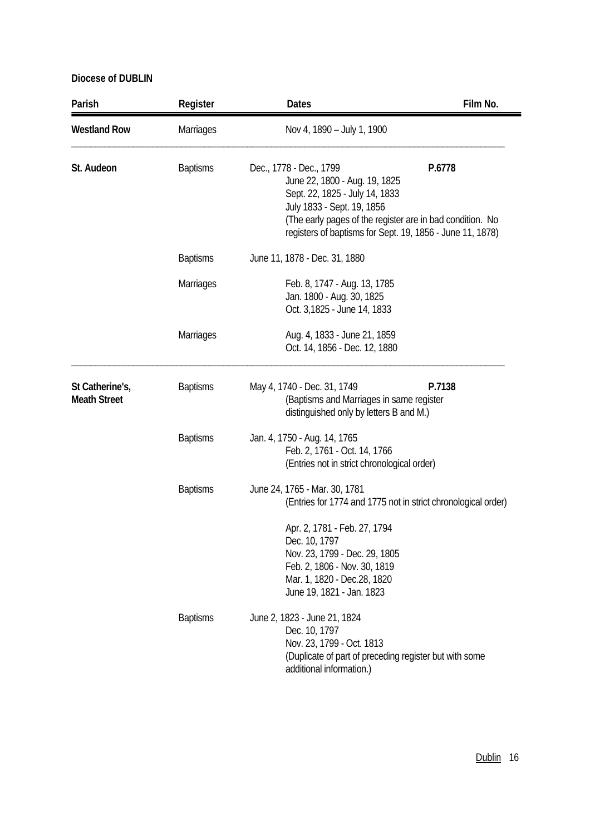| Parish                                 | Register         | <b>Dates</b>                                                                                                                                                                                                                                       | Film No. |
|----------------------------------------|------------------|----------------------------------------------------------------------------------------------------------------------------------------------------------------------------------------------------------------------------------------------------|----------|
| <b>Westland Row</b>                    | Marriages        | Nov 4, 1890 - July 1, 1900                                                                                                                                                                                                                         |          |
| St. Audeon                             | <b>Baptisms</b>  | Dec., 1778 - Dec., 1799<br>June 22, 1800 - Aug. 19, 1825<br>Sept. 22, 1825 - July 14, 1833<br>July 1833 - Sept. 19, 1856<br>(The early pages of the register are in bad condition. No<br>registers of baptisms for Sept. 19, 1856 - June 11, 1878) | P.6778   |
|                                        | <b>Baptisms</b>  | June 11, 1878 - Dec. 31, 1880                                                                                                                                                                                                                      |          |
|                                        | <b>Marriages</b> | Feb. 8, 1747 - Aug. 13, 1785<br>Jan. 1800 - Aug. 30, 1825<br>Oct. 3,1825 - June 14, 1833                                                                                                                                                           |          |
|                                        | <b>Marriages</b> | Aug. 4, 1833 - June 21, 1859<br>Oct. 14, 1856 - Dec. 12, 1880                                                                                                                                                                                      |          |
| St Catherine's,<br><b>Meath Street</b> | <b>Baptisms</b>  | May 4, 1740 - Dec. 31, 1749<br>(Baptisms and Marriages in same register<br>distinguished only by letters B and M.)                                                                                                                                 | P.7138   |
|                                        | <b>Baptisms</b>  | Jan. 4, 1750 - Aug. 14, 1765<br>Feb. 2, 1761 - Oct. 14, 1766<br>(Entries not in strict chronological order)                                                                                                                                        |          |
|                                        | <b>Baptisms</b>  | June 24, 1765 - Mar. 30, 1781<br>(Entries for 1774 and 1775 not in strict chronological order)                                                                                                                                                     |          |
|                                        |                  | Apr. 2, 1781 - Feb. 27, 1794<br>Dec. 10, 1797<br>Nov. 23, 1799 - Dec. 29, 1805<br>Feb. 2, 1806 - Nov. 30, 1819<br>Mar. 1, 1820 - Dec.28, 1820<br>June 19, 1821 - Jan. 1823                                                                         |          |
|                                        | <b>Baptisms</b>  | June 2, 1823 - June 21, 1824<br>Dec. 10, 1797<br>Nov. 23, 1799 - Oct. 1813<br>(Duplicate of part of preceding register but with some<br>additional information.)                                                                                   |          |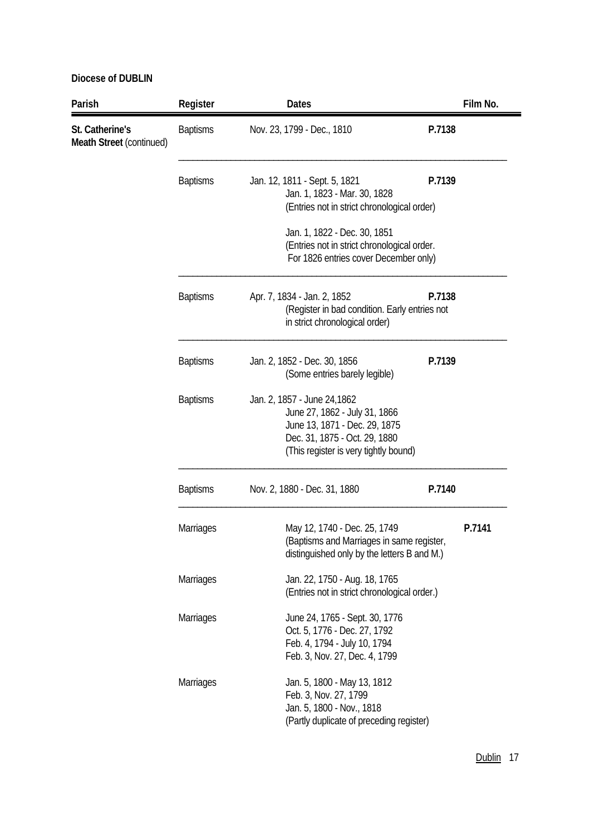| Parish                                      | Register         | <b>Dates</b>                                                                                                                                                             |        | Film No. |
|---------------------------------------------|------------------|--------------------------------------------------------------------------------------------------------------------------------------------------------------------------|--------|----------|
| St. Catherine's<br>Meath Street (continued) | <b>Baptisms</b>  | Nov. 23, 1799 - Dec., 1810                                                                                                                                               | P.7138 |          |
|                                             | <b>Baptisms</b>  | Jan. 12, 1811 - Sept. 5, 1821<br>Jan. 1, 1823 - Mar. 30, 1828<br>(Entries not in strict chronological order)                                                             | P.7139 |          |
|                                             |                  | Jan. 1, 1822 - Dec. 30, 1851<br>(Entries not in strict chronological order.<br>For 1826 entries cover December only)                                                     |        |          |
|                                             | <b>Baptisms</b>  | Apr. 7, 1834 - Jan. 2, 1852<br>(Register in bad condition. Early entries not<br>in strict chronological order)                                                           | P.7138 |          |
|                                             | <b>Baptisms</b>  | Jan. 2, 1852 - Dec. 30, 1856<br>(Some entries barely legible)                                                                                                            | P.7139 |          |
|                                             | <b>Baptisms</b>  | Jan. 2, 1857 - June 24, 1862<br>June 27, 1862 - July 31, 1866<br>June 13, 1871 - Dec. 29, 1875<br>Dec. 31, 1875 - Oct. 29, 1880<br>(This register is very tightly bound) |        |          |
|                                             | <b>Baptisms</b>  | Nov. 2, 1880 - Dec. 31, 1880                                                                                                                                             | P.7140 |          |
|                                             | Marriages        | May 12, 1740 - Dec. 25, 1749<br>(Baptisms and Marriages in same register,<br>distinguished only by the letters B and M.)                                                 |        | P.7141   |
|                                             | <b>Marriages</b> | Jan. 22, 1750 - Aug. 18, 1765<br>(Entries not in strict chronological order.)                                                                                            |        |          |
|                                             | <b>Marriages</b> | June 24, 1765 - Sept. 30, 1776<br>Oct. 5, 1776 - Dec. 27, 1792<br>Feb. 4, 1794 - July 10, 1794<br>Feb. 3, Nov. 27, Dec. 4, 1799                                          |        |          |
|                                             | Marriages        | Jan. 5, 1800 - May 13, 1812<br>Feb. 3, Nov. 27, 1799<br>Jan. 5, 1800 - Nov., 1818<br>(Partly duplicate of preceding register)                                            |        |          |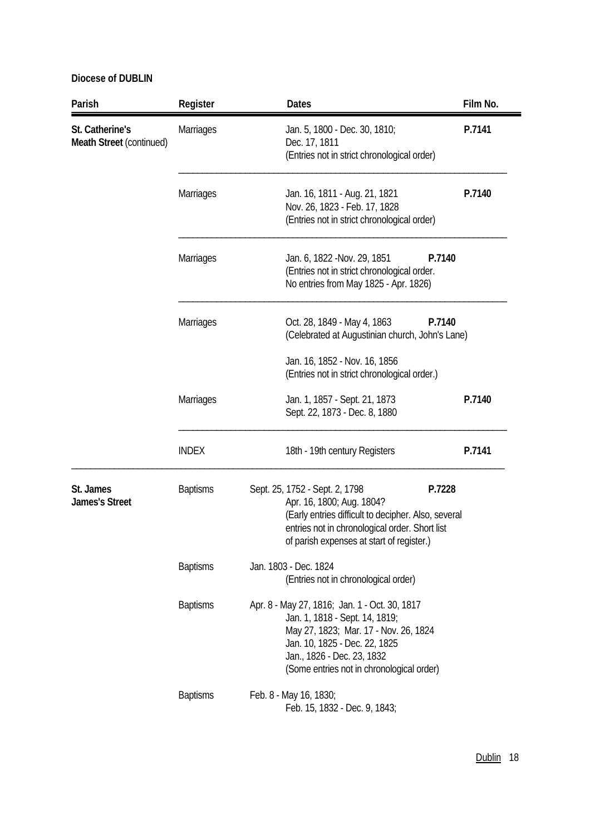| Parish                                      | Register         | <b>Dates</b>                                                                                                                                                                                                                         | Film No. |
|---------------------------------------------|------------------|--------------------------------------------------------------------------------------------------------------------------------------------------------------------------------------------------------------------------------------|----------|
| St. Catherine's<br>Meath Street (continued) | <b>Marriages</b> | Jan. 5, 1800 - Dec. 30, 1810;<br>Dec. 17, 1811<br>(Entries not in strict chronological order)                                                                                                                                        | P.7141   |
|                                             | Marriages        | Jan. 16, 1811 - Aug. 21, 1821<br>Nov. 26, 1823 - Feb. 17, 1828<br>(Entries not in strict chronological order)                                                                                                                        | P.7140   |
|                                             | <b>Marriages</b> | Jan. 6, 1822 -Nov. 29, 1851<br>P.7140<br>(Entries not in strict chronological order.<br>No entries from May 1825 - Apr. 1826)                                                                                                        |          |
|                                             | <b>Marriages</b> | P.7140<br>Oct. 28, 1849 - May 4, 1863<br>(Celebrated at Augustinian church, John's Lane)                                                                                                                                             |          |
|                                             |                  | Jan. 16, 1852 - Nov. 16, 1856<br>(Entries not in strict chronological order.)                                                                                                                                                        |          |
|                                             | Marriages        | Jan. 1, 1857 - Sept. 21, 1873<br>Sept. 22, 1873 - Dec. 8, 1880                                                                                                                                                                       | P.7140   |
|                                             | <b>INDEX</b>     | 18th - 19th century Registers                                                                                                                                                                                                        | P.7141   |
| St. James<br><b>James's Street</b>          | <b>Baptisms</b>  | Sept. 25, 1752 - Sept. 2, 1798<br>P.7228<br>Apr. 16, 1800; Aug. 1804?<br>(Early entries difficult to decipher. Also, several<br>entries not in chronological order. Short list<br>of parish expenses at start of register.)          |          |
|                                             | <b>Baptisms</b>  | Jan. 1803 - Dec. 1824<br>(Entries not in chronological order)                                                                                                                                                                        |          |
|                                             | <b>Baptisms</b>  | Apr. 8 - May 27, 1816; Jan. 1 - Oct. 30, 1817<br>Jan. 1, 1818 - Sept. 14, 1819;<br>May 27, 1823; Mar. 17 - Nov. 26, 1824<br>Jan. 10, 1825 - Dec. 22, 1825<br>Jan., 1826 - Dec. 23, 1832<br>(Some entries not in chronological order) |          |
|                                             | <b>Baptisms</b>  | Feb. 8 - May 16, 1830;<br>Feb. 15, 1832 - Dec. 9, 1843;                                                                                                                                                                              |          |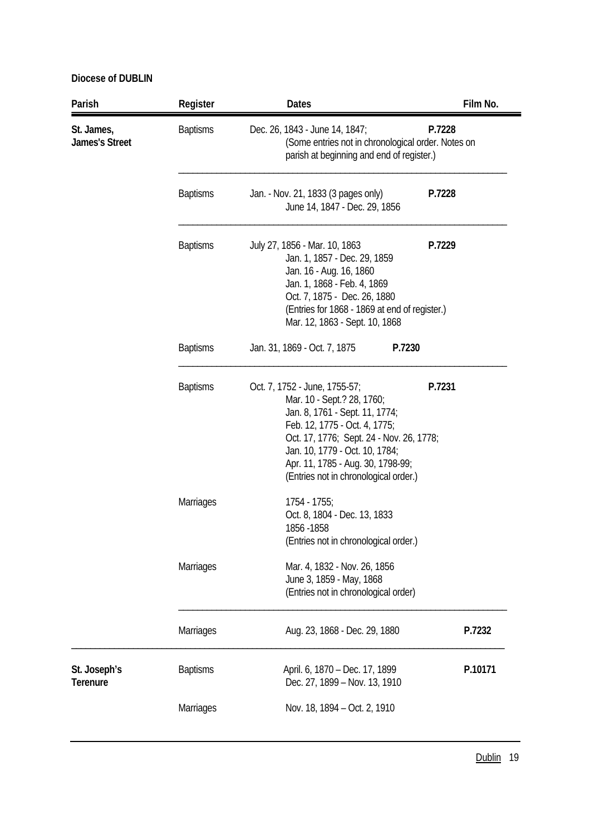| Parish                              | Register         | <b>Dates</b>                                                                                                                                                                                                                                                                                         | Film No. |
|-------------------------------------|------------------|------------------------------------------------------------------------------------------------------------------------------------------------------------------------------------------------------------------------------------------------------------------------------------------------------|----------|
| St. James,<br><b>James's Street</b> | <b>Baptisms</b>  | Dec. 26, 1843 - June 14, 1847;<br>P.7228<br>(Some entries not in chronological order. Notes on<br>parish at beginning and end of register.)                                                                                                                                                          |          |
|                                     | <b>Baptisms</b>  | Jan. - Nov. 21, 1833 (3 pages only)<br>P.7228<br>June 14, 1847 - Dec. 29, 1856                                                                                                                                                                                                                       |          |
|                                     | <b>Baptisms</b>  | July 27, 1856 - Mar. 10, 1863<br>P.7229<br>Jan. 1, 1857 - Dec. 29, 1859<br>Jan. 16 - Aug. 16, 1860<br>Jan. 1, 1868 - Feb. 4, 1869<br>Oct. 7, 1875 - Dec. 26, 1880<br>(Entries for 1868 - 1869 at end of register.)<br>Mar. 12, 1863 - Sept. 10, 1868                                                 |          |
|                                     | <b>Baptisms</b>  | Jan. 31, 1869 - Oct. 7, 1875<br>P.7230                                                                                                                                                                                                                                                               |          |
|                                     | <b>Baptisms</b>  | P.7231<br>Oct. 7, 1752 - June, 1755-57;<br>Mar. 10 - Sept.? 28, 1760;<br>Jan. 8, 1761 - Sept. 11, 1774;<br>Feb. 12, 1775 - Oct. 4, 1775;<br>Oct. 17, 1776; Sept. 24 - Nov. 26, 1778;<br>Jan. 10, 1779 - Oct. 10, 1784;<br>Apr. 11, 1785 - Aug. 30, 1798-99;<br>(Entries not in chronological order.) |          |
|                                     | Marriages        | 1754 - 1755;<br>Oct. 8, 1804 - Dec. 13, 1833<br>1856 - 1858<br>(Entries not in chronological order.)                                                                                                                                                                                                 |          |
|                                     | <b>Marriages</b> | Mar. 4, 1832 - Nov. 26, 1856<br>June 3, 1859 - May, 1868<br>(Entries not in chronological order)                                                                                                                                                                                                     |          |
|                                     | Marriages        | Aug. 23, 1868 - Dec. 29, 1880                                                                                                                                                                                                                                                                        | P.7232   |
| St. Joseph's<br><b>Terenure</b>     | <b>Baptisms</b>  | April. 6, 1870 - Dec. 17, 1899<br>Dec. 27, 1899 - Nov. 13, 1910                                                                                                                                                                                                                                      | P.10171  |
|                                     | Marriages        | Nov. 18, 1894 - Oct. 2, 1910                                                                                                                                                                                                                                                                         |          |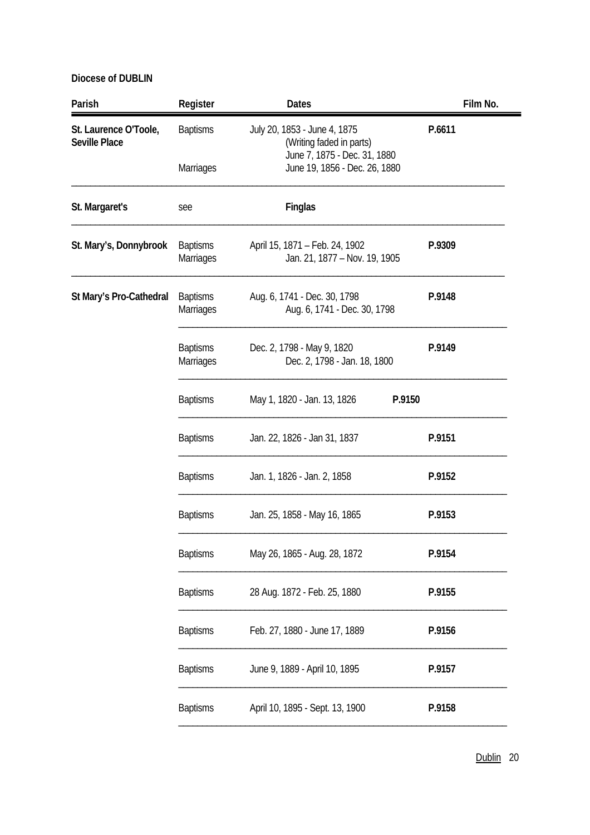| Parish                                        | Register                     | <b>Dates</b>                                                                             | Film No. |
|-----------------------------------------------|------------------------------|------------------------------------------------------------------------------------------|----------|
| St. Laurence O'Toole,<br><b>Seville Place</b> | <b>Baptisms</b>              | July 20, 1853 - June 4, 1875<br>(Writing faded in parts)<br>June 7, 1875 - Dec. 31, 1880 | P.6611   |
|                                               | Marriages                    | June 19, 1856 - Dec. 26, 1880                                                            |          |
| St. Margaret's                                | see                          | Finglas                                                                                  |          |
| St. Mary's, Donnybrook                        | <b>Baptisms</b><br>Marriages | April 15, 1871 - Feb. 24, 1902<br>Jan. 21, 1877 - Nov. 19, 1905                          | P.9309   |
| St Mary's Pro-Cathedral                       | <b>Baptisms</b><br>Marriages | Aug. 6, 1741 - Dec. 30, 1798<br>Aug. 6, 1741 - Dec. 30, 1798                             | P.9148   |
|                                               | <b>Baptisms</b><br>Marriages | Dec. 2, 1798 - May 9, 1820<br>Dec. 2, 1798 - Jan. 18, 1800                               | P.9149   |
|                                               | <b>Baptisms</b>              | May 1, 1820 - Jan. 13, 1826<br>P.9150                                                    |          |
|                                               | <b>Baptisms</b>              | Jan. 22, 1826 - Jan 31, 1837                                                             | P.9151   |
|                                               | <b>Baptisms</b>              | Jan. 1, 1826 - Jan. 2, 1858                                                              | P.9152   |
|                                               | <b>Baptisms</b>              | Jan. 25, 1858 - May 16, 1865                                                             | P.9153   |
|                                               | <b>Baptisms</b>              | May 26, 1865 - Aug. 28, 1872                                                             | P.9154   |
|                                               | <b>Baptisms</b>              | 28 Aug. 1872 - Feb. 25, 1880                                                             | P.9155   |
|                                               | <b>Baptisms</b>              | Feb. 27, 1880 - June 17, 1889                                                            | P.9156   |
|                                               | <b>Baptisms</b>              | June 9, 1889 - April 10, 1895                                                            | P.9157   |
|                                               | <b>Baptisms</b>              | April 10, 1895 - Sept. 13, 1900                                                          | P.9158   |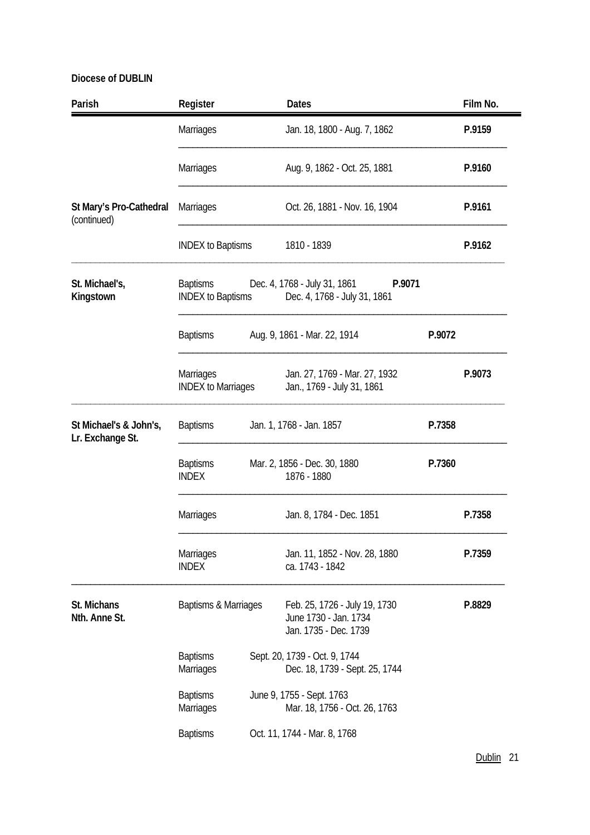| Parish                                     | Register                               |                                                                                                    | <b>Dates</b>                                                                    |        | Film No. |  |
|--------------------------------------------|----------------------------------------|----------------------------------------------------------------------------------------------------|---------------------------------------------------------------------------------|--------|----------|--|
|                                            | Marriages                              |                                                                                                    | Jan. 18, 1800 - Aug. 7, 1862                                                    |        | P.9159   |  |
|                                            | Marriages                              |                                                                                                    | Aug. 9, 1862 - Oct. 25, 1881                                                    |        | P.9160   |  |
| St Mary's Pro-Cathedral<br>(continued)     | Marriages                              |                                                                                                    | Oct. 26, 1881 - Nov. 16, 1904                                                   |        | P.9161   |  |
|                                            | <b>INDEX to Baptisms</b>               |                                                                                                    | 1810 - 1839                                                                     |        | P.9162   |  |
| St. Michael's,<br>Kingstown                | <b>Baptisms</b>                        | Dec. 4, 1768 - July 31, 1861<br>P.9071<br><b>INDEX to Baptisms</b><br>Dec. 4, 1768 - July 31, 1861 |                                                                                 |        |          |  |
|                                            | <b>Baptisms</b>                        |                                                                                                    | Aug. 9, 1861 - Mar. 22, 1914<br>P.9072                                          |        |          |  |
|                                            | Marriages<br><b>INDEX to Marriages</b> |                                                                                                    | Jan. 27, 1769 - Mar. 27, 1932<br>Jan., 1769 - July 31, 1861                     |        | P.9073   |  |
| St Michael's & John's,<br>Lr. Exchange St. | <b>Baptisms</b>                        |                                                                                                    | Jan. 1, 1768 - Jan. 1857                                                        | P.7358 |          |  |
|                                            | <b>Baptisms</b><br><b>INDEX</b>        |                                                                                                    | Mar. 2, 1856 - Dec. 30, 1880<br>1876 - 1880                                     | P.7360 |          |  |
|                                            | Marriages                              |                                                                                                    | Jan. 8, 1784 - Dec. 1851                                                        |        | P.7358   |  |
|                                            | Marriages<br><b>INDEX</b>              |                                                                                                    | Jan. 11, 1852 - Nov. 28, 1880<br>ca. 1743 - 1842                                |        | P.7359   |  |
| St. Michans<br>Nth. Anne St.               | Baptisms & Marriages                   |                                                                                                    | Feb. 25, 1726 - July 19, 1730<br>June 1730 - Jan. 1734<br>Jan. 1735 - Dec. 1739 |        | P.8829   |  |
|                                            | <b>Baptisms</b><br>Marriages           |                                                                                                    | Sept. 20, 1739 - Oct. 9, 1744<br>Dec. 18, 1739 - Sept. 25, 1744                 |        |          |  |
|                                            | <b>Baptisms</b><br>Marriages           |                                                                                                    | June 9, 1755 - Sept. 1763<br>Mar. 18, 1756 - Oct. 26, 1763                      |        |          |  |
|                                            | <b>Baptisms</b>                        |                                                                                                    | Oct. 11, 1744 - Mar. 8, 1768                                                    |        |          |  |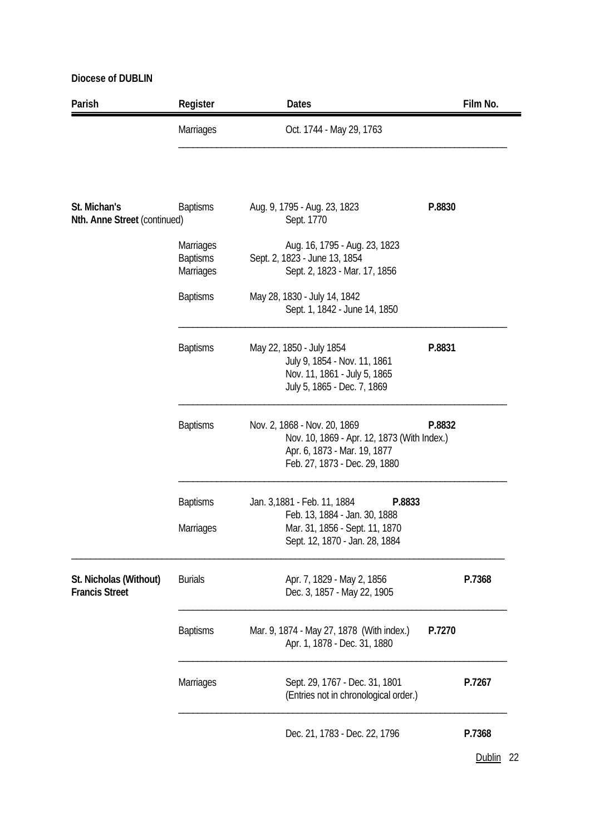| Parish                                          | Register                                  | <b>Dates</b>                                                                                                                                 | Film No. |
|-------------------------------------------------|-------------------------------------------|----------------------------------------------------------------------------------------------------------------------------------------------|----------|
|                                                 | Marriages                                 | Oct. 1744 - May 29, 1763                                                                                                                     |          |
| St. Michan's<br>Nth. Anne Street (continued)    | <b>Baptisms</b>                           | Aug. 9, 1795 - Aug. 23, 1823<br>Sept. 1770                                                                                                   | P.8830   |
|                                                 | Marriages<br><b>Baptisms</b><br>Marriages | Aug. 16, 1795 - Aug. 23, 1823<br>Sept. 2, 1823 - June 13, 1854<br>Sept. 2, 1823 - Mar. 17, 1856                                              |          |
|                                                 | <b>Baptisms</b>                           | May 28, 1830 - July 14, 1842<br>Sept. 1, 1842 - June 14, 1850                                                                                |          |
|                                                 | <b>Baptisms</b>                           | May 22, 1850 - July 1854<br>July 9, 1854 - Nov. 11, 1861<br>Nov. 11, 1861 - July 5, 1865<br>July 5, 1865 - Dec. 7, 1869                      | P.8831   |
|                                                 | <b>Baptisms</b>                           | Nov. 2, 1868 - Nov. 20, 1869<br>Nov. 10, 1869 - Apr. 12, 1873 (With Index.)<br>Apr. 6, 1873 - Mar. 19, 1877<br>Feb. 27, 1873 - Dec. 29, 1880 | P.8832   |
|                                                 | <b>Baptisms</b><br>Marriages              | Jan. 3,1881 - Feb. 11, 1884<br>P.8833<br>Feb. 13, 1884 - Jan. 30, 1888<br>Mar. 31, 1856 - Sept. 11, 1870<br>Sept. 12, 1870 - Jan. 28, 1884   |          |
| St. Nicholas (Without)<br><b>Francis Street</b> | <b>Burials</b>                            | Apr. 7, 1829 - May 2, 1856<br>Dec. 3, 1857 - May 22, 1905                                                                                    | P.7368   |
|                                                 | <b>Baptisms</b>                           | Mar. 9, 1874 - May 27, 1878 (With index.)<br>Apr. 1, 1878 - Dec. 31, 1880                                                                    | P.7270   |
|                                                 | Marriages                                 | Sept. 29, 1767 - Dec. 31, 1801<br>(Entries not in chronological order.)                                                                      | P.7267   |
|                                                 |                                           | Dec. 21, 1783 - Dec. 22, 1796                                                                                                                | P.7368   |

Dublin 22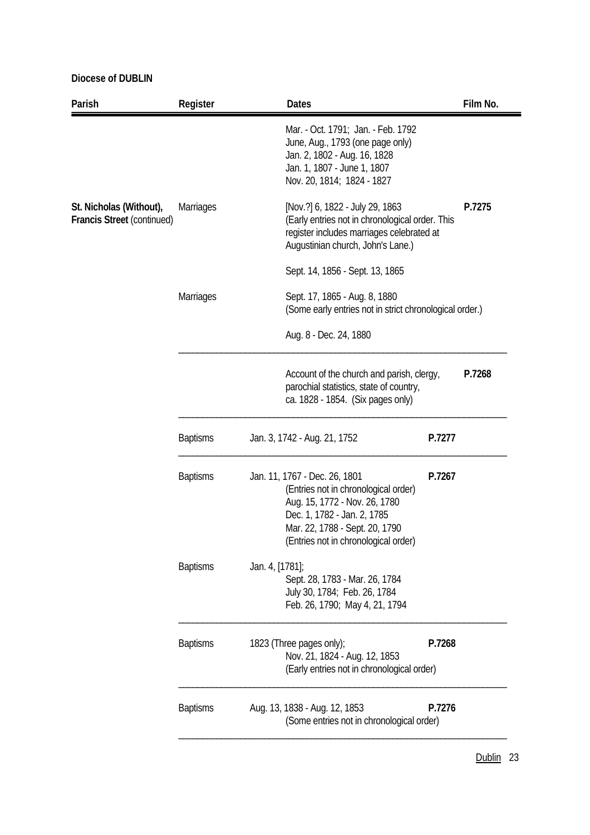| Parish                                                       | Register         | <b>Dates</b>                                                                                                                                                                                                    |        | Film No. |
|--------------------------------------------------------------|------------------|-----------------------------------------------------------------------------------------------------------------------------------------------------------------------------------------------------------------|--------|----------|
|                                                              |                  | Mar. - Oct. 1791; Jan. - Feb. 1792<br>June, Aug., 1793 (one page only)<br>Jan. 2, 1802 - Aug. 16, 1828<br>Jan. 1, 1807 - June 1, 1807<br>Nov. 20, 1814; 1824 - 1827                                             |        |          |
| St. Nicholas (Without),<br><b>Francis Street (continued)</b> | <b>Marriages</b> | [Nov.?] 6, 1822 - July 29, 1863<br>(Early entries not in chronological order. This<br>register includes marriages celebrated at<br>Augustinian church, John's Lane.)                                            |        | P.7275   |
|                                                              |                  | Sept. 14, 1856 - Sept. 13, 1865                                                                                                                                                                                 |        |          |
|                                                              | Marriages        | Sept. 17, 1865 - Aug. 8, 1880<br>(Some early entries not in strict chronological order.)                                                                                                                        |        |          |
|                                                              |                  | Aug. 8 - Dec. 24, 1880                                                                                                                                                                                          |        |          |
|                                                              |                  | Account of the church and parish, clergy,<br>parochial statistics, state of country,<br>ca. 1828 - 1854. (Six pages only)                                                                                       |        | P.7268   |
|                                                              | <b>Baptisms</b>  | Jan. 3, 1742 - Aug. 21, 1752                                                                                                                                                                                    | P.7277 |          |
|                                                              | <b>Baptisms</b>  | Jan. 11, 1767 - Dec. 26, 1801<br>(Entries not in chronological order)<br>Aug. 15, 1772 - Nov. 26, 1780<br>Dec. 1, 1782 - Jan. 2, 1785<br>Mar. 22, 1788 - Sept. 20, 1790<br>(Entries not in chronological order) | P.7267 |          |
|                                                              | <b>Baptisms</b>  | Jan. 4, [1781];<br>Sept. 28, 1783 - Mar. 26, 1784<br>July 30, 1784; Feb. 26, 1784<br>Feb. 26, 1790; May 4, 21, 1794                                                                                             |        |          |
|                                                              | <b>Baptisms</b>  | 1823 (Three pages only);<br>Nov. 21, 1824 - Aug. 12, 1853<br>(Early entries not in chronological order)                                                                                                         | P.7268 |          |
|                                                              | <b>Baptisms</b>  | Aug. 13, 1838 - Aug. 12, 1853<br>(Some entries not in chronological order)                                                                                                                                      | P.7276 |          |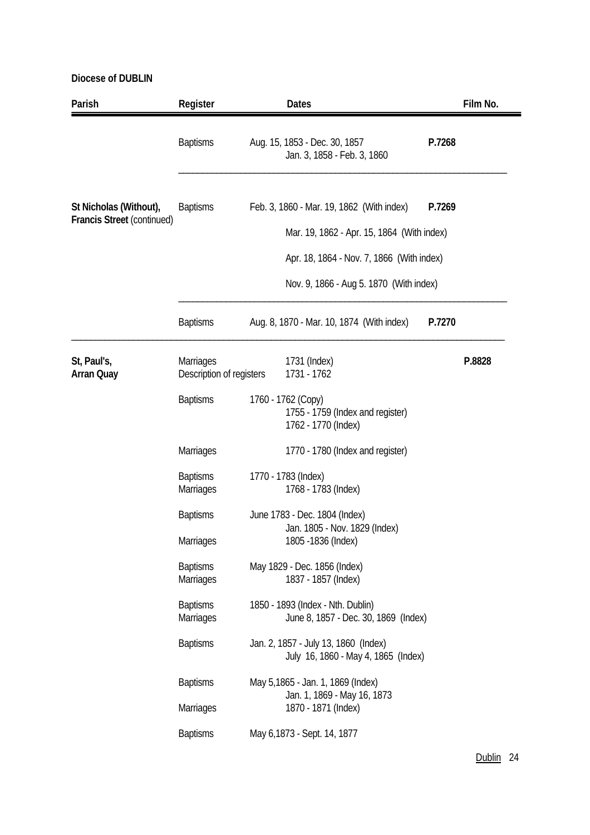| Parish                                                      | Register                                     | <b>Dates</b>                                                                  | Film No. |  |  |
|-------------------------------------------------------------|----------------------------------------------|-------------------------------------------------------------------------------|----------|--|--|
|                                                             | <b>Baptisms</b>                              | P.7268<br>Aug. 15, 1853 - Dec. 30, 1857<br>Jan. 3, 1858 - Feb. 3, 1860        |          |  |  |
| St Nicholas (Without),<br><b>Francis Street (continued)</b> | <b>Baptisms</b>                              | Feb. 3, 1860 - Mar. 19, 1862 (With index)<br>P.7269                           |          |  |  |
|                                                             |                                              | Mar. 19, 1862 - Apr. 15, 1864 (With index)                                    |          |  |  |
|                                                             |                                              | Apr. 18, 1864 - Nov. 7, 1866 (With index)                                     |          |  |  |
|                                                             | Nov. 9, 1866 - Aug 5. 1870 (With index)      |                                                                               |          |  |  |
|                                                             | <b>Baptisms</b>                              | Aug. 8, 1870 - Mar. 10, 1874 (With index)<br>P.7270                           |          |  |  |
| St, Paul's,<br><b>Arran Quay</b>                            | <b>Marriages</b><br>Description of registers | 1731 (Index)<br>1731 - 1762                                                   | P.8828   |  |  |
|                                                             | <b>Baptisms</b>                              | 1760 - 1762 (Copy)<br>1755 - 1759 (Index and register)<br>1762 - 1770 (Index) |          |  |  |
|                                                             | Marriages                                    | 1770 - 1780 (Index and register)                                              |          |  |  |
|                                                             | <b>Baptisms</b><br><b>Marriages</b>          | 1770 - 1783 (Index)<br>1768 - 1783 (Index)                                    |          |  |  |
|                                                             | <b>Baptisms</b>                              | June 1783 - Dec. 1804 (Index)                                                 |          |  |  |
|                                                             | Marriages                                    | Jan. 1805 - Nov. 1829 (Index)<br>1805 - 1836 (Index)                          |          |  |  |
|                                                             | <b>Baptisms</b><br>Marriages                 | May 1829 - Dec. 1856 (Index)<br>1837 - 1857 (Index)                           |          |  |  |
|                                                             | <b>Baptisms</b><br>Marriages                 | 1850 - 1893 (Index - Nth. Dublin)<br>June 8, 1857 - Dec. 30, 1869 (Index)     |          |  |  |
|                                                             | <b>Baptisms</b>                              | Jan. 2, 1857 - July 13, 1860 (Index)<br>July 16, 1860 - May 4, 1865 (Index)   |          |  |  |
|                                                             | <b>Baptisms</b>                              | May 5,1865 - Jan. 1, 1869 (Index)                                             |          |  |  |
|                                                             | Marriages                                    | Jan. 1, 1869 - May 16, 1873<br>1870 - 1871 (Index)                            |          |  |  |
|                                                             | <b>Baptisms</b>                              | May 6,1873 - Sept. 14, 1877                                                   |          |  |  |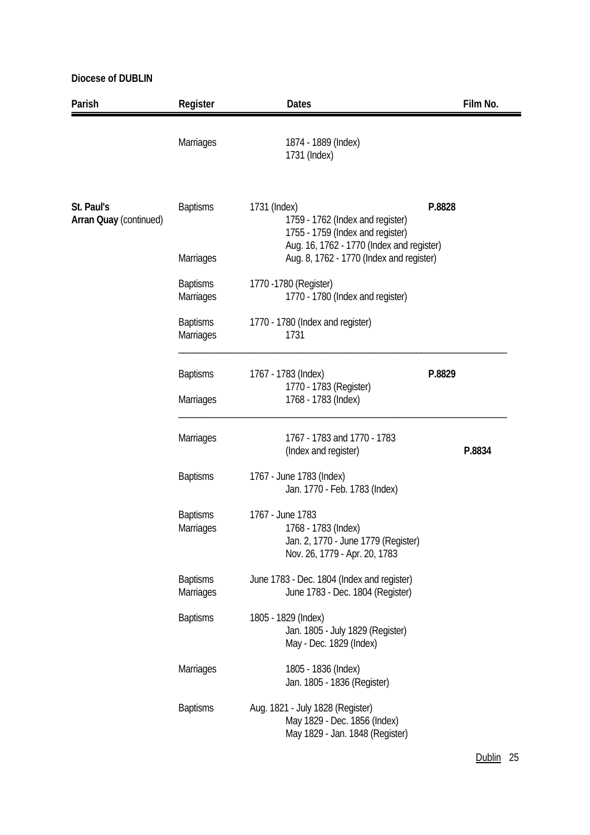| Parish                                      | Register                     | <b>Dates</b>                                                                                                                      | Film No. |
|---------------------------------------------|------------------------------|-----------------------------------------------------------------------------------------------------------------------------------|----------|
|                                             | Marriages                    | 1874 - 1889 (Index)<br>1731 (Index)                                                                                               |          |
| St. Paul's<br><b>Arran Quay (continued)</b> | <b>Baptisms</b>              | 1731 (Index)<br>1759 - 1762 (Index and register)<br>1755 - 1759 (Index and register)<br>Aug. 16, 1762 - 1770 (Index and register) | P.8828   |
|                                             | <b>Marriages</b>             | Aug. 8, 1762 - 1770 (Index and register)                                                                                          |          |
|                                             | <b>Baptisms</b><br>Marriages | 1770 - 1780 (Register)<br>1770 - 1780 (Index and register)                                                                        |          |
|                                             | <b>Baptisms</b><br>Marriages | 1770 - 1780 (Index and register)<br>1731                                                                                          |          |
|                                             | <b>Baptisms</b><br>Marriages | 1767 - 1783 (Index)<br>1770 - 1783 (Register)<br>1768 - 1783 (Index)                                                              | P.8829   |
|                                             | Marriages                    | 1767 - 1783 and 1770 - 1783<br>(Index and register)                                                                               | P.8834   |
|                                             | <b>Baptisms</b>              | 1767 - June 1783 (Index)<br>Jan. 1770 - Feb. 1783 (Index)                                                                         |          |
|                                             | <b>Baptisms</b><br>Marriages | 1767 - June 1783<br>1768 - 1783 (Index)<br>Jan. 2, 1770 - June 1779 (Register)<br>Nov. 26, 1779 - Apr. 20, 1783                   |          |
|                                             | <b>Baptisms</b><br>Marriages | June 1783 - Dec. 1804 (Index and register)<br>June 1783 - Dec. 1804 (Register)                                                    |          |
|                                             | <b>Baptisms</b>              | 1805 - 1829 (Index)<br>Jan. 1805 - July 1829 (Register)<br>May - Dec. 1829 (Index)                                                |          |
|                                             | Marriages                    | 1805 - 1836 (Index)<br>Jan. 1805 - 1836 (Register)                                                                                |          |
|                                             | <b>Baptisms</b>              | Aug. 1821 - July 1828 (Register)<br>May 1829 - Dec. 1856 (Index)<br>May 1829 - Jan. 1848 (Register)                               |          |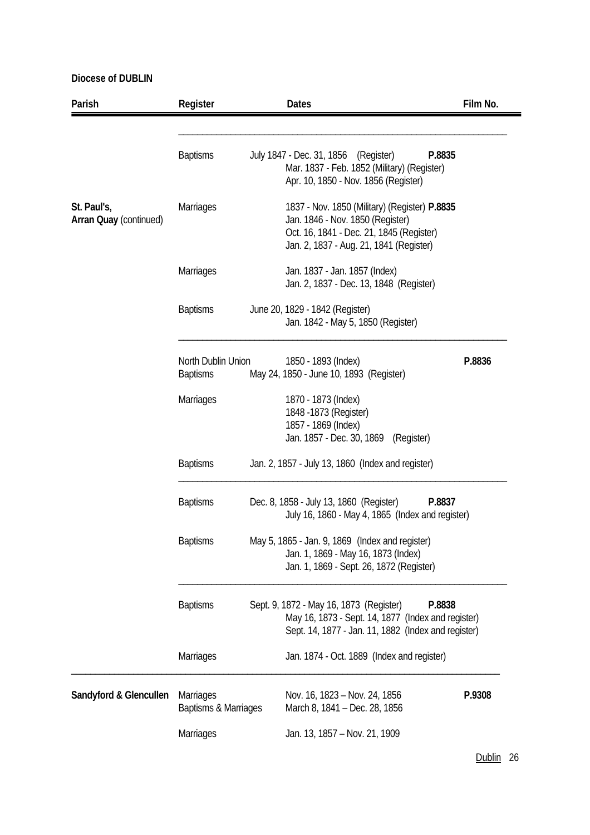| Parish                                       | Register                                 | <b>Dates</b>                                                                                                                                                             | Film No. |
|----------------------------------------------|------------------------------------------|--------------------------------------------------------------------------------------------------------------------------------------------------------------------------|----------|
|                                              | <b>Baptisms</b>                          | July 1847 - Dec. 31, 1856 (Register)<br>P.8835<br>Mar. 1837 - Feb. 1852 (Military) (Register)<br>Apr. 10, 1850 - Nov. 1856 (Register)                                    |          |
| St. Paul's,<br><b>Arran Quay (continued)</b> | <b>Marriages</b>                         | 1837 - Nov. 1850 (Military) (Register) P.8835<br>Jan. 1846 - Nov. 1850 (Register)<br>Oct. 16, 1841 - Dec. 21, 1845 (Register)<br>Jan. 2, 1837 - Aug. 21, 1841 (Register) |          |
|                                              | Marriages                                | Jan. 1837 - Jan. 1857 (Index)<br>Jan. 2, 1837 - Dec. 13, 1848 (Register)                                                                                                 |          |
|                                              | <b>Baptisms</b>                          | June 20, 1829 - 1842 (Register)<br>Jan. 1842 - May 5, 1850 (Register)                                                                                                    |          |
|                                              | North Dublin Union<br><b>Baptisms</b>    | 1850 - 1893 (Index)<br>May 24, 1850 - June 10, 1893 (Register)                                                                                                           | P.8836   |
|                                              | <b>Marriages</b>                         | 1870 - 1873 (Index)<br>1848 - 1873 (Register)<br>1857 - 1869 (Index)<br>Jan. 1857 - Dec. 30, 1869 (Register)                                                             |          |
|                                              | <b>Baptisms</b>                          | Jan. 2, 1857 - July 13, 1860 (Index and register)                                                                                                                        |          |
|                                              | <b>Baptisms</b>                          | Dec. 8, 1858 - July 13, 1860 (Register)<br>P.8837<br>July 16, 1860 - May 4, 1865 (Index and register)                                                                    |          |
|                                              | <b>Baptisms</b>                          | May 5, 1865 - Jan. 9, 1869 (Index and register)<br>Jan. 1, 1869 - May 16, 1873 (Index)<br>Jan. 1, 1869 - Sept. 26, 1872 (Register)                                       |          |
|                                              | <b>Baptisms</b>                          | Sept. 9, 1872 - May 16, 1873 (Register)<br>P.8838<br>May 16, 1873 - Sept. 14, 1877 (Index and register)<br>Sept. 14, 1877 - Jan. 11, 1882 (Index and register)           |          |
|                                              | Marriages                                | Jan. 1874 - Oct. 1889 (Index and register)                                                                                                                               |          |
| Sandyford & Glencullen                       | <b>Marriages</b><br>Baptisms & Marriages | Nov. 16, 1823 - Nov. 24, 1856<br>March 8, 1841 - Dec. 28, 1856                                                                                                           | P.9308   |
|                                              | Marriages                                | Jan. 13, 1857 - Nov. 21, 1909                                                                                                                                            |          |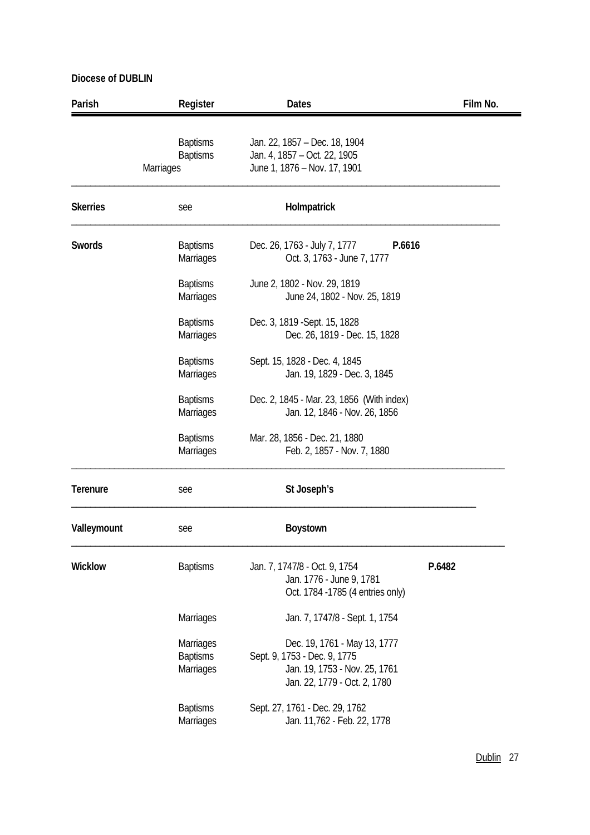| Parish          | Register                                               | <b>Dates</b>                                                                                                                  | Film No. |
|-----------------|--------------------------------------------------------|-------------------------------------------------------------------------------------------------------------------------------|----------|
|                 | <b>Baptisms</b><br><b>Baptisms</b><br><b>Marriages</b> | Jan. 22, 1857 - Dec. 18, 1904<br>Jan. 4, 1857 - Oct. 22, 1905<br>June 1, 1876 - Nov. 17, 1901                                 |          |
| <b>Skerries</b> | see                                                    | Holmpatrick                                                                                                                   |          |
| <b>Swords</b>   | <b>Baptisms</b><br>Marriages                           | Dec. 26, 1763 - July 7, 1777<br>P.6616<br>Oct. 3, 1763 - June 7, 1777                                                         |          |
|                 | <b>Baptisms</b><br>Marriages                           | June 2, 1802 - Nov. 29, 1819<br>June 24, 1802 - Nov. 25, 1819                                                                 |          |
|                 | <b>Baptisms</b><br>Marriages                           | Dec. 3, 1819 - Sept. 15, 1828<br>Dec. 26, 1819 - Dec. 15, 1828                                                                |          |
|                 | <b>Baptisms</b><br>Marriages                           | Sept. 15, 1828 - Dec. 4, 1845<br>Jan. 19, 1829 - Dec. 3, 1845                                                                 |          |
|                 | <b>Baptisms</b><br>Marriages                           | Dec. 2, 1845 - Mar. 23, 1856 (With index)<br>Jan. 12, 1846 - Nov. 26, 1856                                                    |          |
|                 | <b>Baptisms</b><br>Marriages                           | Mar. 28, 1856 - Dec. 21, 1880<br>Feb. 2, 1857 - Nov. 7, 1880                                                                  |          |
| <b>Terenure</b> | see                                                    | St Joseph's                                                                                                                   |          |
| Valleymount     | see                                                    | <b>Boystown</b>                                                                                                               |          |
| <b>Wicklow</b>  | <b>Baptisms</b>                                        | Jan. 7, 1747/8 - Oct. 9, 1754<br>Jan. 1776 - June 9, 1781<br>Oct. 1784 -1785 (4 entries only)                                 | P.6482   |
|                 | Marriages                                              | Jan. 7, 1747/8 - Sept. 1, 1754                                                                                                |          |
|                 | Marriages<br><b>Baptisms</b><br>Marriages              | Dec. 19, 1761 - May 13, 1777<br>Sept. 9, 1753 - Dec. 9, 1775<br>Jan. 19, 1753 - Nov. 25, 1761<br>Jan. 22, 1779 - Oct. 2, 1780 |          |
|                 | <b>Baptisms</b><br>Marriages                           | Sept. 27, 1761 - Dec. 29, 1762<br>Jan. 11,762 - Feb. 22, 1778                                                                 |          |

l,